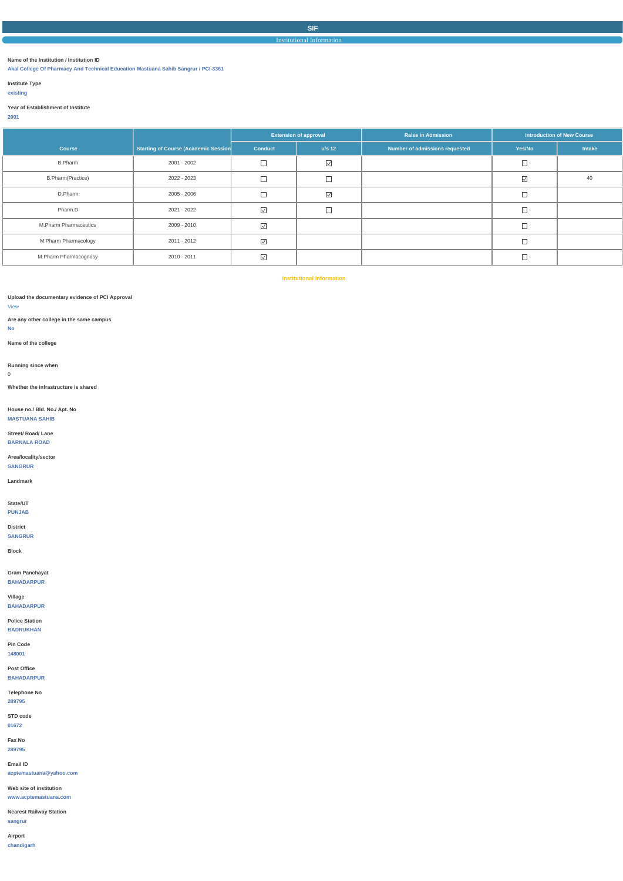## Institutional Information

## **Name of the Institution / Institution ID**

**Akal College Of Pharmacy And Technical Education Mastuana Sahib Sangrur / PCI-3361**

## **Institute Type**

## **existing**

## **Year of Establishment of Institute**

# **2001**

|                          |                                             | <b>Extension of approval</b>    |                   | <b>Raise in Admission</b>      | <b>Introduction of New Course</b> |        |  |
|--------------------------|---------------------------------------------|---------------------------------|-------------------|--------------------------------|-----------------------------------|--------|--|
| <b>Course</b>            | <b>Starting of Course (Academic Session</b> | <b>Conduct</b>                  | $u/s$ 12          | Number of admissions requested | Yes/No                            | Intake |  |
| <b>B.Pharm</b>           | 2001 - 2002                                 | ᄂ                               | $\overline{\vee}$ |                                |                                   |        |  |
| <b>B.Pharm(Practice)</b> | 2022 - 2023                                 | $\Box$                          | $\overline{ }$    |                                | $\overline{\vee}$                 | 40     |  |
| D.Pharm                  | 2005 - 2006                                 |                                 | $\overline{\vee}$ |                                |                                   |        |  |
| Pharm.D                  | 2021 - 2022                                 | $\overline{\vee}$               | $\overline{ }$    |                                |                                   |        |  |
| M.Pharm Pharmaceutics    | 2009 - 2010                                 | $\sqrt{}$                       |                   |                                |                                   |        |  |
| M.Pharm Pharmacology     | 2011 - 2012                                 | $\boxed{\searrow}$              |                   |                                |                                   |        |  |
| M.Pharm Pharmacognosy    | 2010 - 2011                                 | $\color{red}\blacktriangledown$ |                   |                                |                                   |        |  |

**Institutional Information**

## **Upload the documentary evidence of PCI Approval**

## [View](https://dgpm.nic.in/institute/getmongoPdfFile.do?renreceiptid=c378339a-d1e5-47ed-9aa1-a951e195d6b0&tablename=statusofconductingbody)

**Are any other college in the same campus**

### **No**

**Name of the college**

**Running since when**

## 0

**Whether the infrastructure is shared**

# **House no./ Bld. No./ Apt. No**

**MASTUANA SAHIB**

# **Street/ Road/ Lane**

**BARNALA ROAD**

# **Area/locality/sector**

**SANGRUR**

# **Landmark**

## **State/UT**

**PUNJAB**

**District**

# **SANGRUR**

# **Block**

# **Gram Panchayat**

**BAHADARPUR**

## **Village BAHADARPUR**

# **Police Station BADRUKHAN**

**Pin Code 148001**

| Post Office                    |  |  |  |
|--------------------------------|--|--|--|
| <b>BAHADARPUR</b>              |  |  |  |
| <b>Telephone No</b>            |  |  |  |
| 289795                         |  |  |  |
| STD code                       |  |  |  |
| 01672                          |  |  |  |
| Fax No                         |  |  |  |
| 289795                         |  |  |  |
| Email ID                       |  |  |  |
| acptemastuana@yahoo.com        |  |  |  |
| Web site of institution        |  |  |  |
| www.acptemastuana.com          |  |  |  |
| <b>Nearest Railway Station</b> |  |  |  |
| sangrur                        |  |  |  |
| Airport                        |  |  |  |
| chandigarh                     |  |  |  |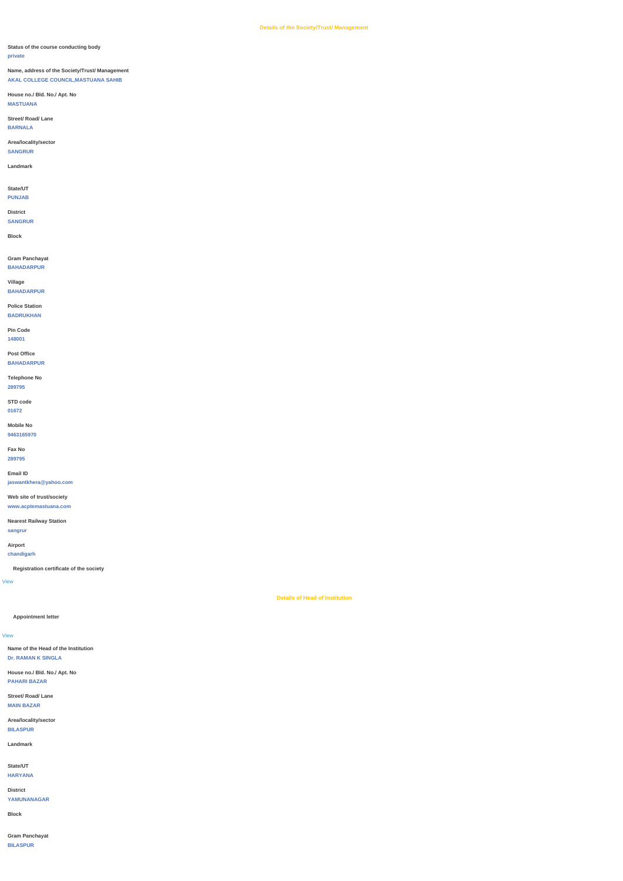## **Status of the course conducting body**

### **private**

# **Name, address of the Society/Trust/ Management AKAL COLLEGE COUNCIL,MASTUANA SAHIB**

## **House no./ Bld. No./ Apt. No**

**MASTUANA**

## **Street/ Road/ Lane**

**BARNALA**

**Area/locality/sector**

## **SANGRUR**

## **Landmark**

## **State/UT**

**PUNJAB**

# **District**

# **SANGRUR**

**Block**

# **Gram Panchayat**

**BAHADARPUR**

## **Village**

**BAHADARPUR**

**Police Station**

### **BADRUKHAN**

## **Pin Code**

**148001**

**Post Office**

# **BAHADARPUR**

# **Telephone No**

**289795**

**STD code**

# **01672**

# **Mobile No**

**9463165970**

**Fax No**

# **289795**

**Email ID**

**jaswantkhera@yahoo.com**

# **Web site of trust/society**

**www.acptemastuana.com**

# **Nearest Railway Station**

**sangrur**

# **Airport**

**chandigarh**

# **Registration certificate of the society**

[View](https://dgpm.nic.in/institute/getmongoPdfFile.do?renreceiptid=e7af1aa4-d533-41f8-85af-fc1fe14434fe&tablename=societyregistrationcertificate)

# **Details of Head of Institution**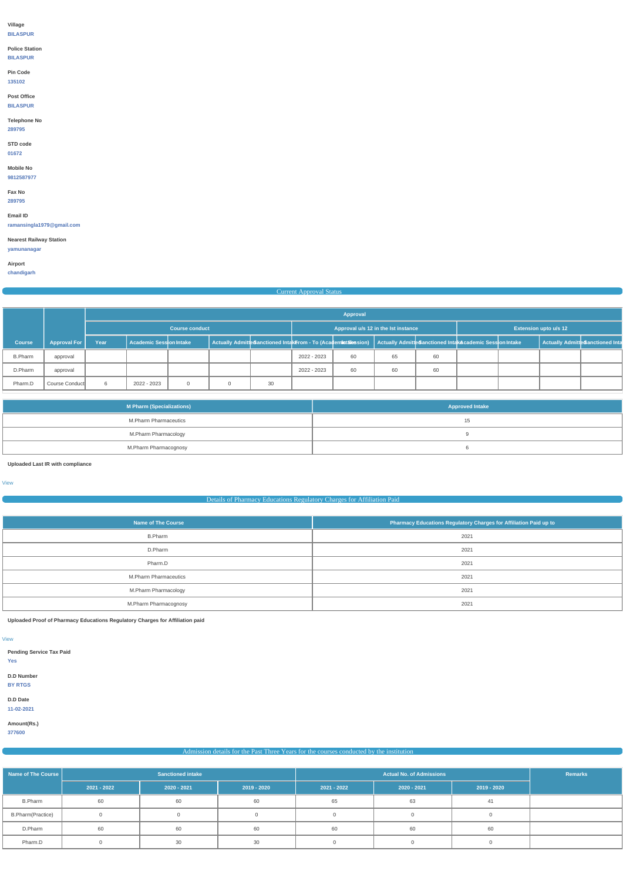## **Village**

**BILASPUR**

# **Police Station**

**BILASPUR**

**Pin Code**

# **135102**

## **Post Office**

**BILASPUR**

**Telephone No**

# **289795**

# **STD code**

**01672**

# **Mobile No**

**9812587977**

# **Fax No**

**289795**

# **Email ID**

**ramansingla1979@gmail.com**

## **Nearest Railway Station**

**yamunanagar**

# **Airport**

**chandigarh**

# Current Approval Statu

|                |                     |                       | Approval                |  |                                                                                                                          |    |                                     |    |    |    |                              |  |  |                                  |
|----------------|---------------------|-----------------------|-------------------------|--|--------------------------------------------------------------------------------------------------------------------------|----|-------------------------------------|----|----|----|------------------------------|--|--|----------------------------------|
|                |                     | <b>Course conduct</b> |                         |  |                                                                                                                          |    | Approval u/s 12 in the lst instance |    |    |    | <b>Extension upto u/s 12</b> |  |  |                                  |
| <b>Course</b>  | <b>Approval For</b> | Year                  | Academic Session Intake |  | Actually Admitte Sanctioned IntakErom - To (Academint Siession) Actually Admitte Sanctioned IntakAcademic Session Intake |    |                                     |    |    |    |                              |  |  | Actually Admitte Sanctioned Inta |
| <b>B.Pharm</b> | approval            |                       |                         |  |                                                                                                                          |    | 2022 - 2023                         | 60 | 65 | 60 |                              |  |  |                                  |
| D.Pharm        | approval            |                       |                         |  |                                                                                                                          |    | 2022 - 2023                         | 60 | 60 | 60 |                              |  |  |                                  |
| Pharm.D        | Course Conduct      |                       | 2022 - 2023             |  |                                                                                                                          | 30 |                                     |    |    |    |                              |  |  |                                  |

| <b>M Pharm (Specializations)</b> | <b>Approved Intake</b> |
|----------------------------------|------------------------|
| M.Pharm Pharmaceutics            | ں ا                    |
| M.Pharm Pharmacology             |                        |
| M.Pharm Pharmacognosy            |                        |

**Uploaded Last IR with compliance**

[View](https://dgpm.nic.in/institute/getmongoPdfFile.do?renreceiptid=4c2f93a2-1467-4a5a-9e15-9a97ee509087&tablename=lastircompliance)

## Details of Pharmacy Educations Regulatory Charges for Affiliation Paid

| <b>Name of The Course</b>    | Pharmacy Educations Regulatory Charges for Affiliation Paid up to |
|------------------------------|-------------------------------------------------------------------|
| <b>B.Pharm</b>               | 2021                                                              |
| D.Pharm                      | 2021                                                              |
| Pharm.D                      | 2021                                                              |
| <b>M.Pharm Pharmaceutics</b> | 2021                                                              |
| M.Pharm Pharmacology         | 2021                                                              |
| M.Pharm Pharmacognosy        | 2021                                                              |

**Uploaded Proof of Pharmacy Educations Regulatory Charges for Affiliation paid**

[View](https://dgpm.nic.in/institute/getmongoPdfFile.do?renreceiptid=4049fdcb-356f-4802-9fd2-659bc7df2adb&tablename=afficiationfee)

## **D.D Number**

**BY RTGS**

**D.D Date 11-02-2021**

**Amount(Rs.)**

**377600**

# Admission details for the Past Three Years for the courses conducted by the institution

| Name of The Course       |               | <b>Sanctioned intake</b> |             |             | Remarks       |             |  |
|--------------------------|---------------|--------------------------|-------------|-------------|---------------|-------------|--|
|                          | $2021 - 2022$ | $2020 - 2021$            | 2019 - 2020 | 2021 - 2022 | $2020 - 2021$ | 2019 - 2020 |  |
| <b>B.Pharm</b>           | 60            | 60                       | 60          | 65          | 63            | 41          |  |
| <b>B.Pharm(Practice)</b> |               |                          |             |             |               |             |  |
| D.Pharm                  | 60            | 60                       | 60          | 60          | 60            | 60          |  |
| Pharm.D                  |               | 30                       | 30          |             |               |             |  |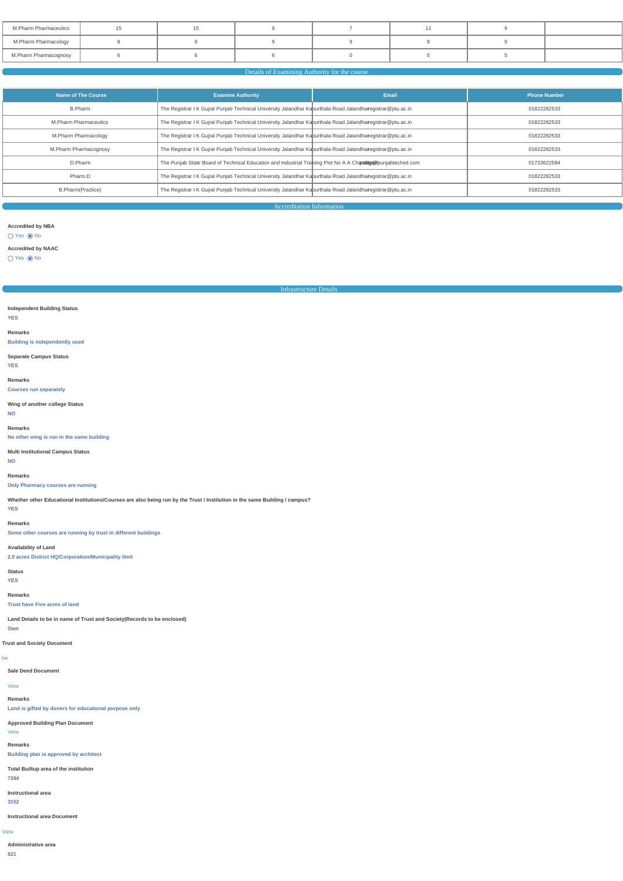| M.Pharm Pharmaceutics |  |  |  |  |
|-----------------------|--|--|--|--|
| M.Pharm Pharmacology  |  |  |  |  |
| M.Pharm Pharmacognosy |  |  |  |  |

# Details of Examining Authority for the cours

| Name of The Course           | <b>Examine Authority</b>                                                                                         | Email | <b>Phone Number</b> |
|------------------------------|------------------------------------------------------------------------------------------------------------------|-------|---------------------|
| B.Pharm                      | The Registrar I K Gujral Punjab Technical University Jalandhar Kapurthala Road Jalandharegistrar@ptu.ac.in       |       | 01822282533         |
| <b>M.Pharm Pharmaceutics</b> | The Registrar I K Gujral Punjab Technical University Jalandhar Kapurthala Road Jalandharegistrar@ptu.ac.in       |       | 01822282533         |
| M.Pharm Pharmacology         | The Registrar I K Gujral Punjab Technical University Jalandhar Kapurthala Road Jalandharegistrar@ptu.ac.in       |       | 01822282533         |
| M.Pharm Pharmacognosy        | The Registrar I K Gujral Punjab Technical University Jalandhar Kapurthala Road Jalandharegistrar@ptu.ac.in       |       | 01822282533         |
| D.Pharm                      | The Punjab State Board of Technical Education and Industrial Training Plot No A A Chars dites openiable ched.com |       | 01722622584         |
| Pharm.D                      | The Registrar I K Gujral Punjab Technical University Jalandhar Kapurthala Road Jalandharegistrar@ptu.ac.in       |       | 01822282533         |
| B.Pharm(Practice)            | The Registrar I K Gujral Punjab Technical University Jalandhar Kapurthala Road Jalandharregistrar@ptu.ac.in      |       | 01822282533         |

Accreditation Information

## **Accredited by NBA**

 $O$  Yes  $\odot$  No

# **Accredited by NAAC**

 $\bigcirc$  Yes  $\circledcirc$  No

Infrastructure Details

## **Independent Building Status YES**

### **Remarks**

**Building is independently used**

# **Separate Campus Status**

**YES**

#### **Remarks**

**Courses run separately**

# **Wing of another college Status NO**

**Remarks**

## **No other wing is run in the same building**

**Multi Institutional Campus Status**

### **NO**

**Remarks**

## **Only Pharmacy courses are running**

**Whether other Educational Institutions/Courses are also being run by the Trust / Institution in the same Building / campus?**

# **YES Remarks**

**Some other courses are running by trust in different buildings**

# **Availability of Land**

**2.0 acres District HQ/Corporation/Municipality limit**

# **Status**

**YES**

# **Remarks**

**Trust have Five acres of land**

**Land Details to be in name of Trust and Society(Records to be enclosed)**

# **Own**

**Trust and Society Document**

#### **Sale Deed Document**

### [View](https://dgpm.nic.in/institute/getmongoPdfFile.do?renreceiptid=bab007f8-0a5d-418d-a3f9-cd04df85dc18&tablename=saledeed)

### **Remarks**

**Land is gifted by doners for educational purpose only**

**Approved Building Plan Document**

### [View](https://dgpm.nic.in/institute/getmongoPdfFile.do?renreceiptid=507647b1-fa28-47c0-a0c0-9ab88dfdd965&tablename=approvedbuildingplan)

**Remarks**

**Building plan is approved by architect**

**Total Builtup area of the institution**

**7394**

**Instructional area**

**3152**

### [View](https://dgpm.nic.in/institute/getmongoPdfFile.do?renreceiptid=5a2360fd-120e-4dbc-b2cf-8678c7252941&tablename=instructionalarea)

**Instructional area Document**

**Administrative area**

**621**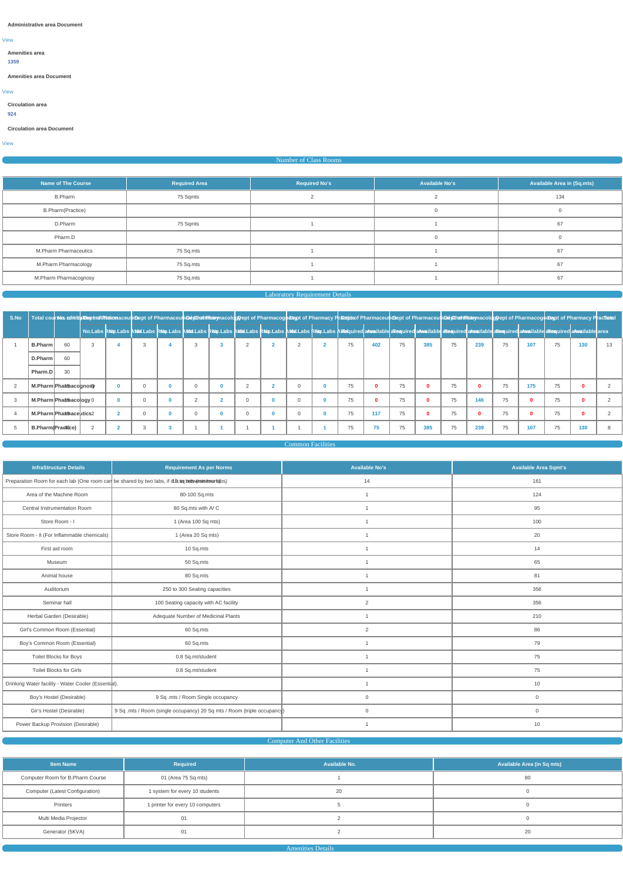[View](https://dgpm.nic.in/institute/getmongoPdfFile.do?renreceiptid=19ef0eb1-950b-42b7-abd9-184f620d90ad&tablename=administrativearea)

## **Administrative area Document**

# **Amenities area**

**1359**

# [View](https://dgpm.nic.in/institute/getmongoPdfFile.do?renreceiptid=44466a1a-1802-44aa-951a-2f100000c581&tablename=amenitiesarea)

**Amenities area Document**

**Circulation area**

# **924**

[View](https://dgpm.nic.in/institute/getmongoPdfFile.do?renreceiptid=31c9bfde-d1b3-4fed-be7b-062eafe8c94e&tablename=circulationarea)

**Circulation area Document**

# Number of Class Rooms

| <b>Name of The Course</b>    | <b>Required Area</b> | <b>Required No's</b> | <b>Available No's</b> | Available Area in (Sq.mts) |
|------------------------------|----------------------|----------------------|-----------------------|----------------------------|
| <b>B.Pharm</b>               | 75 Sqmts             |                      |                       | 134                        |
| <b>B.Pharm(Practice)</b>     |                      |                      | $\Omega$              |                            |
| D.Pharm                      | 75 Sqmts             |                      |                       | 67                         |
| Pharm.D                      |                      |                      | $\Omega$              |                            |
| <b>M.Pharm Pharmaceutics</b> | 75 Sq.mts            |                      |                       | 67                         |
| M.Pharm Pharmacology         | 75 Sq.mts            |                      |                       | 67                         |
| M.Pharm Pharmacognosy        | 75 Sq.mts            |                      |                       | 67                         |

# Laboratory Requirement Details

| S.No |                   |                           |   |  |          |              |               | Total courses ninitig Executionaceutioney of Pharmaceution Marmaceution and Courtes and Division of Pharmaceution of Pharmaceution of Pharmaceution of Pharmaceution of Pharmaceution Marmaceution Marmaceution and the marmac |          |    |              |    |     |    |     |    |              |    |              |    |
|------|-------------------|---------------------------|---|--|----------|--------------|---------------|--------------------------------------------------------------------------------------------------------------------------------------------------------------------------------------------------------------------------------|----------|----|--------------|----|-----|----|-----|----|--------------|----|--------------|----|
|      |                   |                           |   |  |          |              |               | No.Labs Relip.Labs A Musl.Labs Relip.Labs A Musl.Labs Relip.Labs A Musl.Labs Relip.Labs A Musl.Labs Relip.Labs A Musl.Labs Relip.Labs A Musl.Labs Relip.Labs A Musl.Labs Relip.Labs A Musl.Labs A Musl.Labs A Musl.Labs A Musl |          |    |              |    |     |    |     |    |              |    |              |    |
|      | B.Pharm           | 60                        | 3 |  | 3        |              | 2             |                                                                                                                                                                                                                                |          | 75 | 402          | 75 | 385 | 75 | 239 | 75 | 107          | 75 | 130          | 13 |
|      | D.Pharm           | 60                        |   |  |          |              |               |                                                                                                                                                                                                                                |          |    |              |    |     |    |     |    |              |    |              |    |
|      | Pharm.D           | 30                        |   |  |          |              |               |                                                                                                                                                                                                                                |          |    |              |    |     |    |     |    |              |    |              |    |
|      |                   | M.Pharm Pharmacognosy     |   |  |          | $\Omega$     | $\mathcal{D}$ |                                                                                                                                                                                                                                | $\Omega$ | 75 |              | 75 |     | 75 |     | 75 | 175          | 75 |              |    |
|      |                   | M.Pharm Phant nacology 0  |   |  | $\sim$   |              | $\Omega$      | - 0                                                                                                                                                                                                                            | $\Omega$ | 75 | $\mathbf{0}$ | 75 |     | 75 | 146 | 75 | 0            | 75 | 0            |    |
| 4    |                   | M.Pharm Phant Saceutics 2 |   |  | $\Omega$ | $\mathbf{0}$ | $\Omega$      | $\Omega$                                                                                                                                                                                                                       | $\Omega$ | 75 | 117          | 75 |     | 75 |     | 75 | $\mathbf{0}$ | 75 | $\mathbf{0}$ |    |
|      | B.Pharm(Practice) |                           |   |  |          |              |               |                                                                                                                                                                                                                                |          | 75 | 75           | 75 | 385 | 75 | 239 | 75 | 107          | 75 | 130          |    |

Common Facilities

| <b>InfraStructure Details</b>               | <b>Requirement As per Norms</b>                                                                         | <b>Available No's</b> | <b>Available Area Sqmt's</b> |
|---------------------------------------------|---------------------------------------------------------------------------------------------------------|-----------------------|------------------------------|
|                                             | Preparation Room for each lab (One room can be shared by two labs, if it is sig but sweet in it worlds) | 14                    | 161                          |
| Area of the Machine Room                    | 80-100 Sq.mts                                                                                           |                       | 124                          |
| Central Instrumentation Room                | 80 Sq.mts with A/C                                                                                      |                       | 95                           |
| Store Room - I                              | 1 (Area 100 Sq mts)                                                                                     |                       | 100                          |
| Store Room - II (For Inflammable chemicals) | 1 (Area 20 Sq mts)                                                                                      |                       | 20                           |
| First aid room                              | 10 Sq.mts                                                                                               |                       | 14                           |
| Museum                                      | 50 Sq.mts                                                                                               |                       | 65                           |
| Animal house                                | 80 Sq.mts                                                                                               |                       | 81                           |
| Auditorium                                  | 250 to 300 Seating capacities                                                                           |                       | 356                          |
| Seminar hall                                | 100 Seating capacity with AC facility                                                                   | 2                     | 356                          |
| Herbal Garden (Desirable)                   | Adequate Number of Medicinal Plants                                                                     |                       | 210                          |
| Girl's Common Room (Essential)              | 60 Sq.mts                                                                                               | $\overline{2}$        | 86                           |
| Boy's Common Room (Essential)               | 60 Sq.mts                                                                                               |                       | 79                           |
| Toilet Blocks for Boys                      | 0.8 Sq.mt/student                                                                                       |                       | 75                           |
|                                             |                                                                                                         |                       |                              |

| Toilet Blocks for Girls                             | 0.8 Sq.mt/student                                                       |    |
|-----------------------------------------------------|-------------------------------------------------------------------------|----|
| Drinking Water facility - Water Cooler (Essential). |                                                                         |    |
| Boy's Hostel (Desirable)                            | 9 Sq .mts / Room Single occupancy                                       |    |
| Gir's Hostel (Desirable)                            | 9 Sq .mts / Room (single occupancy) 20 Sq mts / Room (triple occupancy) |    |
| Power Backup Provision (Desirable)                  |                                                                         | 10 |

# **Computer And Other Facilities Computer And Other Facilities**

| <b>Item Name</b>                 | Required                         | Available No. | Available Area (in Sq mts) |
|----------------------------------|----------------------------------|---------------|----------------------------|
| Computer Room for B.Pharm Course | 01 (Area 75 Sq mts)              |               | 80                         |
| Computer (Latest Configuration)  | 1 system for every 10 students   | 20            |                            |
| Printers                         | 1 printer for every 10 computers |               |                            |
| Multi Media Projector<br>U       |                                  |               |                            |
| Generator (5KVA)                 | U                                |               | 20                         |

Amenities Details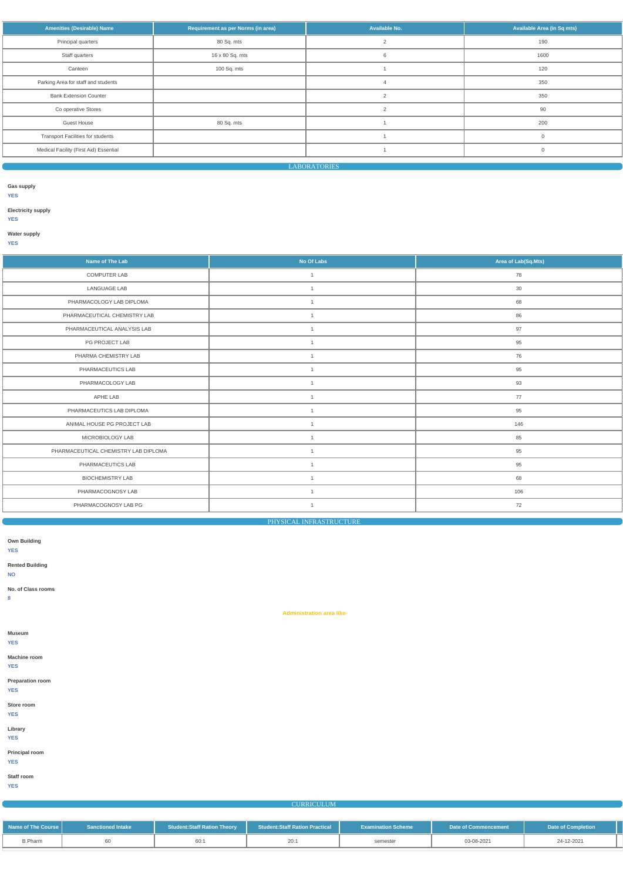| <b>Amenities (Desirable) Name</b>        | Requirement as per Norms (in area) | Available No. | Available Area (in Sq mts) |
|------------------------------------------|------------------------------------|---------------|----------------------------|
| Principal quarters                       | 80 Sq. mts                         |               | 190                        |
| Staff quarters                           | 16 x 80 Sq. mts                    | 6             | 1600                       |
| Canteen                                  | 100 Sq. mts                        |               | 120                        |
| Parking Area for staff and students      |                                    |               | 350                        |
| <b>Bank Extension Counter</b>            |                                    | $\sim$        | 350                        |
| Co operative Stores                      |                                    | $\mathcal{P}$ | 90                         |
| <b>Guest House</b>                       | 80 Sq. mts                         |               | 200                        |
| <b>Transport Facilities for students</b> |                                    |               | $\Omega$                   |
| Medical Facility (First Aid) Essential   |                                    |               | $\Omega$                   |
|                                          |                                    |               |                            |

LABORATORIES

**Gas supply**

**YES**

**Electricity supply**

**YES**

**Water supply**

**YES**

| Name of The Lab                      | No Of Labs     | Area of Lab(Sq.Mts) |
|--------------------------------------|----------------|---------------------|
| COMPUTER LAB                         | $\mathbf{1}$   | 78                  |
| LANGUAGE LAB                         | $\mathbf{1}$   | 30                  |
| PHARMACOLOGY LAB DIPLOMA             | $\mathbf{1}$   | 68                  |
| PHARMACEUTICAL CHEMISTRY LAB         | $\mathbf{1}$   | 86                  |
| PHARMACEUTICAL ANALYSIS LAB          | $\overline{1}$ | 97                  |
| PG PROJECT LAB                       | $\overline{1}$ | 95                  |
| PHARMA CHEMISTRY LAB                 | $\overline{1}$ | 76                  |
| PHARMACEUTICS LAB                    | $\overline{1}$ | 95                  |
| PHARMACOLOGY LAB                     | $\overline{1}$ | 93                  |
| APHE LAB                             | $\overline{1}$ | 77                  |
| PHARMACEUTICS LAB DIPLOMA            | $\mathbf{1}$   | 95                  |
| ANIMAL HOUSE PG PROJECT LAB          | $\overline{1}$ | 146                 |
| MICROBIOLOGY LAB                     | $\mathbf{1}$   | 85                  |
| PHARMACEUTICAL CHEMISTRY LAB DIPLOMA | $\mathbf{1}$   | 95                  |
| PHARMACEUTICS LAB                    | $\mathbf{1}$   | 95                  |
| <b>BIOCHEMISTRY LAB</b>              | $\mathbf{1}$   | 68                  |
| PHARMACOGNOSY LAB                    | $\mathbf{1}$   | 106                 |
| PHARMACOGNOSY LAB PG                 | $\mathbf{1}$   | 72                  |

PHYSICAL INFRASTRUCTURE

**Own Building**

**YES**

**Rented Building**

**NO**

**No. of Class rooms**

**8**

**Administration area like**

**Museum**

**YES**

**Machine room**

#### **YES**

| <b>Preparation room</b><br><b>YES</b> |  |  |
|---------------------------------------|--|--|
| Store room<br><b>YES</b>              |  |  |
| Library<br><b>YES</b>                 |  |  |
| Principal room<br><b>YES</b>          |  |  |
| Staff room<br><b>YES</b>              |  |  |

# **CURRICULUM**

| Name of The Course | <b>Sanctioned Intake</b> | <b>Student:Staff Ration Theory</b> | <b>Student:Staff Ration Practical</b> | <b>Examination Scheme</b> | Date of Commencement | <b>Date of Completion</b> |
|--------------------|--------------------------|------------------------------------|---------------------------------------|---------------------------|----------------------|---------------------------|
| <b>B.Pharm</b>     |                          |                                    | 20:1                                  | semester                  | 03-08-2021           | 24-12-2021                |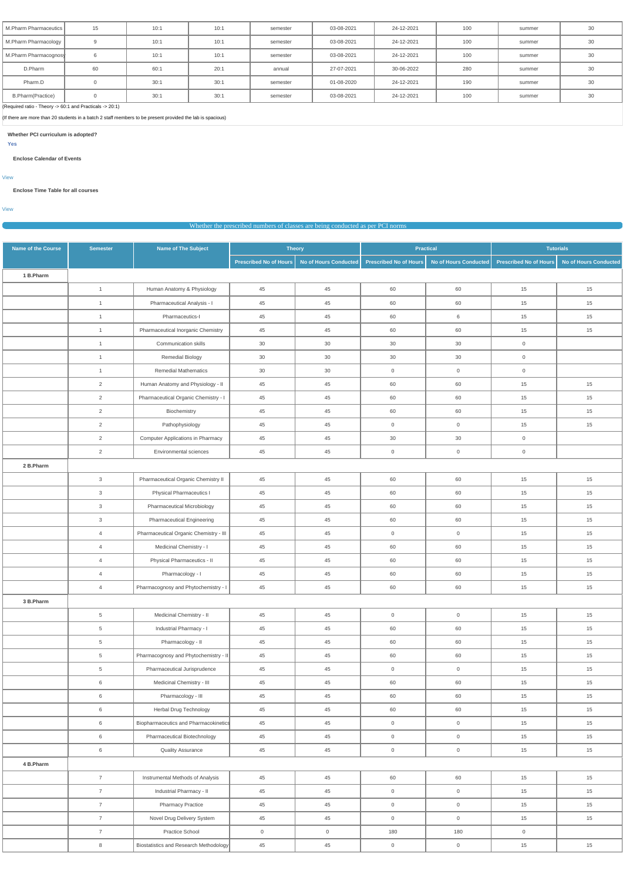| M.Pharm Pharmaceutics | 15       | 10:1 | 10:1 | semester | 03-08-2021 | 24-12-2021 | 100 | summer | $\Omega$<br>-3U |
|-----------------------|----------|------|------|----------|------------|------------|-----|--------|-----------------|
| M.Pharm Pharmacology  |          | 10:1 | 10:1 | semester | 03-08-2021 | 24-12-2021 | 100 | summer | 30              |
| M.Pharm Pharmacognosy | 6        | 10:1 | 10:1 | semester | 03-08-2021 | 24-12-2021 | 100 | summer | 30              |
| D.Pharm               | 60       | 60:1 | 20:1 | annual   | 27-07-2021 | 30-06-2022 | 280 | summer | 2C<br>.JU       |
| Pharm.D               |          | 30:1 | 30:1 | semester | 01-08-2020 | 24-12-2021 | 190 | summer | 30              |
| B.Pharm(Practice)     | $\Omega$ | 30:1 | 30:1 | semester | 03-08-2021 | 24-12-2021 | 100 | summer | or.             |

(Required ratio - Theory -> 60:1 and Practicals -> 20:1)

(If there are more than 20 students in a batch 2 staff members to be present provided the lab is spacious)

**Whether PCI curriculum is adopted?**

**Yes**

## **Enclose Calendar of Events**

[View](https://dgpm.nic.in/institute/getmongoPdfFile.do?renreceiptid=735ffcc6-b9d0-4903-a435-7c73b685d5e1&tablename=curriculam)

## **Enclose Time Table for all courses**

[View](https://dgpm.nic.in/institute/getmongoPdfFile.do?renreceiptid=ef4ad324-53c1-471c-93a4-616bf780822a&tablename=timetable)

|                           | Whether the prescribed numbers of classes are being conducted as per PCI norms |                                          |                               |                       |                               |                       |                               |                              |  |  |
|---------------------------|--------------------------------------------------------------------------------|------------------------------------------|-------------------------------|-----------------------|-------------------------------|-----------------------|-------------------------------|------------------------------|--|--|
| <b>Name of the Course</b> | <b>Semester</b>                                                                | <b>Name of The Subject</b>               |                               | <b>Theory</b>         | <b>Practical</b>              |                       |                               | <b>Tutorials</b>             |  |  |
|                           |                                                                                |                                          | <b>Prescribed No of Hours</b> | No of Hours Conducted | <b>Prescribed No of Hours</b> | No of Hours Conducted | <b>Prescribed No of Hours</b> | <b>No of Hours Conducted</b> |  |  |
| 1 B.Pharm                 |                                                                                |                                          |                               |                       |                               |                       |                               |                              |  |  |
|                           | $\overline{1}$                                                                 | Human Anatomy & Physiology               | 45                            | 45                    | 60                            | 60                    | 15                            | 15                           |  |  |
|                           | $\overline{1}$                                                                 | Pharmaceutical Analysis - I              | 45                            | 45                    | 60                            | 60                    | 15                            | 15                           |  |  |
|                           | $\overline{1}$                                                                 | Pharmaceutics-I                          | 45                            | 45                    | 60                            | 6                     | 15                            | 15                           |  |  |
|                           | $\overline{1}$                                                                 | Pharmaceutical Inorganic Chemistry       | 45                            | 45                    | 60                            | 60                    | 15                            | 15                           |  |  |
|                           | $\overline{1}$                                                                 | Communication skills                     | 30                            | 30                    | 30                            | 30                    | $\overline{0}$                |                              |  |  |
|                           | $\overline{1}$                                                                 | <b>Remedial Biology</b>                  | 30                            | 30                    | 30                            | 30                    | $\overline{0}$                |                              |  |  |
|                           | $\overline{1}$                                                                 | <b>Remedial Mathematics</b>              | 30                            | 30                    | $\overline{0}$                | $\overline{0}$        | $\overline{0}$                |                              |  |  |
|                           | $\overline{2}$                                                                 | Human Anatomy and Physiology - II        | 45                            | 45                    | 60                            | 60                    | 15                            | 15                           |  |  |
|                           | 2                                                                              | Pharmaceutical Organic Chemistry - I     | 45                            | 45                    | 60                            | 60                    | 15                            | 15                           |  |  |
|                           | $\overline{2}$                                                                 | Biochemistry                             | 45                            | 45                    | 60                            | 60                    | 15                            | 15                           |  |  |
|                           | $\overline{2}$                                                                 | Pathophysiology                          | 45                            | 45                    | $\mathsf{O}\xspace$           | $\overline{0}$        | 15                            | 15                           |  |  |
|                           | $\overline{2}$                                                                 | <b>Computer Applications in Pharmacy</b> | 45                            | 45                    | 30                            | 30                    | $\overline{0}$                |                              |  |  |
|                           | $\overline{2}$                                                                 | Environmental sciences                   | 45                            | 45                    | $\mathsf{O}\xspace$           | $\overline{0}$        | $\overline{0}$                |                              |  |  |
| 2 B.Pharm                 |                                                                                |                                          |                               |                       |                               |                       |                               |                              |  |  |
|                           | $\mathbf{3}$                                                                   | Pharmaceutical Organic Chemistry II      | 45                            | 45                    | 60                            | 60                    | 15                            | 15                           |  |  |
|                           | $\mathbf{3}$                                                                   | Physical Pharmaceutics I                 | 45                            | 45                    | 60                            | 60                    | 15                            | 15                           |  |  |
|                           | $\mathbf{3}$                                                                   | Pharmaceutical Microbiology              | 45                            | 45                    | 60                            | 60                    | 15                            | 15                           |  |  |
|                           | $\mathbf{3}$                                                                   | <b>Pharmaceutical Engineering</b>        | 45                            | 45                    | 60                            | 60                    | 15                            | 15                           |  |  |
|                           | $\overline{4}$                                                                 | Pharmaceutical Organic Chemistry - III   | 45                            | 45                    | $\overline{0}$                | $\overline{0}$        | 15                            | 15                           |  |  |
|                           | $\overline{4}$                                                                 | Medicinal Chemistry - I                  | 45                            | 45                    | 60                            | 60                    | 15                            | 15                           |  |  |
|                           | $\overline{4}$                                                                 | Physical Pharmaceutics - II              | 45                            | 45                    | 60                            | 60                    | 15                            | 15                           |  |  |
|                           | $\overline{4}$                                                                 | Pharmacology - I                         | 45                            | $45\,$                | 60                            | 60                    | 15                            | 15                           |  |  |
|                           | $\overline{4}$                                                                 | Pharmacognosy and Phytochemistry - I     | 45                            | $45\,$                | 60                            | 60                    | 15                            | 15                           |  |  |
| 3 B.Pharm                 |                                                                                |                                          |                               |                       |                               |                       |                               |                              |  |  |
|                           | $5\overline{)}$                                                                | Medicinal Chemistry - II                 | 45                            | $45\,$                | $\mathsf{O}\xspace$           | $\mathsf{O}\xspace$   | 15                            | 15                           |  |  |
|                           | $5\overline{)}$                                                                | Industrial Pharmacy - I                  | 45                            | $45\,$                | 60                            | 60                    | 15                            | 15                           |  |  |
|                           | 5 <sub>5</sub>                                                                 | Pharmacology - II                        | 45                            | $45\,$                | 60                            | 60                    | 15                            | 15                           |  |  |

|           |                | Pharmaceutical Jurisprudence           | 45          | 45             | $\Omega$       | $\cap$         | 15             | 15 |
|-----------|----------------|----------------------------------------|-------------|----------------|----------------|----------------|----------------|----|
|           | 6              | Medicinal Chemistry - III              | 45          | 45             | 60             | 60             | 15             | 15 |
|           | 6              | Pharmacology - III                     | 45          | 45             | 60             | 60             | 15             | 15 |
|           | 6              | Herbal Drug Technology                 | 45          | 45             | 60             | 60             | 15             | 15 |
|           | 6              | Biopharmaceutics and Pharmacokinetics  | 45          | 45             | $\mathbf 0$    | $\Omega$       | 15             | 15 |
|           | 6              | Pharmaceutical Biotechnology           | 45          | 45             | $\mathbf 0$    | $\overline{0}$ | 15             | 15 |
|           | 6              | <b>Quality Assurance</b>               | 45          | 45             | $\mathbf 0$    | $\overline{0}$ | 15             | 15 |
| 4 B.Pharm |                |                                        |             |                |                |                |                |    |
|           | $\overline{ }$ | Instrumental Methods of Analysis       | 45          | 45             | 60             | 60             | 15             | 15 |
|           |                | Industrial Pharmacy - II               | 45          | 45             | $\overline{0}$ | $\overline{0}$ | 15             | 15 |
|           | $\overline{7}$ | <b>Pharmacy Practice</b>               | 45          | 45             | $\overline{0}$ | $\overline{0}$ | 15             | 15 |
|           |                | Novel Drug Delivery System             | 45          | 45             | $\overline{0}$ | 0              | 15             | 15 |
|           |                | <b>Practice School</b>                 | $\mathbf 0$ | $\overline{0}$ | 180            | 180            | $\overline{0}$ |    |
|           | 8              | Biostatistics and Research Methodology | 45          | 45             | $\overline{0}$ | $\overline{0}$ | 15             | 15 |

5 Pharmacognosy and Phytochemistry - II 45 45 45 60 60 60 15 15 15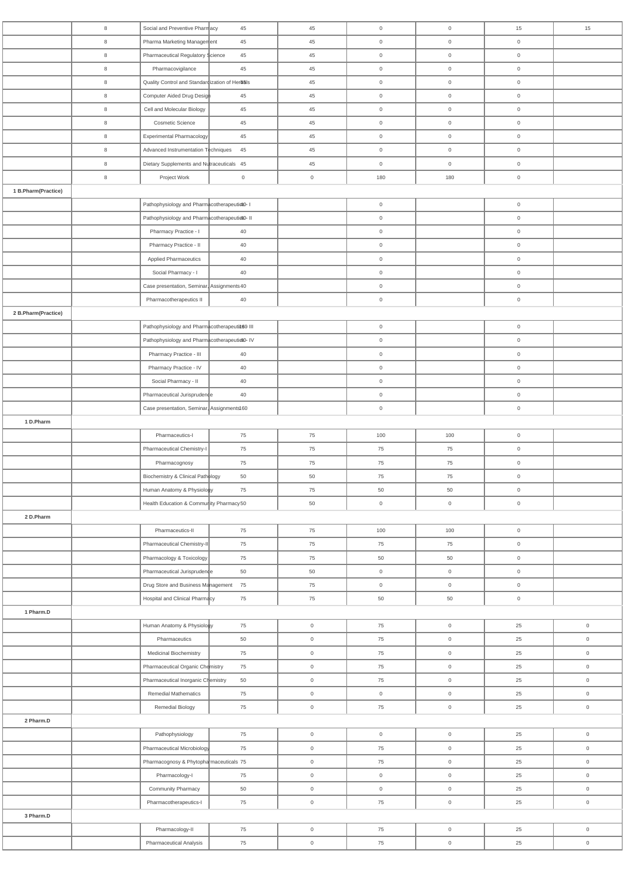|                     | 8              | Social and Preventive Pharmacy                 | 45             | 45                  | $\overline{0}$      | $\overline{0}$      | 15                  | 15                  |
|---------------------|----------------|------------------------------------------------|----------------|---------------------|---------------------|---------------------|---------------------|---------------------|
|                     | 8              | Pharma Marketing Management                    | 45             | 45                  | $\overline{0}$      | $\overline{0}$      | $\overline{0}$      |                     |
|                     | 8              | Pharmaceutical Regulatory \$cience             | 45             | 45                  | $\overline{0}$      | $\overline{0}$      | $\overline{0}$      |                     |
|                     | $8\phantom{1}$ | Pharmacovigilance                              | 45             | 45                  | $\mathbf 0$         | $\overline{0}$      | $\overline{0}$      |                     |
|                     | 8              | Quality Control and Standardization of Herbals |                | 45                  | $\mathbf 0$         | $\overline{0}$      | $\mathbf 0$         |                     |
|                     | 8              | Computer Aided Drug Design                     | 45             | 45                  | $\mathbf 0$         | $\overline{0}$      | $\mathsf 0$         |                     |
|                     |                |                                                |                |                     |                     |                     |                     |                     |
|                     | 8              | Cell and Molecular Biology                     | 45             | 45                  | $\overline{0}$      | $\overline{0}$      | $\overline{0}$      |                     |
|                     | 8              | Cosmetic Science                               | 45             | 45                  | $\boldsymbol{0}$    | $\overline{0}$      | $\overline{0}$      |                     |
|                     | 8              | Experimental Pharmacology                      | 45             | 45                  | $\boldsymbol{0}$    | $\overline{0}$      | $\overline{0}$      |                     |
|                     | 8              | Advanced Instrumentation Techniques            | 45             | 45                  | $\boldsymbol{0}$    | $\overline{0}$      | $\overline{0}$      |                     |
|                     | 8              | Dietary Supplements and Nutraceuticals 45      |                | 45                  | $\overline{0}$      | $\overline{0}$      | $\overline{0}$      |                     |
|                     | $8\phantom{1}$ | Project Work                                   | $\overline{0}$ | $\mathsf 0$         | 180                 | 180                 | $\overline{0}$      |                     |
| 1 B.Pharm(Practice) |                |                                                |                |                     |                     |                     |                     |                     |
|                     |                | Pathophysiology and PharmacotherapeutictO-1    |                |                     | $\mathbf 0$         |                     | $\mathbf 0$         |                     |
|                     |                | Pathophysiology and PharmacotherapeutictO- II  |                |                     | $\boldsymbol{0}$    |                     | $\overline{0}$      |                     |
|                     |                | Pharmacy Practice - I                          | 40             |                     | $\boldsymbol{0}$    |                     | $\overline{0}$      |                     |
|                     |                | Pharmacy Practice - II                         | 40             |                     | $\boldsymbol{0}$    |                     | $\overline{0}$      |                     |
|                     |                | <b>Applied Pharmaceutics</b>                   | 40             |                     | $\overline{0}$      |                     | $\overline{0}$      |                     |
|                     |                | Social Pharmacy - I                            | 40             |                     | $\mathbf 0$         |                     | $\mathsf 0$         |                     |
|                     |                | Case presentation, Seminar, Assignments 40     |                |                     | $\mathbf 0$         |                     | $\overline{0}$      |                     |
|                     |                | Pharmacotherapeutics II                        | 40             |                     | $\mathbf 0$         |                     | $\overline{0}$      |                     |
|                     |                |                                                |                |                     |                     |                     |                     |                     |
| 2 B.Pharm(Practice) |                |                                                |                |                     |                     |                     |                     |                     |
|                     |                | Pathophysiology and Pharmacotherapeutit60 III  |                |                     | $\boldsymbol{0}$    |                     | $\mathbf 0$         |                     |
|                     |                | Pathophysiology and Pharmacotherapeuticto-IV   |                |                     | $\overline{0}$      |                     | $\overline{0}$      |                     |
|                     |                | Pharmacy Practice - III                        | 40             |                     | $\boldsymbol{0}$    |                     | $\overline{0}$      |                     |
|                     |                | Pharmacy Practice - IV                         | 40             |                     | $\boldsymbol{0}$    |                     | $\overline{0}$      |                     |
|                     |                | Social Pharmacy - II                           | 40             |                     | $\boldsymbol{0}$    |                     | $\overline{0}$      |                     |
|                     |                | Pharmaceutical Jurisprudence                   | 40             |                     | $\mathbf 0$         |                     | $\overline{0}$      |                     |
|                     |                | Case presentation, Seminar, Assignments160     |                |                     | $\boldsymbol{0}$    |                     | $\overline{0}$      |                     |
| 1 D.Pharm           |                |                                                |                |                     |                     |                     |                     |                     |
|                     |                | Pharmaceutics-I                                | 75             | 75                  | 100                 | 100                 | $\mathsf{O}\xspace$ |                     |
|                     |                | Pharmaceutical Chemistry-I                     | 75             | 75                  | 75                  | 75                  | $\overline{0}$      |                     |
|                     |                | Pharmacognosy                                  | 75             | 75                  | 75                  | 75                  | $\overline{0}$      |                     |
|                     |                | Biochemistry & Clinical Pathology              | 50             | 50                  | 75                  | 75                  | $\overline{0}$      |                     |
|                     |                | Human Anatomy & Physiology                     | 75             | 75                  | 50                  | 50                  | $\overline{0}$      |                     |
|                     |                | Health Education & Community Pharmacy50        |                | 50                  | $\boldsymbol{0}$    | $\overline{0}$      | $\overline{0}$      |                     |
| 2 D.Pharm           |                |                                                |                |                     |                     |                     |                     |                     |
|                     |                | Pharmaceutics-II                               | 75             | 75                  | 100                 | 100                 | $\mathbf 0$         |                     |
|                     |                | Pharmaceutical Chemistry-II                    |                | 75                  |                     |                     |                     |                     |
|                     |                |                                                | 75             |                     | 75                  | 75                  | $\overline{0}$      |                     |
|                     |                | Pharmacology & Toxicology                      | 75             | 75                  | 50                  | 50                  | $\overline{0}$      |                     |
|                     |                | Pharmaceutical Jurisprudence                   | 50             | 50                  | $\boldsymbol{0}$    | $\mathsf{O}\xspace$ | $\overline{0}$      |                     |
|                     |                | Drug Store and Business Management 75          |                | 75                  | $\mathbf 0$         | $\overline{0}$      | $\overline{0}$      |                     |
|                     |                | Hospital and Clinical Pharmacy                 | 75             | 75                  | 50                  | 50                  | $\overline{0}$      |                     |
| 1 Pharm.D           |                |                                                |                |                     |                     |                     |                     |                     |
|                     |                | Human Anatomy & Physiology                     | 75             | $\mathsf{O}\xspace$ | 75                  | $\overline{0}$      | 25                  | $\mathsf{O}\xspace$ |
|                     |                | Pharmaceutics                                  | 50             | $\overline{0}$      | 75                  | $\overline{0}$      | 25                  | $\mathsf 0$         |
|                     |                | Medicinal Biochemistry                         | 75             | $\mathsf{O}\xspace$ | 75                  | $\overline{0}$      | 25                  | $\mathsf 0$         |
|                     |                | Pharmaceutical Organic Chemistry               | 75             | $\mathsf{O}\xspace$ | 75                  | $\overline{0}$      | 25                  | $\mathsf 0$         |
|                     |                | Pharmaceutical Inorganic Chemistry             | 50             | $\overline{0}$      | 75                  | $\overline{0}$      | 25                  | $\overline{0}$      |
|                     |                | <b>Remedial Mathematics</b>                    | 75             | $\mathsf{O}\xspace$ | $\mathsf{O}\xspace$ | $\mathsf{O}\xspace$ | 25                  | $\mathsf{O}\xspace$ |
|                     |                | Remedial Biology                               | 75             | $\mathsf{O}\xspace$ | 75                  | $\mathsf{O}\xspace$ | 25                  | $\mathsf{O}\xspace$ |
| 2 Pharm.D           |                |                                                |                |                     |                     |                     |                     |                     |
|                     |                | Pathophysiology                                | 75             | $\mathsf{O}\xspace$ | $\mathsf{O}\xspace$ | $\overline{0}$      | 25                  | $\mathsf{O}\xspace$ |
|                     |                | Pharmaceutical Microbiology                    | 75             | $\mathsf{O}\xspace$ | 75                  | $\overline{0}$      | 25                  | $\mathsf{O}\xspace$ |
|                     |                | Pharmacognosy & Phytopharmaceuticals 75        |                | $\mathsf{O}\xspace$ | 75                  | $\mathsf{O}\xspace$ | 25                  | $\mathsf{O}\xspace$ |
|                     |                | Pharmacology-I                                 | 75             | $\mathsf{O}\xspace$ | $\mathsf{O}\xspace$ | $\mathsf{O}\xspace$ | 25                  | $\mathsf{O}\xspace$ |
|                     |                | Community Pharmacy                             | 50             | $\mathsf{O}\xspace$ | $\mathsf{O}\xspace$ | $\mathsf{O}$        | 25                  | $\mathsf{O}\xspace$ |
|                     |                | Pharmacotherapeutics-I                         |                |                     | 75                  |                     |                     |                     |
|                     |                |                                                | 75             | $\mathsf{O}\xspace$ |                     | $\mathsf{O}\xspace$ | 25                  | $\mathsf{O}\xspace$ |
| 3 Pharm.D           |                |                                                |                |                     |                     |                     |                     |                     |
|                     |                | Pharmacology-II                                | 75             | $\mathsf{O}\xspace$ | 75                  | $\mathsf{O}$        | 25                  | $\mathsf{O}\xspace$ |
|                     |                | Pharmaceutical Analysis                        | 75             | $\mathsf{O}$        | 75                  | $\mathbf 0$         | 25                  | $\mathsf{O}\xspace$ |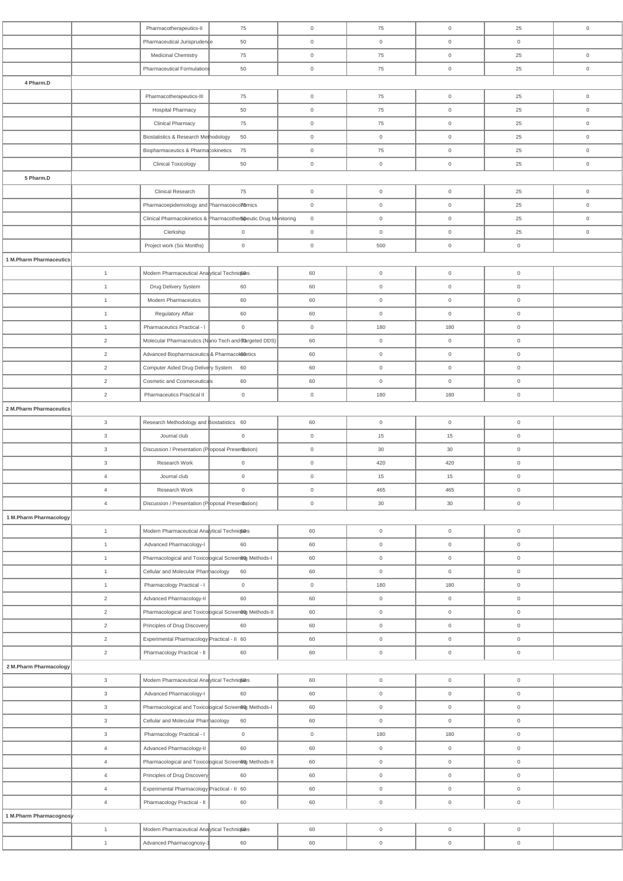|                         |                | Pharmacotherapeutics-II                                 | 75                                                               | $\overline{0}$ | 75                  | $\mathbf 0$         | 25                  | $\mathbf 0$         |
|-------------------------|----------------|---------------------------------------------------------|------------------------------------------------------------------|----------------|---------------------|---------------------|---------------------|---------------------|
|                         |                | Pharmaceutical Jurisprudence                            | 50                                                               | $\overline{0}$ | $\overline{0}$      | $\mathbf 0$         | $\overline{0}$      |                     |
|                         |                | <b>Medicinal Chemistry</b>                              | 75                                                               | $\overline{0}$ | 75                  | $\mathsf{O}\xspace$ | 25                  | $\overline{0}$      |
|                         |                | Pharmaceutical Formulations                             | 50                                                               | $\overline{0}$ | 75                  | $\mathsf{O}$        | 25                  | $\mathbb O$         |
| 4 Pharm.D               |                |                                                         |                                                                  |                |                     |                     |                     |                     |
|                         |                |                                                         |                                                                  |                |                     |                     |                     |                     |
|                         |                | Pharmacotherapeutics-III                                | 75                                                               | $\overline{0}$ | 75                  | $\mathsf{O}\xspace$ | 25                  | $\mathsf{O}$        |
|                         |                | <b>Hospital Pharmacy</b>                                | 50                                                               | $\overline{0}$ | 75                  | $\mathbf 0$         | 25                  | $\overline{0}$      |
|                         |                | <b>Clinical Pharmacy</b>                                | 75                                                               | $\overline{0}$ | 75                  | $\mathbf 0$         | 25                  | $\mathbb O$         |
|                         |                | Biostatistics & Research Methodology                    | 50                                                               | $\overline{0}$ | $\overline{0}$      | $\mathbf 0$         | 25                  | $\mathbb O$         |
|                         |                | Biopharmaceutics & Pharmacokinetics                     | 75                                                               | $\overline{0}$ | 75                  | $\mathsf{O}\xspace$ | 25                  | $\overline{0}$      |
|                         |                | <b>Clinical Toxicology</b>                              | 50                                                               | $\overline{0}$ | $\overline{0}$      | $\mathsf{O}\xspace$ | 25                  | $\mathbb O$         |
| 5 Pharm.D               |                |                                                         |                                                                  |                |                     |                     |                     |                     |
|                         |                | <b>Clinical Research</b>                                | 75                                                               | $\overline{0}$ | $\overline{0}$      | $\mathsf{O}\xspace$ | 25                  | $\overline{0}$      |
|                         |                | Pharmacoepidemiology and Pharmacoecon6mics              |                                                                  | $\overline{0}$ | $\overline{0}$      | $\mathbf 0$         | 25                  | $\mathsf{O}\xspace$ |
|                         |                |                                                         | Clinical Pharmacokinetics & Pharmacother Speutic Drug Monitoring | $\overline{0}$ | $\overline{0}$      | $\mathbf 0$         | 25                  | $\overline{0}$      |
|                         |                | Clerkship                                               | $\mathsf{O}\xspace$                                              | $\overline{0}$ | $\overline{0}$      | $\mathsf{O}\xspace$ | 25                  | $\overline{0}$      |
|                         |                |                                                         | $\mathsf{O}\xspace$                                              |                | 500                 |                     |                     |                     |
|                         |                | Project work (Six Months)                               |                                                                  | $\overline{0}$ |                     | $\mathsf{O}\xspace$ | $\mathsf{O}\xspace$ |                     |
| 1 M.Pharm Pharmaceutics |                |                                                         |                                                                  |                |                     |                     |                     |                     |
|                         | $\mathbf{1}$   | Modern Pharmaceutical Analytical Technic®               |                                                                  | 60             | $\overline{0}$      | $\mathsf{O}\xspace$ | $\,0\,$             |                     |
|                         | $\mathbf{1}$   | Drug Delivery System                                    | 60                                                               | 60             | $\overline{0}$      | $\mathsf{O}\xspace$ | $\mathsf{O}\xspace$ |                     |
|                         | $\mathbf{1}$   | <b>Modern Pharmaceutics</b>                             | 60                                                               | 60             | $\mathsf{O}\xspace$ | $\mathsf{O}$        | $\mathsf{O}\xspace$ |                     |
|                         | $\overline{1}$ | Regulatory Affair                                       | 60                                                               | 60             | $\overline{0}$      | $\overline{0}$      | $\mathsf{O}\xspace$ |                     |
|                         | $\overline{1}$ | Pharmaceutics Practical - I                             | $\mathbf 0$                                                      | $\overline{0}$ | 180                 | 180                 | $\boldsymbol{0}$    |                     |
|                         | $\overline{2}$ |                                                         | Molecular Pharmaceutics (Nano Tech and alargeted DDS)            | 60             | $\overline{0}$      | $\mathsf{O}\xspace$ | $\mathsf{O}\xspace$ |                     |
|                         | $\overline{2}$ | Advanced Biopharmaceutics & Pharmacolonetics            |                                                                  | 60             | $\boldsymbol{0}$    | $\mathsf{O}\xspace$ | $\mathsf{O}\xspace$ |                     |
|                         | 2              | Computer Aided Drug Delivery System 60                  |                                                                  | 60             | $\boldsymbol{0}$    | $\mathsf{O}\xspace$ | $\mathsf{O}\xspace$ |                     |
|                         | 2              | Cosmetic and Cosmeceuticals                             | 60                                                               | 60             | $\overline{0}$      | $\overline{0}$      | $\overline{0}$      |                     |
|                         | 2              | Pharmaceutics Practical II                              | $\overline{0}$                                                   | $\overline{0}$ | 180                 | 180                 | $\mathsf{O}\xspace$ |                     |
|                         |                |                                                         |                                                                  |                |                     |                     |                     |                     |
| 2 M.Pharm Pharmaceutics |                |                                                         |                                                                  |                |                     |                     |                     |                     |
|                         | $\mathbf{3}$   | Research Methodology and Biostatistics 60               |                                                                  | 60             | $\overline{0}$      | $\mathsf{O}\xspace$ | $\mathsf{O}\xspace$ |                     |
|                         | $\mathbf{3}$   | Journal club                                            | $\overline{0}$                                                   | $\overline{0}$ | 15                  | 15                  | $\mathsf{O}\xspace$ |                     |
|                         | $\mathbf{3}$   | Discussion / Presentation (Proposal Preser0ation)       |                                                                  | $\overline{0}$ | 30                  | 30                  | $\mathsf{O}\xspace$ |                     |
|                         | $\mathbf{3}$   | Research Work                                           | $\mathbf 0$                                                      | $\overline{0}$ | 420                 | 420                 | $\boldsymbol{0}$    |                     |
|                         | $\overline{4}$ | Journal club                                            | $\mathsf{O}\xspace$                                              | $\overline{0}$ | 15                  | 15                  | $\overline{0}$      |                     |
|                         | $\overline{4}$ | Research Work                                           | $\mathsf{O}\xspace$                                              | $\overline{0}$ | 465                 | 465                 | $\mathsf{O}\xspace$ |                     |
|                         | $\overline{4}$ | Discussion / Presentation (Poposal Preserdation)        |                                                                  | $\overline{0}$ | 30                  | 30                  | $\mathsf{O}\xspace$ |                     |
| 1 M.Pharm Pharmacology  |                |                                                         |                                                                  |                |                     |                     |                     |                     |
|                         | $\mathbf{1}$   | Modern Pharmaceutical Analytical Techniq Ces            |                                                                  | 60             | $\mathsf{O}\xspace$ | $\mathbf 0$         | $\mathsf{O}\xspace$ |                     |
|                         | $\overline{1}$ | Advanced Pharmacology-I                                 | 60                                                               | 60             | $\mathbf 0$         | $\overline{0}$      | $\mathsf{O}\xspace$ |                     |
|                         | $\overline{1}$ | Pharmacological and Toxicological Screenting Methods-I  |                                                                  | 60             | $\overline{0}$      | $\overline{0}$      | $\mathsf{O}\xspace$ |                     |
|                         |                |                                                         |                                                                  |                |                     |                     |                     |                     |
|                         | $\overline{1}$ | Cellular and Molecular Pharmacology                     | 60                                                               | 60             | $\overline{0}$      | $\mathbf 0$         | $\mathsf{O}\xspace$ |                     |
|                         | $\overline{1}$ | Pharmacology Practical - I                              | $\overline{0}$                                                   | $\overline{0}$ | 180                 | 180                 | $\mathsf{O}\xspace$ |                     |
|                         | 2              | Advanced Pharmacology-II                                | 60                                                               | 60             | $\overline{0}$      | $\overline{0}$      | $\overline{0}$      |                     |
|                         | 2              | Pharmacological and Toxicological Screen60g Methods-II  |                                                                  | 60             | $\overline{0}$      | $\overline{0}$      | $\overline{0}$      |                     |
|                         | 2              | Principles of Drug Discovery                            | 60                                                               | 60             | $\overline{0}$      | $\mathbf 0$         | $\mathsf{O}\xspace$ |                     |
|                         | $\overline{2}$ | Experimental Pharmacology Practical - II 60             |                                                                  | 60             | $\overline{0}$      | $\mathbf 0$         | $\mathsf{O}\xspace$ |                     |
|                         | $\overline{2}$ | Pharmacology Practical - II                             | 60                                                               | 60             | $\mathbf 0$         | $\overline{0}$      | $\mathsf{O}\xspace$ |                     |
| 2 M.Pharm Pharmacology  |                |                                                         |                                                                  |                |                     |                     |                     |                     |
|                         | 3 <sup>3</sup> | Modern Pharmaceutical Ana ytical Technic                |                                                                  | 60             | $\overline{0}$      | $\overline{0}$      | $\overline{0}$      |                     |
|                         | $\mathbf{3}$   | Advanced Pharmacology-I                                 | 60                                                               | 60             | $\overline{0}$      | $\mathsf{O}\xspace$ | $\mathsf{O}\xspace$ |                     |
|                         | $\mathbf{3}$   | Pharmacological and Toxicooojgical Screenting Methods-I |                                                                  | 60             | $\mathsf{O}\xspace$ | $\mathsf{O}\xspace$ | $\mathsf{O}\xspace$ |                     |
|                         | $\mathbf{3}$   | Cellular and Molecular Pharmacology                     | 60                                                               | 60             | $\overline{0}$      | $\mathsf{O}\xspace$ | $\mathsf{O}\xspace$ |                     |
|                         |                |                                                         |                                                                  |                |                     | 180                 |                     |                     |
|                         | $\mathbf{3}$   | Pharmacology Practical - I                              | $\mathsf{O}$                                                     | $\overline{0}$ | 180                 |                     | $\mathsf{O}\xspace$ |                     |
|                         | $\overline{4}$ | Advanced Pharmacology-II                                | 60                                                               | 60             | $\overline{0}$      | $\overline{0}$      | $\mathsf{O}\xspace$ |                     |
|                         | $\overline{4}$ | Pharmacological and Toxicological Screent to Methods-II |                                                                  | 60             | $\overline{0}$      | $\mathsf{O}\xspace$ | $\mathsf{O}\xspace$ |                     |
|                         | $\overline{4}$ | Principles of Drug Discovery                            | 60                                                               | 60             | $\overline{0}$      | $\mathsf{O}$        | $\mathsf{O}\xspace$ |                     |
|                         | $\overline{4}$ | Experimental Pharmacology Practical - II 60             |                                                                  | 60             | $\mathsf{O}\xspace$ | $\mathsf{O}$        | $\mathsf{O}\xspace$ |                     |
|                         | $\overline{4}$ | Pharmacology Practical - II                             | 60                                                               | 60             | $\overline{0}$      | $\overline{0}$      | $\mathsf{O}\xspace$ |                     |
| 1 M.Pharm Pharmacognosy |                |                                                         |                                                                  |                |                     |                     |                     |                     |
|                         | $\mathbf{1}$   | Modern Pharmaceutical Ana ytical Technic®               |                                                                  | 60             | $\overline{0}$      | $\overline{0}$      | $\overline{0}$      |                     |
|                         | $\mathbf{1}$   | Advanced Pharmacognosy-1                                | 60                                                               | 60             | $\overline{0}$      | $\mathbf 0$         | $\overline{0}$      |                     |
|                         |                |                                                         |                                                                  |                |                     |                     |                     |                     |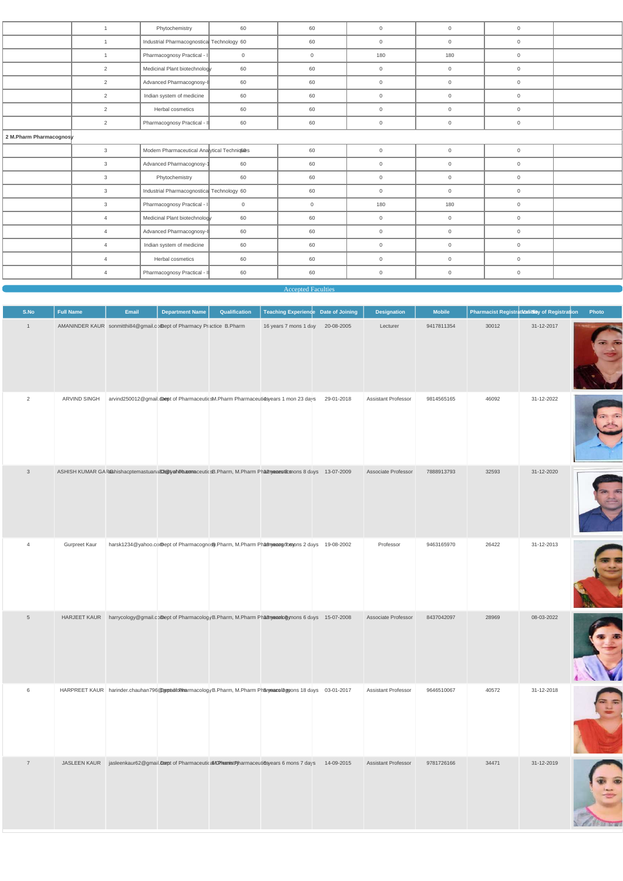|                         | $\overline{1}$ | Phytochemistry                            | 60           | 60             | $\overline{0}$ | $\mathbf 0$         | $\overline{0}$ |  |
|-------------------------|----------------|-------------------------------------------|--------------|----------------|----------------|---------------------|----------------|--|
|                         | $\overline{1}$ | Industrial Pharmacognostica Technology 60 |              | 60             | $\overline{0}$ | $\mathbf 0$         | $\overline{0}$ |  |
|                         | $\overline{1}$ | Pharmacognosy Practical - I               | $\mathbf{0}$ | $\overline{0}$ | 180            | 180                 | $\mathbf 0$    |  |
|                         | $\overline{2}$ | Medicinal Plant biotechnology             | 60           | 60             | $\overline{0}$ | $\mathbf 0$         | $\overline{0}$ |  |
|                         | 2              | Advanced Pharmacognosy-I                  | 60           | 60             | $\overline{0}$ | $\mathsf{O}\xspace$ | $\overline{0}$ |  |
|                         | 2              | Indian system of medicine                 | 60           | 60             | $\overline{0}$ | $\mathsf{O}$        | $\overline{0}$ |  |
|                         | 2              | Herbal cosmetics                          | 60           | 60             | $\overline{0}$ | $\mathbf{0}$        | $\overline{0}$ |  |
|                         | 2              | Pharmacognosy Practical - II              | 60           | 60             | $\overline{0}$ | $\mathbf 0$         | $\mathsf 0$    |  |
| 2 M.Pharm Pharmacognosy |                |                                           |              |                |                |                     |                |  |
|                         | $\mathbf{3}$   | Modern Pharmaceutical Ana ytical Technic® |              | 60             | $\overline{0}$ | $\mathbf 0$         | $\mathsf 0$    |  |
|                         | $\mathbf{3}$   | Advanced Pharmacognosy-1                  | 60           | 60             | $\overline{0}$ | $\mathbf 0$         | $\overline{0}$ |  |
|                         | 3              | Phytochemistry                            | 60           | 60             | $\overline{0}$ | $\overline{0}$      | $\overline{0}$ |  |
|                         | $\mathbf{3}$   | Industrial Pharmacognostica Technology 60 |              | 60             | $\overline{0}$ | $\overline{0}$      | $\overline{0}$ |  |
|                         | 3              | Pharmacognosy Practical - I               | $\mathbf 0$  | $\overline{0}$ | 180            | 180                 | $\overline{0}$ |  |
|                         | $\overline{4}$ | Medicinal Plant biotechnology             | 60           | 60             | $\overline{0}$ | $\overline{0}$      | $\mathbf 0$    |  |
|                         | $\overline{4}$ | Advanced Pharmacognosy-I                  | 60           | 60             | $\overline{0}$ | $\mathbf 0$         | $\overline{0}$ |  |
|                         | $\overline{4}$ | Indian system of medicine                 | 60           | 60             | $\overline{0}$ | $\mathbf 0$         | $\overline{0}$ |  |
|                         | $\overline{4}$ | Herbal cosmetics                          | 60           | 60             | $\overline{0}$ | $\mathbf 0$         | $\overline{0}$ |  |
|                         | $\overline{4}$ | Pharmacognosy Practical - II              | 60           | 60             | $\overline{0}$ | $\mathbf 0$         | $\overline{0}$ |  |
|                         |                |                                           |              |                |                |                     |                |  |

Accepted Faculties

| S.No            | <b>Full Name</b>    | Email | <b>Department Name</b>                                               | Qualification | Teaching Experience Date of Joining                                                                         |            | <b>Designation</b>         | <b>Mobile</b> |       | Pharmacist Registration of Registration | Photo |
|-----------------|---------------------|-------|----------------------------------------------------------------------|---------------|-------------------------------------------------------------------------------------------------------------|------------|----------------------------|---------------|-------|-----------------------------------------|-------|
| $\mathbf{1}$    |                     |       | AMANINDER KAUR sonmitthi84@gmail.comept of Pharmacy Practice B.Pharm |               | 16 years 7 mons 1 day                                                                                       | 20-08-2005 | Lecturer                   | 9417811354    | 30012 | 31-12-2017                              |       |
| 2               | ARVIND SINGH        |       |                                                                      |               | arvind250012@gmail.dompt of PharmaceuticsM.Pharm Pharmaceutidsyears 1 mon 23 days                           | 29-01-2018 | <b>Assistant Professor</b> | 9814565165    | 46092 | 31-12-2022                              |       |
| $\mathbf{3}$    |                     |       |                                                                      |               | ASHISH KUMAR GAR&hishacptemastuana@@yyahDbaxomaceuticsB.Pharm, M.Pharm Phalanyacaest&mons 8 days 13-07-2009 |            | Associate Professor        | 7888913793    | 32593 | 31-12-2020                              |       |
| $\overline{4}$  | Gurpreet Kaur       |       |                                                                      |               | harsk1234@yahoo.comDept of Pharmacognosy.Pharm, M.Pharm Pharm proformations 2 days 19-08-2002               |            | Professor                  | 9463165970    | 26422 | 31-12-2013                              |       |
| $5\phantom{.0}$ | <b>HARJEET KAUR</b> |       |                                                                      |               | harrycology@gmail.comept of PharmacologyB.Pharm, M.Pharm Pharm and Symons 6 days 15-07-2008                 |            | Associate Professor        | 8437042097    | 28969 | 08-03-2022                              |       |



|  | HARPREET KAUR harinder.chauhan796@gppadfdomarmacologyB.Pharm, M.Pharm Pharyeanslagyons 18 days 03-01-2017      |  | Assistant Professor        | 9646510067 | 40572 | 31-12-2018 |  |
|--|----------------------------------------------------------------------------------------------------------------|--|----------------------------|------------|-------|------------|--|
|  | JASLEEN KAUR jasleenkaur62@gmail.compt of Pharmaceutical/GPharmistRyharmaceuti6syears 6 mons 7 days 14-09-2015 |  | <b>Assistant Professor</b> | 9781726166 | 34471 | 31-12-2019 |  |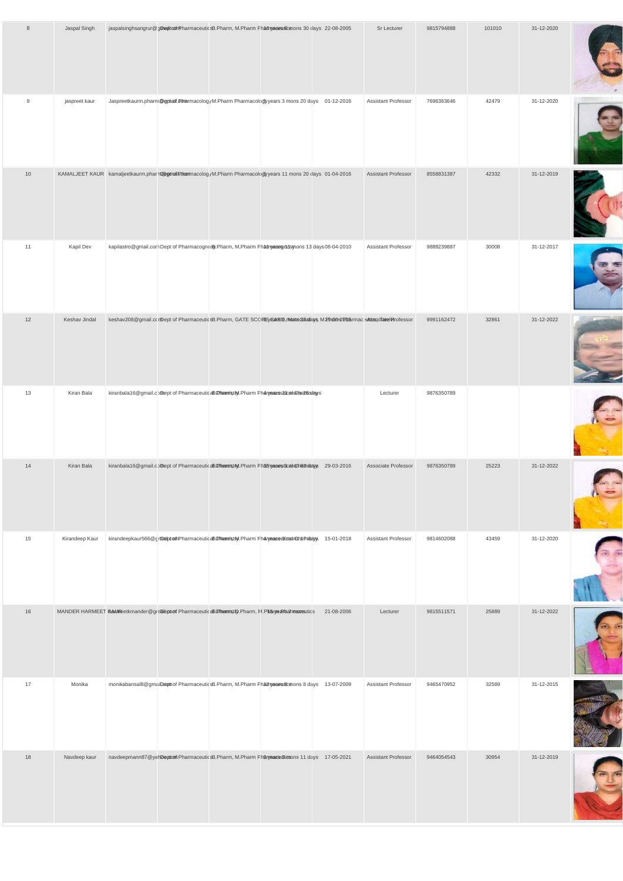| 8  | Jaspal Singh   | jaspalsinghsangrur@gDepitcofrPharmaceuticsB.Pharm, M.Pharm Phatenyesesticsnons 30 clays 22-08-2005                        |  |            | Sr Lecturer         | 9815794888 | 101010 | 31-12-2020 |  |
|----|----------------|---------------------------------------------------------------------------------------------------------------------------|--|------------|---------------------|------------|--------|------------|--|
| 9  | jaspreet kaur  | Jaspreetkaurm.pharm@gptaif.etharmacologyM.Pharm Pharmacology years 3 mons 20 days 01-12-2016                              |  |            | Assistant Professor | 7696363646 | 42479  | 31-12-2020 |  |
| 10 |                | KAMALJEET KAUR kamaljeetkaurm.pharm@egtmafiletrammacologyM.Pharm Pharmacologyyears 11 mons 20 days 01-04-2016             |  |            | Assistant Professor | 8558831387 | 42332  | 31-12-2019 |  |
| 11 | Kapil Dev      | kapilastro@gmail.comDept of Pharmacognosy.Pharm, M.Pharm Phatmyaeangridsmons 13 days 08-04-2010                           |  |            | Assistant Professor | 9888239887 | 30008  | 31-12-2017 |  |
| 12 | Keshav Jindal  | keshav208@gmail.comDept of PharmaceuticsB.Pharm, GATE SCOREyEarRD, must addateurs M.Pha0n2PharmaceutissaydTatelPtrofessor |  |            |                     | 9991162472 | 32861  | 31-12-2022 |  |
| 13 | Kiran Bala     | kiranbala16@gmail.comept of PharmaceuticaBGhemistiM.Pharm Pharyeaceutical@ise26istays                                     |  |            | Lecturer            | 9876350789 |        |            |  |
| 14 | Kiran Bala     | kiranbala16@gmail.comept of PharmaceuticaBCHmenristM.Pharm Phatryacesticalocheanistys 29-03-2016                          |  |            | Associate Professor | 9876350789 | 25223  | 31-12-2022 |  |
| 15 | Kirandeep Kaur | kirandeepkaur566@grbæibtomfnPharmaceuticaBCHmennistM.Pharm Pharyeace @ticadroshteTnitstys 15-01-2018                      |  |            | Assistant Professor | 9814602088 | 43459  | 31-12-2020 |  |
| 16 |                | MANDER HARMEET Klauk/Reetkmander@gmalepoof PharmaceuticaB/G/harmistD.Pharm, M.PharyeaRsarmamautics                        |  | 21-08-2006 | Lecturer            | 9815511571 | 25889  | 31-12-2022 |  |

| 17 | Monika       |  | monikabansal8@gmaiDephof PharmaceuticsB.Pharm, M.Pharm Phannya and the nons 8 days 13-07-2009 | <b>Assistant Professor</b> | 9465470952 | 32589 | 31-12-2015 |  |
|----|--------------|--|-----------------------------------------------------------------------------------------------|----------------------------|------------|-------|------------|--|
| 18 | Navdeep kaur |  | navdeepmann87@yahDeptom PharmaceuticsB.Pharm, M.Pharm Pharyeacettionsons 11 days 17-05-2021   | <b>Assistant Professor</b> | 9464054543 | 30954 | 31-12-2019 |  |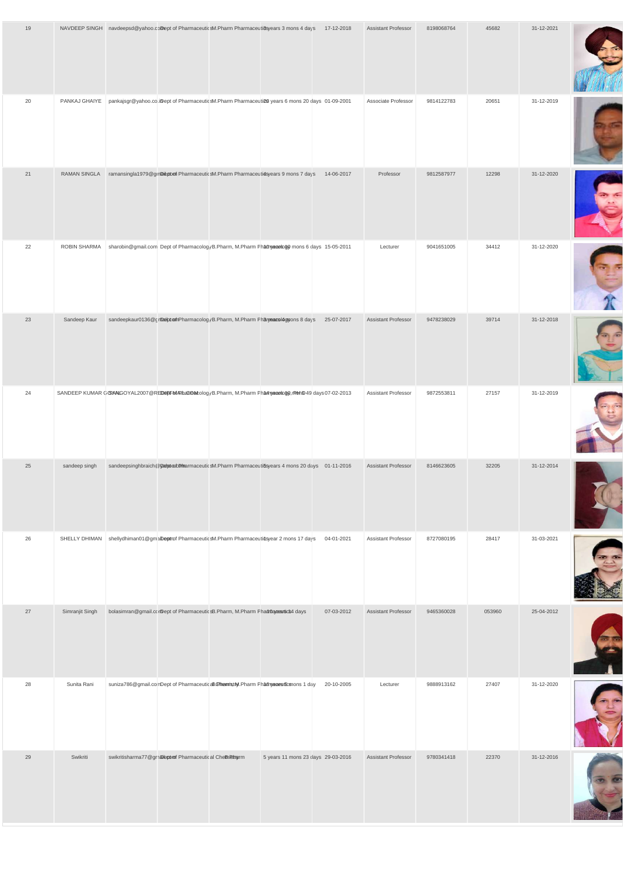| 19 |                 | NAVDEEP SINGH navdeepsd@yahoo.comept of PharmaceuticsM.Pharm Pharmaceuti8syears 3 mons 4 days 17-12-2018 | <b>Assistant Professor</b> | 8198068764 | 45682  | 31-12-2021 |  |
|----|-----------------|----------------------------------------------------------------------------------------------------------|----------------------------|------------|--------|------------|--|
| 20 | PANKAJ GHAIYE   | pankajsgr@yahoo.co.iDept of PharmaceuticsM.Pharm Pharmaceuti@@years 6 mons 20 clays 01-09-2001           | Associate Professor        | 9814122783 | 20651  | 31-12-2019 |  |
| 21 | RAMAN SINGLA    | ramansingla1979@gmaitptori PharmaceuticsM.Pharm Pharmaceutidsyears 9 mons 7 days<br>14-06-2017           | Professor                  | 9812587977 | 12298  | 31-12-2020 |  |
| 22 | ROBIN SHARMA    | sharobin@gmail.com Dept of PharmacologyB.Pharm, M.Pharm Phatnyaeastoty mons 6 days 15-05-2011            | Lecturer                   | 9041651005 | 34412  | 31-12-2020 |  |
| 23 | Sandeep Kaur    | sandeepkaur0136@cinbebcomPharmacologyB.Pharm, M.Pharm Pharyeacologyons 8 days<br>25-07-2017              | Assistant Professor        | 9478238029 | 39714  | 31-12-2018 |  |
| 24 |                 | SANDEEP KUMAR GCSAALGOYAL2007@REDabFMARhaCOalcologyB.Pharm, M.Pharm Pharmgeadogy, mbhB49 days 07-02-2013 | Assistant Professor        | 9872553811 | 27157  | 31-12-2019 |  |
| 25 | sandeep singh   | sandeepsinghbraich@DaiptonCemarmaceuticsM.Pharm Pharmaceutiosyears 4 mons 20 days 01-11-2016             | Assistant Professor        | 8146623605 | 32205  | 31-12-2014 |  |
| 26 | SHELLY DHIMAN   | shellydhiman01@gmaiDeptrof PharmaceuticsM.Pharm Pharmaceuticsyear 2 mons 17 days<br>04-01-2021           | Assistant Professor        | 8727080195 | 28417  | 31-03-2021 |  |
| 27 | Simranjit Singh | bolasimran@gmail.corDept of PharmaceuticsB.Pharm, M.Pharm Pharmaceutict4 days<br>07-03-2012              | Assistant Professor        | 9465360028 | 053960 | 25-04-2012 |  |



| 28 | Sunita Rani | suniza786@gmail.comDept of PharmaceuticaBChemistM.Pharm Phat my acastic mons 1 day |                                    | 20-10-2005 | Lecturer                   | 9888913162 | 27407 | 31-12-2020 |  |
|----|-------------|------------------------------------------------------------------------------------|------------------------------------|------------|----------------------------|------------|-------|------------|--|
| 29 | Swikriti    | swikritisharma77@grnaleptomf Pharmaceutical CheBnRharm                             | 5 years 11 mons 23 days 29-03-2016 |            | <b>Assistant Professor</b> | 9780341418 | 22370 | 31-12-2016 |  |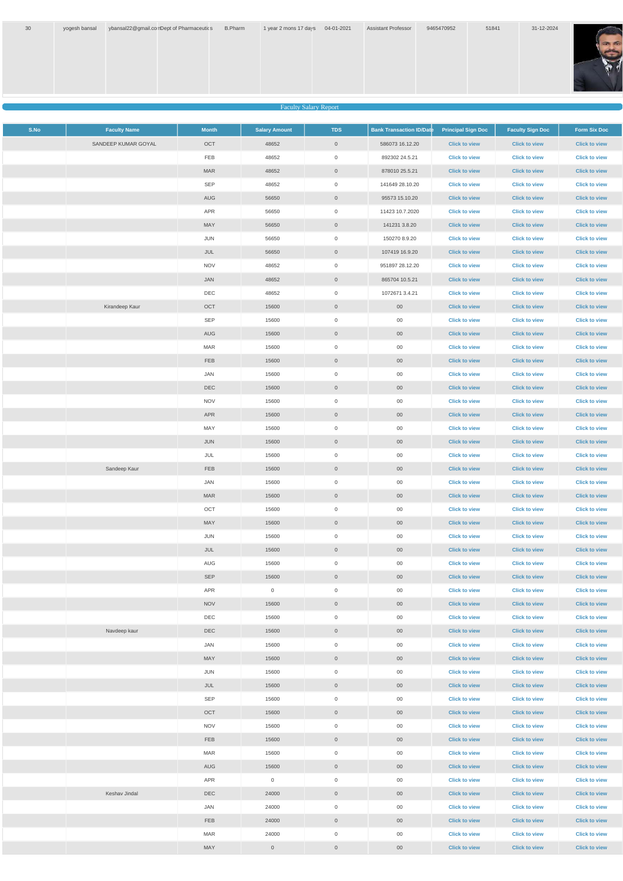

Faculty Salary Report

| S.No | <b>Faculty Name</b> | <b>Month</b> | <b>Salary Amount</b> | <b>TDS</b>          | <b>Bank Transaction ID/Dat</b> | <b>Principal Sign Doc</b> | <b>Faculty Sign Doc</b> | <b>Form Six Doc</b>  |
|------|---------------------|--------------|----------------------|---------------------|--------------------------------|---------------------------|-------------------------|----------------------|
|      | SANDEEP KUMAR GOYAL | OCT          | 48652                | $\overline{0}$      | 586073 16.12.20                | <b>Click to view</b>      | <b>Click to view</b>    | <b>Click to view</b> |
|      |                     | FEB          | 48652                | $\overline{0}$      | 892302 24.5.21                 | <b>Click to view</b>      | <b>Click to view</b>    | <b>Click to view</b> |
|      |                     | <b>MAR</b>   | 48652                | $\overline{0}$      | 878010 25.5.21                 | <b>Click to view</b>      | <b>Click to view</b>    | <b>Click to view</b> |
|      |                     | SEP          | 48652                | $\overline{0}$      | 141649 28.10.20                | <b>Click to view</b>      | <b>Click to view</b>    | <b>Click to view</b> |
|      |                     | AUG          | 56650                | $\overline{0}$      | 95573 15.10.20                 | <b>Click to view</b>      | <b>Click to view</b>    | <b>Click to view</b> |
|      |                     | APR          | 56650                | $\overline{0}$      | 11423 10.7.2020                | <b>Click to view</b>      | <b>Click to view</b>    | <b>Click to view</b> |
|      |                     | MAY          | 56650                | $\overline{0}$      | 141231 3.8.20                  | <b>Click to view</b>      | <b>Click to view</b>    | <b>Click to view</b> |
|      |                     | JUN          | 56650                | $\overline{0}$      | 150270 8.9.20                  | <b>Click to view</b>      | <b>Click to view</b>    | <b>Click to view</b> |
|      |                     | JUL          | 56650                | $\overline{0}$      | 107419 16.9.20                 | <b>Click to view</b>      | <b>Click to view</b>    | <b>Click to view</b> |
|      |                     | <b>NOV</b>   | 48652                | $\overline{0}$      | 951897 28.12.20                | <b>Click to view</b>      | <b>Click to view</b>    | <b>Click to view</b> |
|      |                     | JAN          | 48652                | $\overline{0}$      | 865704 10.5.21                 | <b>Click to view</b>      | <b>Click to view</b>    | <b>Click to view</b> |
|      |                     | DEC          | 48652                | $\overline{0}$      | 1072671 3.4.21                 | <b>Click to view</b>      | <b>Click to view</b>    | <b>Click to view</b> |
|      | Kirandeep Kaur      | OCT          | 15600                | $\overline{0}$      | $00\,$                         | <b>Click to view</b>      | <b>Click to view</b>    | <b>Click to view</b> |
|      |                     | SEP          | 15600                | $\overline{0}$      | $00\,$                         | <b>Click to view</b>      | <b>Click to view</b>    | <b>Click to view</b> |
|      |                     | AUG          | 15600                | $\overline{0}$      | $00\,$                         | <b>Click to view</b>      | <b>Click to view</b>    | <b>Click to view</b> |
|      |                     | MAR          | 15600                | $\overline{0}$      | $00\,$                         | <b>Click to view</b>      | <b>Click to view</b>    | <b>Click to view</b> |
|      |                     | FEB          | 15600                | $\overline{0}$      | $00\,$                         | <b>Click to view</b>      | <b>Click to view</b>    | <b>Click to view</b> |
|      |                     | JAN          | 15600                | $\overline{0}$      | $00\,$                         | <b>Click to view</b>      | <b>Click to view</b>    | <b>Click to view</b> |
|      |                     | DEC          | 15600                | $\overline{0}$      | $00\,$                         | <b>Click to view</b>      | <b>Click to view</b>    | <b>Click to view</b> |
|      |                     | <b>NOV</b>   | 15600                | $\overline{0}$      | $00\,$                         | <b>Click to view</b>      | <b>Click to view</b>    | <b>Click to view</b> |
|      |                     | APR          | 15600                | $\overline{0}$      | $00\,$                         | <b>Click to view</b>      | <b>Click to view</b>    | <b>Click to view</b> |
|      |                     | MAY          | 15600                | $\overline{0}$      | $00\,$                         | <b>Click to view</b>      | <b>Click to view</b>    | <b>Click to view</b> |
|      |                     | JUN          | 15600                | $\overline{0}$      | $00\,$                         | <b>Click to view</b>      | <b>Click to view</b>    | <b>Click to view</b> |
|      |                     | JUL          | 15600                | $\mathbf 0$         | $00\,$                         | <b>Click to view</b>      | <b>Click to view</b>    | <b>Click to view</b> |
|      | Sandeep Kaur        | <b>FEB</b>   | 15600                | $\overline{0}$      | $00\,$                         | <b>Click to view</b>      | <b>Click to view</b>    | <b>Click to view</b> |
|      |                     | JAN          | 15600                | $\mathbf 0$         | $00\,$                         | <b>Click to view</b>      | <b>Click to view</b>    | <b>Click to view</b> |
|      |                     | <b>MAR</b>   | 15600                | $\overline{0}$      | $00\,$                         | <b>Click to view</b>      | <b>Click to view</b>    | <b>Click to view</b> |
|      |                     | OCT          | 15600                | $\mathsf{O}\xspace$ | $00\,$                         | <b>Click to view</b>      | <b>Click to view</b>    | <b>Click to view</b> |
|      |                     | MAY          | 15600                | $\overline{0}$      | $00\,$                         | <b>Click to view</b>      | <b>Click to view</b>    | <b>Click to view</b> |
|      |                     | JUN          | 15600                | $\overline{0}$      | $00\,$                         | <b>Click to view</b>      | <b>Click to view</b>    | <b>Click to view</b> |
|      |                     | JUL          | 15600                | $\overline{0}$      | $00\,$                         | <b>Click to view</b>      | <b>Click to view</b>    | <b>Click to view</b> |
|      |                     | AUG          | 15600                | $\mathsf{O}\xspace$ | $00\,$                         | <b>Click to view</b>      | <b>Click to view</b>    | <b>Click to view</b> |
|      |                     | <b>SEP</b>   | 15600                | $\overline{0}$      | $00\,$                         | <b>Click to view</b>      | <b>Click to view</b>    | <b>Click to view</b> |
|      |                     | APR          | $\mathsf{O}$         | $\mathsf{O}\xspace$ | $00\,$                         | <b>Click to view</b>      | <b>Click to view</b>    | <b>Click to view</b> |
|      |                     | <b>NOV</b>   | 15600                | $\overline{0}$      | $00\,$                         | <b>Click to view</b>      | <b>Click to view</b>    | <b>Click to view</b> |
|      |                     | DEC          | 15600                | $\mathbf 0$         | $00\,$                         | <b>Click to view</b>      | <b>Click to view</b>    | <b>Click to view</b> |
|      | Navdeep kaur        | <b>DEC</b>   | 15600                | $\overline{0}$      | $00\,$                         | <b>Click to view</b>      | <b>Click to view</b>    | <b>Click to view</b> |
|      |                     | JAN          | 15600                | $\mathbf 0$         | $00\,$                         | <b>Click to view</b>      | <b>Click to view</b>    | <b>Click to view</b> |
|      |                     | MAY          | 15600                | $\overline{0}$      | $00\,$                         | <b>Click to view</b>      | <b>Click to view</b>    | <b>Click to view</b> |
|      |                     | JUN          | 15600                | $\overline{0}$      | $00\,$                         | <b>Click to view</b>      | <b>Click to view</b>    | <b>Click to view</b> |
|      |                     | JUL          | 15600                | $\overline{0}$      | $00\,$                         | <b>Click to view</b>      | <b>Click to view</b>    | <b>Click to view</b> |
|      |                     | SEP          | 15600                | $\overline{0}$      | $00\,$                         | <b>Click to view</b>      | <b>Click to view</b>    | <b>Click to view</b> |
|      |                     | OCT          | 15600                | $\overline{0}$      | $00\,$                         | <b>Click to view</b>      | <b>Click to view</b>    | <b>Click to view</b> |
|      |                     | <b>NOV</b>   | 15600                | $\overline{0}$      | $00\,$                         | <b>Click to view</b>      | <b>Click to view</b>    | <b>Click to view</b> |
|      |                     | FEB          | 15600                | $\overline{0}$      | $00\,$                         | <b>Click to view</b>      | <b>Click to view</b>    | <b>Click to view</b> |
|      |                     | <b>MAR</b>   | 15600                | $\overline{0}$      | $00\,$                         | <b>Click to view</b>      | <b>Click to view</b>    | <b>Click to view</b> |
|      |                     | AUG          | 15600                | $\overline{0}$      | $00\,$                         | <b>Click to view</b>      | <b>Click to view</b>    | <b>Click to view</b> |
|      |                     | APR          | $\mathbf 0$          | $\mathbf 0$         | $00\,$                         | <b>Click to view</b>      | <b>Click to view</b>    | <b>Click to view</b> |
|      | Keshav Jindal       | DEC          | 24000                | $\overline{0}$      | $00\,$                         | <b>Click to view</b>      | <b>Click to view</b>    | <b>Click to view</b> |
|      |                     | JAN          | 24000                | $\overline{0}$      | $00\,$                         | <b>Click to view</b>      | <b>Click to view</b>    | <b>Click to view</b> |
|      |                     | <b>FEB</b>   | 24000                | $\overline{0}$      | $00\,$                         | <b>Click to view</b>      | <b>Click to view</b>    | <b>Click to view</b> |
|      |                     | <b>MAR</b>   | 24000                | $\boldsymbol{0}$    | $00\,$                         | <b>Click to view</b>      | <b>Click to view</b>    | <b>Click to view</b> |
|      |                     | MAY          | $\mathbf 0$          | $\overline{0}$      | $00\,$                         | <b>Click to view</b>      | <b>Click to view</b>    | <b>Click to view</b> |
|      |                     |              |                      |                     |                                |                           |                         |                      |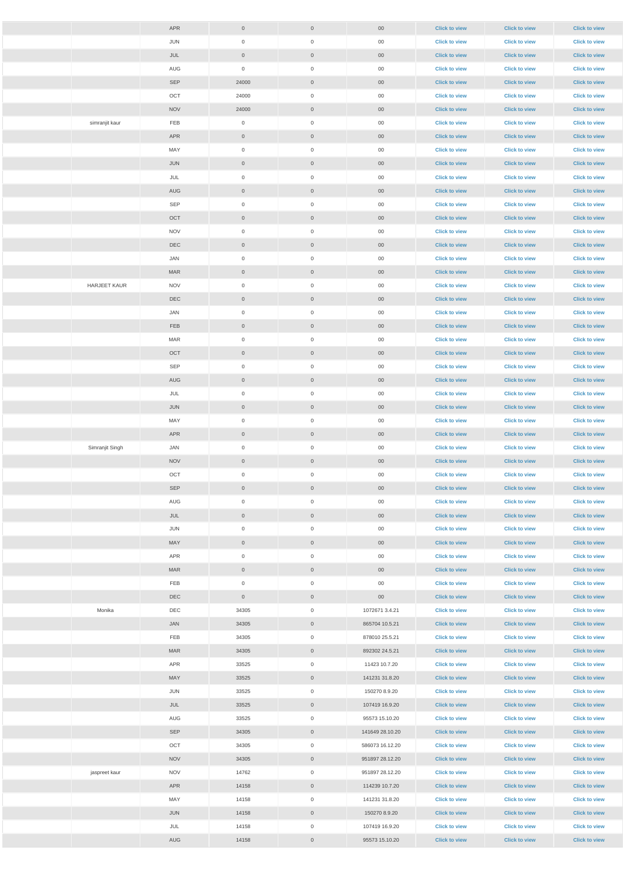|                     | APR        | $\overline{0}$ | $\overline{0}$      | $00\,$          | <b>Click to view</b> | <b>Click to view</b> | <b>Click to view</b> |
|---------------------|------------|----------------|---------------------|-----------------|----------------------|----------------------|----------------------|
|                     | JUN        | $\overline{0}$ | $\mathbf 0$         | $00\,$          | <b>Click to view</b> | <b>Click to view</b> | <b>Click to view</b> |
|                     | JUL        | $\overline{0}$ | $\overline{0}$      | 00 <sub>o</sub> | <b>Click to view</b> | <b>Click to view</b> | <b>Click to view</b> |
|                     | AUG        | $\overline{0}$ | $\mathbf 0$         | $00\,$          | <b>Click to view</b> | <b>Click to view</b> | <b>Click to view</b> |
|                     | SEP        | 24000          | $\overline{0}$      | 00 <sub>o</sub> | <b>Click to view</b> | <b>Click to view</b> | <b>Click to view</b> |
|                     | OCT        | 24000          | $\mathbf 0$         | $00\,$          | <b>Click to view</b> | <b>Click to view</b> | <b>Click to view</b> |
|                     | <b>NOV</b> | 24000          | $\overline{0}$      | 00 <sub>o</sub> | <b>Click to view</b> | <b>Click to view</b> | <b>Click to view</b> |
| simranjit kaur      | FEB        | $\overline{0}$ | $\mathbf 0$         | $00\,$          | <b>Click to view</b> | <b>Click to view</b> | <b>Click to view</b> |
|                     | APR        | $\overline{0}$ | $\overline{0}$      | $00\,$          | <b>Click to view</b> | <b>Click to view</b> | <b>Click to view</b> |
|                     | MAY        | $\overline{0}$ | $\mathbf 0$         | $00\,$          | <b>Click to view</b> | <b>Click to view</b> | <b>Click to view</b> |
|                     | JUN        | $\overline{0}$ | $\overline{0}$      | $00\,$          | <b>Click to view</b> | <b>Click to view</b> | <b>Click to view</b> |
|                     | JUL        | $\overline{0}$ | $\mathbf 0$         | $00\,$          | <b>Click to view</b> | <b>Click to view</b> | <b>Click to view</b> |
|                     | <b>AUG</b> | $\overline{0}$ | $\overline{0}$      | $00\,$          | <b>Click to view</b> | <b>Click to view</b> | <b>Click to view</b> |
|                     | <b>SEP</b> | $\overline{0}$ | $\mathbf 0$         | $00\,$          | <b>Click to view</b> | <b>Click to view</b> | <b>Click to view</b> |
|                     | OCT        | $\overline{0}$ | $\overline{0}$      | $00\,$          | <b>Click to view</b> | <b>Click to view</b> | <b>Click to view</b> |
|                     | <b>NOV</b> | $\overline{0}$ | 0                   | $00\,$          | <b>Click to view</b> | <b>Click to view</b> | <b>Click to view</b> |
|                     | <b>DEC</b> | $\overline{0}$ | $\overline{0}$      | $00\,$          | <b>Click to view</b> | <b>Click to view</b> | <b>Click to view</b> |
|                     | JAN        | $\overline{0}$ | 0                   | 00              | <b>Click to view</b> | <b>Click to view</b> | <b>Click to view</b> |
|                     | <b>MAR</b> | $\overline{0}$ | $\overline{0}$      | $00\,$          | <b>Click to view</b> | <b>Click to view</b> | <b>Click to view</b> |
| <b>HARJEET KAUR</b> | <b>NOV</b> | $\overline{0}$ | $\mathbf 0$         | $00\,$          | <b>Click to view</b> | <b>Click to view</b> | <b>Click to view</b> |
|                     | DEC        | $\overline{0}$ | $\overline{0}$      | 00 <sub>o</sub> | <b>Click to view</b> | <b>Click to view</b> | <b>Click to view</b> |
|                     | JAN        | $\overline{0}$ | 0                   | $00\,$          | <b>Click to view</b> | <b>Click to view</b> | <b>Click to view</b> |
|                     | FEB        | $\overline{0}$ | $\overline{0}$      | $00\,$          | <b>Click to view</b> | <b>Click to view</b> | <b>Click to view</b> |
|                     | <b>MAR</b> | $\overline{0}$ | $\mathbf 0$         | $00\,$          | <b>Click to view</b> | <b>Click to view</b> | <b>Click to view</b> |
|                     | OCT        | $\overline{0}$ | $\overline{0}$      | $00\,$          | <b>Click to view</b> | <b>Click to view</b> | <b>Click to view</b> |
|                     | <b>SEP</b> | $\overline{0}$ | $\boldsymbol{0}$    | $00\,$          | <b>Click to view</b> | <b>Click to view</b> | <b>Click to view</b> |
|                     | AUG        | $\overline{0}$ | $\overline{0}$      | $00\,$          | <b>Click to view</b> | <b>Click to view</b> | <b>Click to view</b> |
|                     | JUL        | $\overline{0}$ | $\mathbf 0$         | $00\,$          | <b>Click to view</b> | <b>Click to view</b> | <b>Click to view</b> |
|                     | JUN        | $\overline{0}$ | $\overline{0}$      | $00\,$          | <b>Click to view</b> | <b>Click to view</b> | <b>Click to view</b> |
|                     | MAY        | $\overline{0}$ | $\mathbf 0$         | $00\,$          | <b>Click to view</b> | <b>Click to view</b> | <b>Click to view</b> |
|                     | APR        | $\overline{0}$ | $\overline{0}$      | $00\,$          | <b>Click to view</b> | <b>Click to view</b> | <b>Click to view</b> |
| Simranjit Singh     | JAN        | $\overline{0}$ | $\mathbf 0$         | $00\,$          | <b>Click to view</b> | <b>Click to view</b> | <b>Click to view</b> |
|                     | <b>NOV</b> | $\overline{0}$ | $\overline{0}$      | $00\,$          | <b>Click to view</b> | <b>Click to view</b> | <b>Click to view</b> |
|                     | OCT        | $\overline{0}$ | $\mathbf 0$         | $00\,$          | <b>Click to view</b> | <b>Click to view</b> | <b>Click to view</b> |
|                     | <b>SEP</b> | $\overline{0}$ | $\overline{0}$      | $00\,$          | <b>Click to view</b> | <b>Click to view</b> | <b>Click to view</b> |
|                     | AUG        | $\overline{0}$ | $\mathbf 0$         | $00\,$          | <b>Click to view</b> | <b>Click to view</b> | <b>Click to view</b> |
|                     | JUL        | $\overline{0}$ | $\overline{0}$      | $00\,$          | <b>Click to view</b> | <b>Click to view</b> | <b>Click to view</b> |
|                     | JUN        | $\overline{0}$ | $\overline{0}$      | $00\,$          | <b>Click to view</b> | <b>Click to view</b> | <b>Click to view</b> |
|                     | MAY        | $\overline{0}$ | $\overline{0}$      | $00\,$          | <b>Click to view</b> | <b>Click to view</b> | <b>Click to view</b> |
|                     | APR        | $\overline{0}$ | $\overline{0}$      | $00\,$          | <b>Click to view</b> | <b>Click to view</b> | <b>Click to view</b> |
|                     | <b>MAR</b> | $\overline{0}$ | $\overline{0}$      | $00\,$          | <b>Click to view</b> | <b>Click to view</b> | <b>Click to view</b> |
|                     | FEB        | $\overline{0}$ | $\overline{0}$      | $00\,$          | <b>Click to view</b> | <b>Click to view</b> | <b>Click to view</b> |
|                     | DEC        | $\overline{0}$ | $\overline{0}$      | $00\,$          | <b>Click to view</b> | <b>Click to view</b> | <b>Click to view</b> |
| Monika              | DEC        | 34305          | $\overline{0}$      | 1072671 3.4.21  | <b>Click to view</b> | <b>Click to view</b> | <b>Click to view</b> |
|                     | JAN        | 34305          | $\overline{0}$      | 865704 10.5.21  | <b>Click to view</b> | <b>Click to view</b> | <b>Click to view</b> |
|                     | FEB        | 34305          | $\overline{0}$      | 878010 25.5.21  | <b>Click to view</b> | <b>Click to view</b> | <b>Click to view</b> |
|                     | <b>MAR</b> | 34305          | $\overline{0}$      | 892302 24.5.21  | <b>Click to view</b> | <b>Click to view</b> | <b>Click to view</b> |
|                     | APR        | 33525          | $\mathbf 0$         | 11423 10.7.20   | <b>Click to view</b> | <b>Click to view</b> | <b>Click to view</b> |
|                     | MAY        | 33525          | $\overline{0}$      | 141231 31.8.20  | <b>Click to view</b> | <b>Click to view</b> | <b>Click to view</b> |
|                     | JUN        | 33525          | $\mathbf 0$         | 150270 8.9.20   | <b>Click to view</b> | <b>Click to view</b> | <b>Click to view</b> |
|                     | JUL        | 33525          | $\overline{0}$      | 107419 16.9.20  | <b>Click to view</b> | <b>Click to view</b> | <b>Click to view</b> |
|                     | AUG        | 33525          | $\mathsf{O}\xspace$ | 95573 15.10.20  | <b>Click to view</b> | <b>Click to view</b> | <b>Click to view</b> |
|                     | SEP        | 34305          | $\overline{0}$      | 141649 28.10.20 | <b>Click to view</b> | <b>Click to view</b> | <b>Click to view</b> |
|                     | OCT        | 34305          | $\overline{0}$      | 586073 16.12.20 | <b>Click to view</b> | <b>Click to view</b> | <b>Click to view</b> |
|                     | <b>NOV</b> | 34305          | $\overline{0}$      | 951897 28.12.20 | <b>Click to view</b> | <b>Click to view</b> | <b>Click to view</b> |
| jaspreet kaur       | <b>NOV</b> | 14762          | $\overline{0}$      | 951897 28.12.20 | <b>Click to view</b> | <b>Click to view</b> | <b>Click to view</b> |
|                     | APR        | 14158          | $\overline{0}$      | 114239 10.7.20  | <b>Click to view</b> | <b>Click to view</b> | <b>Click to view</b> |
|                     | MAY        | 14158          | $\overline{0}$      | 141231 31.8.20  | <b>Click to view</b> | <b>Click to view</b> | <b>Click to view</b> |
|                     | JUN        | 14158          | $\overline{0}$      | 150270 8.9.20   | <b>Click to view</b> | <b>Click to view</b> | <b>Click to view</b> |
|                     | JUL        | 14158          | $\overline{0}$      | 107419 16.9.20  | <b>Click to view</b> | <b>Click to view</b> | <b>Click to view</b> |
|                     | AUG        | 14158          | $\overline{0}$      | 95573 15.10.20  | <b>Click to view</b> | <b>Click to view</b> | <b>Click to view</b> |
|                     |            |                |                     |                 |                      |                      |                      |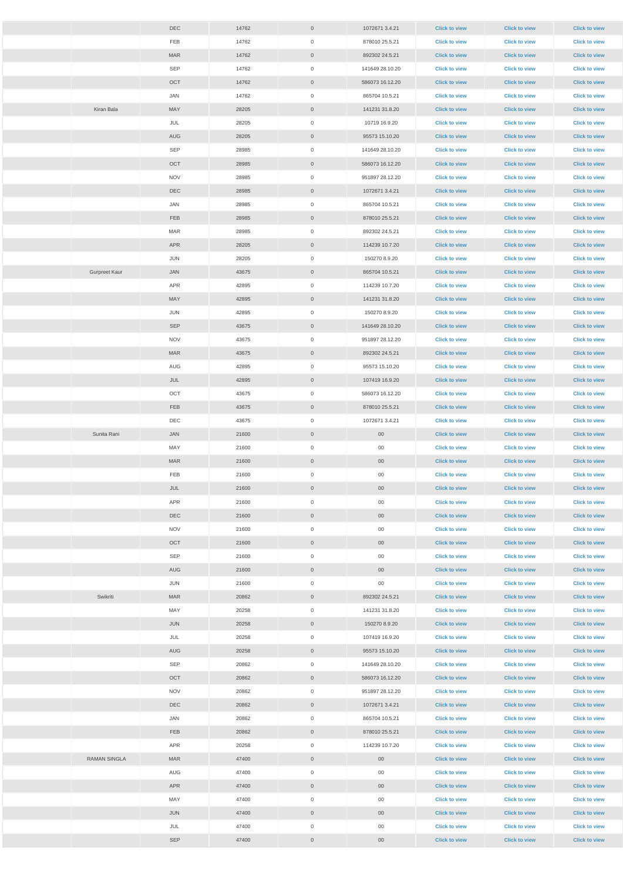|                      | <b>DEC</b> | 14762          | $\overline{0}$                   | 1072671 3.4.21            | <b>Click to view</b>                         | <b>Click to view</b>                         | <b>Click to view</b>                         |
|----------------------|------------|----------------|----------------------------------|---------------------------|----------------------------------------------|----------------------------------------------|----------------------------------------------|
|                      | FEB        | 14762          | $\overline{0}$                   | 878010 25.5.21            | <b>Click to view</b>                         | <b>Click to view</b>                         | <b>Click to view</b>                         |
|                      | <b>MAR</b> | 14762          | $\overline{0}$                   | 892302 24.5.21            | <b>Click to view</b>                         | <b>Click to view</b>                         | <b>Click to view</b>                         |
|                      | SEP        | 14762          | $\overline{0}$                   | 141649 28.10.20           | <b>Click to view</b>                         | <b>Click to view</b>                         | <b>Click to view</b>                         |
|                      | OCT        | 14762          | $\overline{0}$                   | 586073 16.12.20           | <b>Click to view</b>                         | <b>Click to view</b>                         | <b>Click to view</b>                         |
|                      | JAN        | 14762          | $\overline{0}$                   | 865704 10.5.21            | <b>Click to view</b>                         | <b>Click to view</b>                         | <b>Click to view</b>                         |
| Kiran Bala           | MAY        | 28205          | $\overline{0}$                   | 141231 31.8.20            | <b>Click to view</b>                         | <b>Click to view</b>                         | <b>Click to view</b>                         |
|                      | JUL        | 28205          | $\overline{0}$                   | 10719 16.9.20             | <b>Click to view</b>                         | <b>Click to view</b>                         | <b>Click to view</b>                         |
|                      | AUG        | 28205          | $\overline{0}$                   | 95573 15.10.20            | <b>Click to view</b>                         | <b>Click to view</b>                         | <b>Click to view</b>                         |
|                      | SEP        | 28985          | $\overline{0}$                   | 141649 28.10.20           | <b>Click to view</b>                         | <b>Click to view</b>                         | <b>Click to view</b>                         |
|                      | OCT        | 28985          | $\overline{0}$                   | 586073 16.12.20           | <b>Click to view</b>                         | <b>Click to view</b>                         | <b>Click to view</b>                         |
|                      | <b>NOV</b> | 28985          | $\overline{0}$                   | 951897 28.12.20           | <b>Click to view</b>                         | <b>Click to view</b>                         | <b>Click to view</b>                         |
|                      | DEC        | 28985          | $\overline{0}$                   | 1072671 3.4.21            | <b>Click to view</b>                         | <b>Click to view</b>                         | <b>Click to view</b>                         |
|                      | JAN        | 28985          | $\overline{0}$                   | 865704 10.5.21            | <b>Click to view</b>                         | <b>Click to view</b>                         | <b>Click to view</b>                         |
|                      | <b>FEB</b> | 28985          | $\overline{0}$                   | 878010 25.5.21            | <b>Click to view</b>                         | <b>Click to view</b>                         | <b>Click to view</b>                         |
|                      | <b>MAR</b> | 28985          | $\overline{0}$                   | 892302 24.5.21            | <b>Click to view</b>                         | <b>Click to view</b>                         | <b>Click to view</b>                         |
|                      | <b>APR</b> | 28205          | $\overline{0}$                   | 114239 10.7.20            | <b>Click to view</b>                         | <b>Click to view</b>                         | <b>Click to view</b>                         |
|                      | JUN        | 28205          | $\overline{0}$                   | 150270 8.9.20             | <b>Click to view</b>                         | <b>Click to view</b>                         | <b>Click to view</b>                         |
| <b>Gurpreet Kaur</b> | JAN        | 43675          | $\overline{0}$                   | 865704 10.5.21            | <b>Click to view</b>                         | <b>Click to view</b>                         | <b>Click to view</b>                         |
|                      | APR        | 42895          | $\overline{0}$                   | 114239 10.7.20            | <b>Click to view</b>                         | <b>Click to view</b>                         | <b>Click to view</b>                         |
|                      | MAY        | 42895          | $\overline{0}$                   | 141231 31.8.20            | <b>Click to view</b>                         | <b>Click to view</b>                         | <b>Click to view</b>                         |
|                      | JUN        | 42895          | $\overline{0}$                   | 150270 8.9.20             | <b>Click to view</b>                         | <b>Click to view</b>                         | <b>Click to view</b>                         |
|                      | SEP        | 43675          | $\overline{0}$                   | 141649 28.10.20           | <b>Click to view</b>                         | <b>Click to view</b>                         | <b>Click to view</b>                         |
|                      | <b>NOV</b> | 43675          | $\overline{0}$                   | 951897 28.12.20           | <b>Click to view</b>                         | <b>Click to view</b>                         | <b>Click to view</b>                         |
|                      | <b>MAR</b> | 43675          | $\overline{0}$                   | 892302 24.5.21            | <b>Click to view</b>                         | <b>Click to view</b>                         | <b>Click to view</b>                         |
|                      | AUG        | 42895          | $\overline{0}$                   | 95573 15.10.20            | <b>Click to view</b>                         | <b>Click to view</b>                         | <b>Click to view</b>                         |
|                      | JUL        | 42895          | $\overline{0}$                   | 107419 16.9.20            | <b>Click to view</b>                         | <b>Click to view</b>                         | <b>Click to view</b>                         |
|                      | OCT        | 43675          | $\overline{0}$                   | 586073 16.12.20           | <b>Click to view</b>                         | <b>Click to view</b>                         | <b>Click to view</b>                         |
|                      | FEB        | 43675          | $\overline{0}$                   | 878010 25.5.21            | <b>Click to view</b>                         | <b>Click to view</b>                         | <b>Click to view</b>                         |
|                      | DEC        | 43675          | $\overline{0}$                   | 1072671 3.4.21            | <b>Click to view</b>                         | <b>Click to view</b>                         | <b>Click to view</b>                         |
| Sunita Rani          | JAN        | 21600          | $\overline{0}$                   | 00 <sub>o</sub>           | <b>Click to view</b>                         | <b>Click to view</b>                         | <b>Click to view</b>                         |
|                      | MAY        | 21600          | $\overline{0}$                   | $00\,$                    | <b>Click to view</b>                         | <b>Click to view</b>                         | <b>Click to view</b>                         |
|                      | <b>MAR</b> | 21600          | $\overline{0}$                   | $00\,$                    | <b>Click to view</b>                         | <b>Click to view</b>                         | <b>Click to view</b>                         |
|                      | FEB        | 21600          | $\overline{0}$                   | $00\,$                    | <b>Click to view</b>                         | <b>Click to view</b>                         | <b>Click to view</b>                         |
|                      | JUL        | 21600          | $\overline{0}$                   | $00\,$                    | <b>Click to view</b>                         | <b>Click to view</b>                         | <b>Click to view</b>                         |
|                      | APR        | 21600          | $\overline{0}$                   | $00\,$                    | <b>Click to view</b>                         | <b>Click to view</b>                         | <b>Click to view</b>                         |
|                      | <b>DEC</b> | 21600          | $\overline{0}$                   | $00\,$                    | <b>Click to view</b>                         | <b>Click to view</b>                         | <b>Click to view</b>                         |
|                      | <b>NOV</b> | 21600          | $\overline{0}$                   | $00\,$                    | <b>Click to view</b>                         | <b>Click to view</b>                         | <b>Click to view</b>                         |
|                      | OCT<br>SEP | 21600          | $\overline{0}$                   | $00\,$                    | <b>Click to view</b>                         | <b>Click to view</b>                         | <b>Click to view</b>                         |
|                      | AUG        | 21600<br>21600 | $\overline{0}$<br>$\overline{0}$ | $00\,$<br>00 <sub>o</sub> | <b>Click to view</b><br><b>Click to view</b> | <b>Click to view</b><br><b>Click to view</b> | <b>Click to view</b><br><b>Click to view</b> |
|                      | JUN        | 21600          | $\overline{0}$                   | $00\,$                    | <b>Click to view</b>                         | <b>Click to view</b>                         | <b>Click to view</b>                         |
| Swikriti             | <b>MAR</b> | 20862          | $\overline{0}$                   | 892302 24.5.21            | <b>Click to view</b>                         | <b>Click to view</b>                         | <b>Click to view</b>                         |
|                      | MAY        | 20258          | $\overline{0}$                   | 141231 31.8.20            | <b>Click to view</b>                         | <b>Click to view</b>                         | <b>Click to view</b>                         |
|                      | JUN        | 20258          | $\overline{0}$                   | 150270 8.9.20             | <b>Click to view</b>                         | <b>Click to view</b>                         | <b>Click to view</b>                         |
|                      | JUL        | 20258          | $\overline{0}$                   | 107419 16.9.20            | <b>Click to view</b>                         | <b>Click to view</b>                         | <b>Click to view</b>                         |
|                      | AUG        | 20258          | $\overline{0}$                   | 95573 15.10.20            | <b>Click to view</b>                         | <b>Click to view</b>                         | <b>Click to view</b>                         |
|                      | SEP        | 20862          | $\overline{0}$                   | 141649 28.10.20           | <b>Click to view</b>                         | <b>Click to view</b>                         | <b>Click to view</b>                         |
|                      | OCT        | 20862          | $\overline{0}$                   | 586073 16.12.20           | <b>Click to view</b>                         | <b>Click to view</b>                         | <b>Click to view</b>                         |
|                      | <b>NOV</b> | 20862          | $\mathsf{O}\xspace$              | 951897 28.12.20           | <b>Click to view</b>                         | <b>Click to view</b>                         | <b>Click to view</b>                         |
|                      | DEC        | 20862          | $\mathbf 0$                      | 1072671 3.4.21            | <b>Click to view</b>                         | <b>Click to view</b>                         | <b>Click to view</b>                         |
|                      | JAN        | 20862          | $\overline{0}$                   | 865704 10.5.21            | <b>Click to view</b>                         | <b>Click to view</b>                         | <b>Click to view</b>                         |
|                      | FEB        | 20862          | $\overline{0}$                   | 878010 25.5.21            | <b>Click to view</b>                         | <b>Click to view</b>                         | <b>Click to view</b>                         |
|                      | APR        | 20258          | $\overline{0}$                   | 114239 10.7.20            | <b>Click to view</b>                         | <b>Click to view</b>                         | <b>Click to view</b>                         |
| <b>RAMAN SINGLA</b>  | <b>MAR</b> | 47400          | $\overline{0}$                   | $00\,$                    | <b>Click to view</b>                         | <b>Click to view</b>                         | <b>Click to view</b>                         |
|                      | AUG        | 47400          | $\overline{0}$                   | $00\,$                    | <b>Click to view</b>                         | <b>Click to view</b>                         | <b>Click to view</b>                         |
|                      | APR        | 47400          | $\overline{0}$                   | $00\,$                    | <b>Click to view</b>                         | <b>Click to view</b>                         | <b>Click to view</b>                         |
|                      | MAY        | 47400          | $\overline{0}$                   | $00\,$                    | <b>Click to view</b>                         | <b>Click to view</b>                         | <b>Click to view</b>                         |
|                      | JUN        | 47400          | $\overline{0}$                   | $00\,$                    | <b>Click to view</b>                         | <b>Click to view</b>                         | <b>Click to view</b>                         |
|                      | JUL        | 47400          | $\overline{0}$                   | 00                        | <b>Click to view</b>                         | <b>Click to view</b>                         | <b>Click to view</b>                         |
|                      | SEP        | 47400          | $\overline{0}$                   | $00\,$                    | <b>Click to view</b>                         | <b>Click to view</b>                         | <b>Click to view</b>                         |
|                      |            |                |                                  |                           |                                              |                                              |                                              |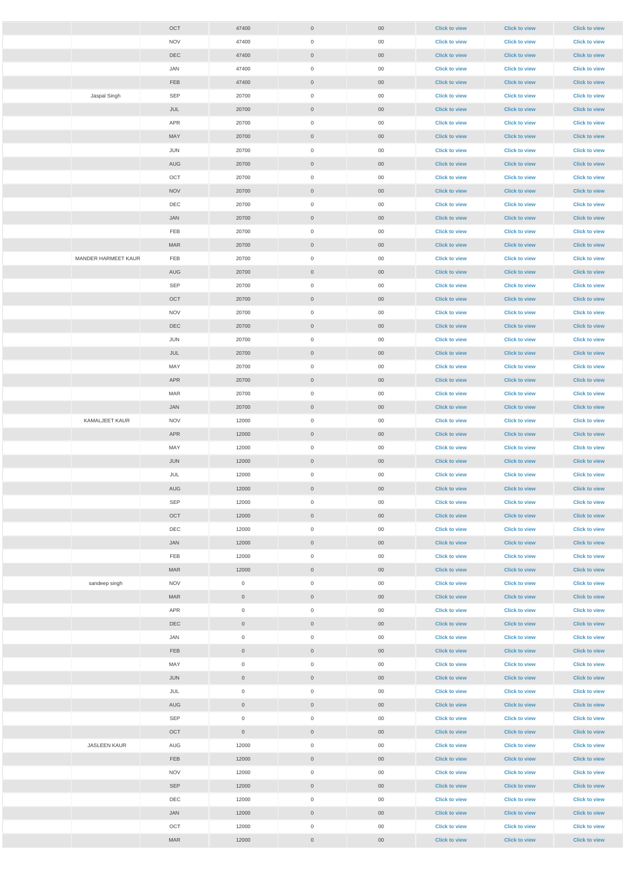|                     | OCT        | 47400               | $\overline{0}$      | $00\,$          | <b>Click to view</b> | <b>Click to view</b> | <b>Click to view</b> |
|---------------------|------------|---------------------|---------------------|-----------------|----------------------|----------------------|----------------------|
|                     | <b>NOV</b> | 47400               | $\overline{0}$      | 00              | <b>Click to view</b> | <b>Click to view</b> | <b>Click to view</b> |
|                     | DEC        | 47400               | $\overline{0}$      | $00\,$          | <b>Click to view</b> | <b>Click to view</b> | <b>Click to view</b> |
|                     | JAN        | 47400               | $\overline{0}$      | 00              | <b>Click to view</b> | <b>Click to view</b> | <b>Click to view</b> |
|                     | FEB        | 47400               | $\overline{0}$      | 00 <sub>o</sub> | <b>Click to view</b> | <b>Click to view</b> | <b>Click to view</b> |
| Jaspal Singh        | SEP        | 20700               | $\overline{0}$      | 00              | <b>Click to view</b> | <b>Click to view</b> | <b>Click to view</b> |
|                     | JUL        | 20700               | $\overline{0}$      | $00\,$          | <b>Click to view</b> | <b>Click to view</b> | <b>Click to view</b> |
|                     | APR        | 20700               | $\overline{0}$      | 00              | <b>Click to view</b> | <b>Click to view</b> | <b>Click to view</b> |
|                     | MAY        | 20700               | $\overline{0}$      | $00\,$          | <b>Click to view</b> | <b>Click to view</b> | <b>Click to view</b> |
|                     | JUN        | 20700               | $\overline{0}$      | $00\,$          | <b>Click to view</b> | <b>Click to view</b> | <b>Click to view</b> |
|                     | AUG        | 20700               | $\overline{0}$      | $00\,$          | <b>Click to view</b> | <b>Click to view</b> | <b>Click to view</b> |
|                     | OCT        | 20700               | $\mathsf{O}\xspace$ | 00              | <b>Click to view</b> | <b>Click to view</b> | <b>Click to view</b> |
|                     | <b>NOV</b> | 20700               | $\overline{0}$      | $00\,$          | <b>Click to view</b> | <b>Click to view</b> | <b>Click to view</b> |
|                     | DEC        | 20700               | $\overline{0}$      | 00              | <b>Click to view</b> | <b>Click to view</b> | <b>Click to view</b> |
|                     | JAN        | 20700               | $\overline{0}$      | $00\,$          | <b>Click to view</b> | <b>Click to view</b> | <b>Click to view</b> |
|                     | FEB        | 20700               | $\overline{0}$      | 00              | <b>Click to view</b> | <b>Click to view</b> | <b>Click to view</b> |
|                     | MAR        | 20700               | $\overline{0}$      | $00\,$          | <b>Click to view</b> | <b>Click to view</b> | <b>Click to view</b> |
| MANDER HARMEET KAUR | FEB        | 20700               | $\overline{0}$      | 00              | <b>Click to view</b> | <b>Click to view</b> | <b>Click to view</b> |
|                     | AUG        | 20700               | $\overline{0}$      | $00\,$          | <b>Click to view</b> | <b>Click to view</b> | <b>Click to view</b> |
|                     | SEP        | 20700               | $\overline{0}$      | 00              | <b>Click to view</b> | <b>Click to view</b> | <b>Click to view</b> |
|                     | OCT        | 20700               | $\overline{0}$      | $00\,$          | <b>Click to view</b> | <b>Click to view</b> | <b>Click to view</b> |
|                     | <b>NOV</b> | 20700               | $\overline{0}$      | 00              | <b>Click to view</b> | <b>Click to view</b> | <b>Click to view</b> |
|                     | DEC        | 20700               | $\overline{0}$      | $00\,$          | <b>Click to view</b> | <b>Click to view</b> | <b>Click to view</b> |
|                     | JUN        | 20700               | $\overline{0}$      | $00\,$          | <b>Click to view</b> | <b>Click to view</b> | <b>Click to view</b> |
|                     | JUL        | 20700               | $\overline{0}$      | 00 <sub>o</sub> | <b>Click to view</b> | <b>Click to view</b> | <b>Click to view</b> |
|                     | MAY        | 20700               | $\mathsf{O}\xspace$ | 00              | <b>Click to view</b> | <b>Click to view</b> | <b>Click to view</b> |
|                     | APR        | 20700               | $\overline{0}$      | $00\,$          | <b>Click to view</b> | <b>Click to view</b> | <b>Click to view</b> |
|                     | MAR        | 20700               | $\overline{0}$      | 00              | <b>Click to view</b> | <b>Click to view</b> | <b>Click to view</b> |
|                     | JAN        | 20700               | $\overline{0}$      | $00\,$          | <b>Click to view</b> | <b>Click to view</b> | <b>Click to view</b> |
| KAMALJEET KAUR      | <b>NOV</b> | 12000               | $\overline{0}$      | $00\,$          | <b>Click to view</b> | <b>Click to view</b> | <b>Click to view</b> |
|                     | APR        | 12000               | $\overline{0}$      | $00\,$          | <b>Click to view</b> | <b>Click to view</b> | <b>Click to view</b> |
|                     | MAY        | 12000               | $\overline{0}$      | $00\,$          | <b>Click to view</b> | <b>Click to view</b> | <b>Click to view</b> |
|                     | JUN        | 12000               | $\overline{0}$      | $00\,$          | <b>Click to view</b> | <b>Click to view</b> | <b>Click to view</b> |
|                     | JUL        | 12000               | $\overline{0}$      | 00              | <b>Click to view</b> | <b>Click to view</b> | <b>Click to view</b> |
|                     | AUG        | 12000               | $\overline{0}$      | $00\,$          | <b>Click to view</b> | <b>Click to view</b> | <b>Click to view</b> |
|                     | SEP        | 12000               | $\overline{0}$      | 00              | <b>Click to view</b> | <b>Click to view</b> | <b>Click to view</b> |
|                     | OCT        | 12000               | $\overline{0}$      | $00\,$          | <b>Click to view</b> | <b>Click to view</b> | <b>Click to view</b> |
|                     | DEC        | 12000               | $\overline{0}$      | $00\,$          | <b>Click to view</b> | <b>Click to view</b> | <b>Click to view</b> |
|                     | JAN        | 12000               | $\overline{0}$      | $00\,$          | <b>Click to view</b> | <b>Click to view</b> | <b>Click to view</b> |
|                     | FEB        | 12000               | $\overline{0}$      | 00              | <b>Click to view</b> | <b>Click to view</b> | <b>Click to view</b> |
|                     | <b>MAR</b> | 12000               | $\overline{0}$      | $00\,$          | <b>Click to view</b> | <b>Click to view</b> | <b>Click to view</b> |
| sandeep singh       | <b>NOV</b> | $\overline{0}$      | $\overline{0}$      | $00\,$          | <b>Click to view</b> | <b>Click to view</b> | <b>Click to view</b> |
|                     | <b>MAR</b> | $\overline{0}$      | $\overline{0}$      | $00\,$          | <b>Click to view</b> | <b>Click to view</b> | <b>Click to view</b> |
|                     | APR        | $\overline{0}$      | $\overline{0}$      | 00              | <b>Click to view</b> | <b>Click to view</b> | <b>Click to view</b> |
|                     | DEC        | $\overline{0}$      | $\overline{0}$      | $00\,$          | <b>Click to view</b> | <b>Click to view</b> | <b>Click to view</b> |
|                     | JAN        | $\overline{0}$      | $\overline{0}$      | $00\,$          | <b>Click to view</b> | <b>Click to view</b> | <b>Click to view</b> |
|                     | FEB        | $\overline{0}$      | $\overline{0}$      | $00\,$          | <b>Click to view</b> | <b>Click to view</b> | <b>Click to view</b> |
|                     | MAY        | $\overline{0}$      | $\overline{0}$      | 00              | <b>Click to view</b> | <b>Click to view</b> | <b>Click to view</b> |
|                     | JUN        | $\overline{0}$      | $\overline{0}$      | $00\,$          | <b>Click to view</b> | <b>Click to view</b> | <b>Click to view</b> |
|                     | JUL        | $\overline{0}$      | $\overline{0}$      | $00\,$          | <b>Click to view</b> | <b>Click to view</b> | <b>Click to view</b> |
|                     | AUG        | $\overline{0}$      | $\sqrt{0}$          | $00\,$          | <b>Click to view</b> | <b>Click to view</b> | <b>Click to view</b> |
|                     | SEP        | $\mathsf{O}\xspace$ | $\overline{0}$      | $00\,$          | <b>Click to view</b> | <b>Click to view</b> | <b>Click to view</b> |
|                     | OCT        | $\overline{0}$      | $\overline{0}$      | $00\,$          | <b>Click to view</b> | <b>Click to view</b> | <b>Click to view</b> |
| JASLEEN KAUR        | AUG        | 12000               | $\overline{0}$      | $00\,$          | <b>Click to view</b> | <b>Click to view</b> | <b>Click to view</b> |
|                     | <b>FEB</b> | 12000               | $\overline{0}$      | $00\,$          | <b>Click to view</b> | <b>Click to view</b> | <b>Click to view</b> |
|                     | <b>NOV</b> | 12000               | $\overline{0}$      | $00\,$          | <b>Click to view</b> | <b>Click to view</b> | <b>Click to view</b> |
|                     | SEP        | 12000               | $\overline{0}$      | $00\,$          | <b>Click to view</b> | <b>Click to view</b> | <b>Click to view</b> |
|                     | DEC        | 12000               | $\overline{0}$      | 00              | <b>Click to view</b> | <b>Click to view</b> | <b>Click to view</b> |
|                     | JAN        | 12000               | $\overline{0}$      | $00\,$          | <b>Click to view</b> | <b>Click to view</b> | <b>Click to view</b> |
|                     | OCT        | 12000               | $\overline{0}$      | $00\,$          | <b>Click to view</b> | <b>Click to view</b> | <b>Click to view</b> |
|                     | MAR        | 12000               | $\overline{0}$      | $00\,$          | <b>Click to view</b> | <b>Click to view</b> | <b>Click to view</b> |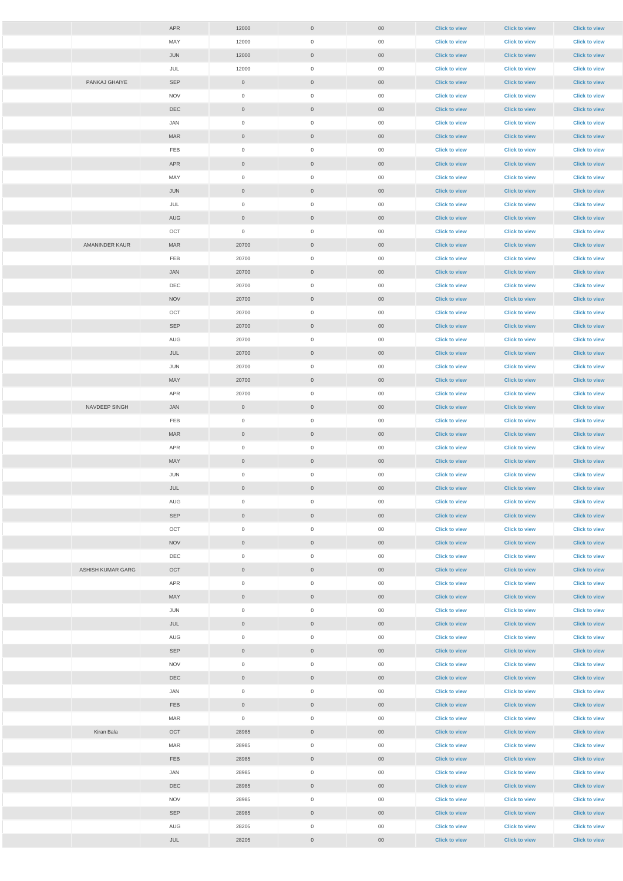|                   | APR        | 12000               | $\overline{0}$      | $00\,$          | <b>Click to view</b> | <b>Click to view</b> | <b>Click to view</b> |
|-------------------|------------|---------------------|---------------------|-----------------|----------------------|----------------------|----------------------|
|                   | MAY        | 12000               | $\boldsymbol{0}$    | $00\,$          | <b>Click to view</b> | <b>Click to view</b> | <b>Click to view</b> |
|                   | JUN        | 12000               | $\overline{0}$      | 00 <sub>o</sub> | <b>Click to view</b> | <b>Click to view</b> | <b>Click to view</b> |
|                   | JUL        | 12000               | $\overline{0}$      | $00\,$          | <b>Click to view</b> | <b>Click to view</b> | <b>Click to view</b> |
| PANKAJ GHAIYE     | SEP        | $\overline{0}$      | $\overline{0}$      | $00\,$          | <b>Click to view</b> | <b>Click to view</b> | <b>Click to view</b> |
|                   | <b>NOV</b> | $\mathsf{O}\xspace$ | $\boldsymbol{0}$    | $00\,$          | <b>Click to view</b> | <b>Click to view</b> | <b>Click to view</b> |
|                   | DEC        | $\overline{0}$      | $\overline{0}$      | $00\,$          | <b>Click to view</b> | <b>Click to view</b> | <b>Click to view</b> |
|                   | JAN        | $\overline{0}$      | $\overline{0}$      | $00\,$          | <b>Click to view</b> | <b>Click to view</b> | <b>Click to view</b> |
|                   | <b>MAR</b> | $\overline{0}$      | $\overline{0}$      | $00\,$          | <b>Click to view</b> | <b>Click to view</b> | <b>Click to view</b> |
|                   | FEB        | $\mathsf{O}\xspace$ | $\boldsymbol{0}$    | $00\,$          | <b>Click to view</b> | <b>Click to view</b> | <b>Click to view</b> |
|                   | APR        | $\overline{0}$      | $\overline{0}$      | $00\,$          | <b>Click to view</b> | <b>Click to view</b> | <b>Click to view</b> |
|                   | MAY        | $\overline{0}$      | $\overline{0}$      | $00\,$          | <b>Click to view</b> | <b>Click to view</b> | <b>Click to view</b> |
|                   | JUN        | $\overline{0}$      | $\overline{0}$      | $00\,$          | <b>Click to view</b> | <b>Click to view</b> | <b>Click to view</b> |
|                   | JUL        | $\overline{0}$      | $\overline{0}$      | $00\,$          | <b>Click to view</b> | <b>Click to view</b> | <b>Click to view</b> |
|                   | AUG        | $\overline{0}$      | $\overline{0}$      | $00\,$          | <b>Click to view</b> | <b>Click to view</b> | <b>Click to view</b> |
|                   | OCT        | $\overline{0}$      | $\overline{0}$      | $00\,$          | <b>Click to view</b> | <b>Click to view</b> | <b>Click to view</b> |
| AMANINDER KAUR    | <b>MAR</b> | 20700               | $\overline{0}$      | $00\,$          | <b>Click to view</b> | <b>Click to view</b> | <b>Click to view</b> |
|                   | FEB        | 20700               | $\overline{0}$      | $00\,$          | <b>Click to view</b> | <b>Click to view</b> | <b>Click to view</b> |
|                   | JAN        | 20700               | $\overline{0}$      | $00\,$          | <b>Click to view</b> | <b>Click to view</b> | <b>Click to view</b> |
|                   | DEC        | 20700               | $\overline{0}$      | $00\,$          | <b>Click to view</b> | <b>Click to view</b> | <b>Click to view</b> |
|                   | <b>NOV</b> | 20700               | $\overline{0}$      | $00\,$          | <b>Click to view</b> | <b>Click to view</b> | <b>Click to view</b> |
|                   | OCT        | 20700               | $\overline{0}$      | $00\,$          | <b>Click to view</b> | <b>Click to view</b> | <b>Click to view</b> |
|                   | SEP        | 20700               | $\overline{0}$      | 00 <sub>o</sub> | <b>Click to view</b> | <b>Click to view</b> | <b>Click to view</b> |
|                   | AUG        | 20700               | $\boldsymbol{0}$    | $00\,$          | <b>Click to view</b> | <b>Click to view</b> | <b>Click to view</b> |
|                   | JUL        | 20700               | $\overline{0}$      | $00\,$          | <b>Click to view</b> | <b>Click to view</b> | <b>Click to view</b> |
|                   | JUN        | 20700               | $\boldsymbol{0}$    | $00\,$          | <b>Click to view</b> | <b>Click to view</b> | <b>Click to view</b> |
|                   | MAY        | 20700               | $\overline{0}$      | $00\,$          | <b>Click to view</b> | <b>Click to view</b> | <b>Click to view</b> |
|                   | APR        | 20700               | $\overline{0}$      | $00\,$          | <b>Click to view</b> | <b>Click to view</b> | <b>Click to view</b> |
| NAVDEEP SINGH     | JAN        | $\overline{0}$      | $\overline{0}$      | $00\,$          | <b>Click to view</b> | <b>Click to view</b> | <b>Click to view</b> |
|                   | FEB        | $\overline{0}$      | $\overline{0}$      | $00\,$          | <b>Click to view</b> | <b>Click to view</b> | <b>Click to view</b> |
|                   | <b>MAR</b> | $\overline{0}$      | $\overline{0}$      | $00\,$          | <b>Click to view</b> | <b>Click to view</b> | <b>Click to view</b> |
|                   | APR        | $\overline{0}$      | $\boldsymbol{0}$    | $00\,$          | <b>Click to view</b> | <b>Click to view</b> | <b>Click to view</b> |
|                   | <b>MAY</b> | $\overline{0}$      | $\overline{0}$      | $00\,$          | <b>Click to view</b> | <b>Click to view</b> | <b>Click to view</b> |
|                   | JUN        | $\overline{0}$      | $\overline{0}$      | $00\,$          | <b>Click to view</b> | <b>Click to view</b> | <b>Click to view</b> |
|                   | JUL        | $\overline{0}$      | $\overline{0}$      | $00\,$          | <b>Click to view</b> | <b>Click to view</b> | <b>Click to view</b> |
|                   | AUG        | $\overline{0}$      | $\overline{0}$      | $00\,$          | <b>Click to view</b> | <b>Click to view</b> | <b>Click to view</b> |
|                   | SEP        | $\overline{0}$      | $\overline{0}$      | $00\,$          | <b>Click to view</b> | <b>Click to view</b> | <b>Click to view</b> |
|                   | OCT        | $\overline{0}$      | $\overline{0}$      | $00\,$          | <b>Click to view</b> | <b>Click to view</b> | <b>Click to view</b> |
|                   | <b>NOV</b> | $\overline{0}$      | $\overline{0}$      | $00\,$          | <b>Click to view</b> | <b>Click to view</b> | <b>Click to view</b> |
|                   | DEC        | $\overline{0}$      | $\overline{0}$      | $00\,$          | <b>Click to view</b> | <b>Click to view</b> | <b>Click to view</b> |
| ASHISH KUMAR GARG | OCT        | $\overline{0}$      | $\overline{0}$      | $00\,$          | <b>Click to view</b> | <b>Click to view</b> | <b>Click to view</b> |
|                   | APR        | $\overline{0}$      | $\overline{0}$      | 00              | <b>Click to view</b> | <b>Click to view</b> | <b>Click to view</b> |
|                   | MAY        | $\overline{0}$      | $\overline{0}$      | $00\,$          | <b>Click to view</b> | <b>Click to view</b> | <b>Click to view</b> |
|                   | JUN        | $\overline{0}$      | $\overline{0}$      | $00\,$          | <b>Click to view</b> | <b>Click to view</b> | <b>Click to view</b> |
|                   | JUL        | $\overline{0}$      | $\overline{0}$      | 00 <sub>o</sub> | <b>Click to view</b> | <b>Click to view</b> | <b>Click to view</b> |
|                   | AUG        | $\overline{0}$      | $\overline{0}$      | $00\,$          | <b>Click to view</b> | <b>Click to view</b> | <b>Click to view</b> |
|                   | SEP        | $\overline{0}$      | $\overline{0}$      | 00 <sub>o</sub> | <b>Click to view</b> | <b>Click to view</b> | <b>Click to view</b> |
|                   | <b>NOV</b> | $\overline{0}$      | $\boldsymbol{0}$    | $00\,$          | <b>Click to view</b> | <b>Click to view</b> | <b>Click to view</b> |
|                   | <b>DEC</b> | $\overline{0}$      | $\overline{0}$      | 00 <sub>o</sub> | <b>Click to view</b> | <b>Click to view</b> | <b>Click to view</b> |
|                   | JAN        | $\overline{0}$      | $\mathsf{O}\xspace$ | $00\,$          | <b>Click to view</b> | <b>Click to view</b> | <b>Click to view</b> |
|                   | <b>FEB</b> | $\overline{0}$      | $\boldsymbol{0}$    | $00\,$          | <b>Click to view</b> | <b>Click to view</b> | <b>Click to view</b> |
|                   | <b>MAR</b> | $\mathsf{O}\xspace$ | $\mathsf{O}\xspace$ | $00\,$          | <b>Click to view</b> | <b>Click to view</b> | <b>Click to view</b> |
| Kiran Bala        | OCT        | 28985               | $\boldsymbol{0}$    | $00\,$          | <b>Click to view</b> | <b>Click to view</b> | <b>Click to view</b> |
|                   | MAR        | 28985               | $\mathsf{O}\xspace$ | $00\,$          | <b>Click to view</b> | <b>Click to view</b> | <b>Click to view</b> |
|                   | <b>FEB</b> | 28985               | $\overline{0}$      | $00\,$          | <b>Click to view</b> | <b>Click to view</b> | <b>Click to view</b> |
|                   | JAN        | 28985               | $\mathsf{O}\xspace$ | $00\,$          | <b>Click to view</b> | <b>Click to view</b> | <b>Click to view</b> |
|                   | DEC        | 28985               | $\overline{0}$      | $00\,$          | <b>Click to view</b> | <b>Click to view</b> | <b>Click to view</b> |
|                   | <b>NOV</b> | 28985               | $\mathsf{O}\xspace$ | $00\,$          | <b>Click to view</b> | <b>Click to view</b> | <b>Click to view</b> |
|                   | SEP        | 28985               | $\overline{0}$      | $00\,$          | <b>Click to view</b> | <b>Click to view</b> | <b>Click to view</b> |
|                   | AUG        | 28205               | $\boldsymbol{0}$    | $00\,$          | <b>Click to view</b> | <b>Click to view</b> | <b>Click to view</b> |
|                   | JUL        | 28205               | $\overline{0}$      | $00\,$          | <b>Click to view</b> | <b>Click to view</b> | <b>Click to view</b> |
|                   |            |                     |                     |                 |                      |                      |                      |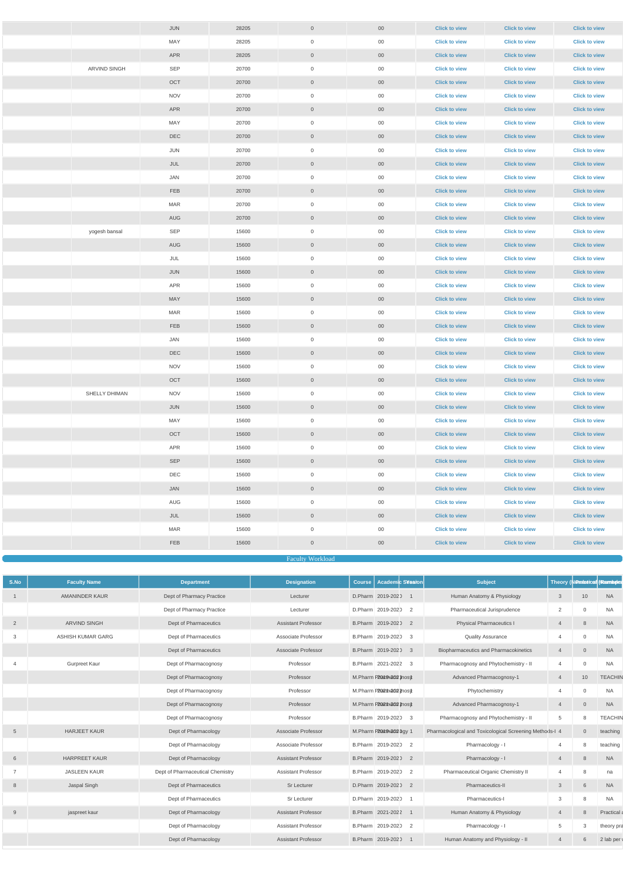|               | <b>JUN</b>     | 28205 | $\overline{0}$      | $00\,$          | <b>Click to view</b> | <b>Click to view</b> | <b>Click to view</b> |
|---------------|----------------|-------|---------------------|-----------------|----------------------|----------------------|----------------------|
|               | MAY            | 28205 | $\overline{0}$      | $00\,$          | <b>Click to view</b> | <b>Click to view</b> | <b>Click to view</b> |
|               | <b>APR</b>     | 28205 | $\overline{0}$      | $00\,$          | <b>Click to view</b> | <b>Click to view</b> | <b>Click to view</b> |
| ARVIND SINGH  | SEP            | 20700 | $\overline{0}$      | $00\,$          | <b>Click to view</b> | <b>Click to view</b> | <b>Click to view</b> |
|               | OCT            | 20700 | $\overline{0}$      | 00 <sub>o</sub> | <b>Click to view</b> | <b>Click to view</b> | <b>Click to view</b> |
|               | <b>NOV</b>     | 20700 | $\overline{0}$      | $00\,$          | <b>Click to view</b> | <b>Click to view</b> | <b>Click to view</b> |
|               | <b>APR</b>     | 20700 | $\overline{0}$      | $00\,$          | <b>Click to view</b> | <b>Click to view</b> | <b>Click to view</b> |
|               | MAY            | 20700 | $\overline{0}$      | $00\,$          | <b>Click to view</b> | <b>Click to view</b> | <b>Click to view</b> |
|               | <b>DEC</b>     | 20700 | $\overline{0}$      | $00\,$          | <b>Click to view</b> | <b>Click to view</b> | <b>Click to view</b> |
|               | JUN            | 20700 | $\overline{0}$      | $00\,$          | <b>Click to view</b> | <b>Click to view</b> | <b>Click to view</b> |
|               | JUL            | 20700 | $\overline{0}$      | $00\,$          | <b>Click to view</b> | <b>Click to view</b> | <b>Click to view</b> |
|               | JAN            | 20700 | $\overline{0}$      | $00\,$          | <b>Click to view</b> | <b>Click to view</b> | <b>Click to view</b> |
|               | <b>FEB</b>     | 20700 | $\overline{0}$      | $00\,$          | <b>Click to view</b> | <b>Click to view</b> | <b>Click to view</b> |
|               | <b>MAR</b>     | 20700 | $\overline{0}$      | $00\,$          | <b>Click to view</b> | <b>Click to view</b> | <b>Click to view</b> |
|               | AUG            | 20700 | $\overline{0}$      | $00\,$          | <b>Click to view</b> | <b>Click to view</b> | <b>Click to view</b> |
| yogesh bansal | SEP            | 15600 | $\overline{0}$      | $00\,$          | <b>Click to view</b> | <b>Click to view</b> | <b>Click to view</b> |
|               | AUG            | 15600 | $\overline{0}$      | $00\,$          | <b>Click to view</b> | <b>Click to view</b> | <b>Click to view</b> |
|               | JUL            | 15600 | $\overline{0}$      | $00\,$          | <b>Click to view</b> | <b>Click to view</b> | <b>Click to view</b> |
|               | JUN            | 15600 | $\overline{0}$      | $00\,$          | <b>Click to view</b> | <b>Click to view</b> | <b>Click to view</b> |
|               | APR            | 15600 | $\overline{0}$      | 00              | <b>Click to view</b> | <b>Click to view</b> | <b>Click to view</b> |
|               | MAY            | 15600 | $\overline{0}$      | $00\,$          | <b>Click to view</b> | <b>Click to view</b> | <b>Click to view</b> |
|               | <b>MAR</b>     | 15600 | $\overline{0}$      | 00              | <b>Click to view</b> | <b>Click to view</b> | <b>Click to view</b> |
|               | FEB            | 15600 | $\overline{0}$      | $00\,$          | <b>Click to view</b> | <b>Click to view</b> | <b>Click to view</b> |
|               | JAN            | 15600 | 0                   | $00\,$          | <b>Click to view</b> | <b>Click to view</b> | <b>Click to view</b> |
|               | $\mathsf{DEC}$ | 15600 | $\overline{0}$      | $00\,$          | <b>Click to view</b> | <b>Click to view</b> | <b>Click to view</b> |
|               | <b>NOV</b>     | 15600 | $\mathsf{O}\xspace$ | $00\,$          | <b>Click to view</b> | <b>Click to view</b> | <b>Click to view</b> |
|               | OCT            | 15600 | $\overline{0}$      | $00\,$          | <b>Click to view</b> | <b>Click to view</b> | <b>Click to view</b> |
| SHELLY DHIMAN | <b>NOV</b>     | 15600 | $\boldsymbol{0}$    | $00\,$          | <b>Click to view</b> | <b>Click to view</b> | <b>Click to view</b> |
|               | JUN            | 15600 | $\overline{0}$      | $00\,$          | <b>Click to view</b> | <b>Click to view</b> | <b>Click to view</b> |
|               | MAY            | 15600 | $\overline{0}$      | $00\,$          | <b>Click to view</b> | <b>Click to view</b> | <b>Click to view</b> |
|               | OCT            | 15600 | $\overline{0}$      | $00\,$          | <b>Click to view</b> | <b>Click to view</b> | <b>Click to view</b> |
|               | APR            | 15600 | $\overline{0}$      | $00\,$          | <b>Click to view</b> | <b>Click to view</b> | <b>Click to view</b> |
|               | <b>SEP</b>     | 15600 | $\overline{0}$      | $00\,$          | <b>Click to view</b> | <b>Click to view</b> | <b>Click to view</b> |
|               | DEC            | 15600 | $\overline{0}$      | $00\,$          | <b>Click to view</b> | <b>Click to view</b> | <b>Click to view</b> |
|               | JAN            | 15600 | $\overline{0}$      | $00\,$          | <b>Click to view</b> | <b>Click to view</b> | <b>Click to view</b> |
|               | AUG            | 15600 | $\mathbf 0$         | $00\,$          | <b>Click to view</b> | <b>Click to view</b> | <b>Click to view</b> |
|               | JUL            | 15600 | $\overline{0}$      | $00\,$          | <b>Click to view</b> | <b>Click to view</b> | <b>Click to view</b> |
|               | <b>MAR</b>     | 15600 | $\overline{0}$      | $00\,$          | <b>Click to view</b> | <b>Click to view</b> | <b>Click to view</b> |
|               | <b>FEB</b>     | 15600 | $\overline{0}$      | $00\,$          | <b>Click to view</b> | <b>Click to view</b> | <b>Click to view</b> |
|               |                |       |                     |                 |                      |                      |                      |

Faculty Workload

| S.No            | <b>Faculty Name</b>   | <b>Department</b>                | <b>Designation</b>         | <b>Academic Session</b><br><b>Course</b>     | <b>Subject</b>                                          |                 | Theory (Nuratotical Hambules |                |
|-----------------|-----------------------|----------------------------------|----------------------------|----------------------------------------------|---------------------------------------------------------|-----------------|------------------------------|----------------|
|                 | <b>AMANINDER KAUR</b> | Dept of Pharmacy Practice        | Lecturer                   | D.Pharm 2019-2020                            | Human Anatomy & Physiology                              | $\mathbf{3}$    | 10                           | <b>NA</b>      |
|                 |                       | Dept of Pharmacy Practice        | Lecturer                   | D.Pharm 2019-2020 2                          | Pharmaceutical Jurisprudence                            | $\overline{2}$  | $\Omega$                     | <b>NA</b>      |
| $\overline{2}$  | <b>ARVIND SINGH</b>   | Dept of Pharmaceutics            | <b>Assistant Professor</b> | B.Pharm 2019-2020 2                          | <b>Physical Pharmaceutics I</b>                         | $\overline{4}$  | 8                            | <b>NA</b>      |
| 3               | ASHISH KUMAR GARG     | Dept of Pharmaceutics            | Associate Professor        | B.Pharm 2019-2020<br>$\overline{\mathbf{3}}$ | <b>Quality Assurance</b>                                | 4               | $\Omega$                     | <b>NA</b>      |
|                 |                       | Dept of Pharmaceutics            | <b>Associate Professor</b> | B.Pharm 2019-2020 3                          | Biopharmaceutics and Pharmacokinetics                   | $\overline{4}$  | $\overline{0}$               | <b>NA</b>      |
|                 | Gurpreet Kaur         | Dept of Pharmacognosy            | Professor                  | B.Pharm 2021-2022 3                          | Pharmacognosy and Phytochemistry - II                   | 4               | $\overline{0}$               | <b>NA</b>      |
|                 |                       | Dept of Pharmacognosy            | Professor                  | M.Pharm P20at9+2020nosy                      | Advanced Pharmacognosy-1                                | 4               | 10                           | <b>TEACHIN</b> |
|                 |                       | Dept of Pharmacognosy            | Professor                  | M.Pharm P2021h2022nosy                       | Phytochemistry                                          | 4               | $\cap$                       | <b>NA</b>      |
|                 |                       | Dept of Pharmacognosy            | Professor                  | M.Pharm P202011-2022 most                    | Advanced Pharmacognosy-1                                | $\overline{4}$  | $\overline{0}$               | <b>NA</b>      |
|                 |                       | Dept of Pharmacognosy            | Professor                  | B.Pharm 2019-2020 3                          | Pharmacognosy and Phytochemistry - II                   | $5\overline{)}$ | 8                            | <b>TEACHIN</b> |
| $5\overline{)}$ | <b>HARJEET KAUR</b>   | Dept of Pharmacology             | <b>Associate Professor</b> | M.Pharm P20at9+2020gy 1                      | Pharmacological and Toxicological Screening Methods-I 4 |                 | $\overline{0}$               | teaching       |
|                 |                       | Dept of Pharmacology             | Associate Professor        | B.Pharm 2019-2020 2                          | Pharmacology - I                                        | 4               | 8                            | teaching       |
| 6               | <b>HARPREET KAUR</b>  | Dept of Pharmacology             | <b>Assistant Professor</b> | B.Pharm 2019-2020 2                          | Pharmacology - I                                        | $\overline{4}$  | 8                            | <b>NA</b>      |
| $\overline{7}$  | <b>JASLEEN KAUR</b>   | Dept of Pharmaceutical Chemistry | <b>Assistant Professor</b> | B.Pharm 2019-2020<br>$\overline{2}$          | Pharmaceutical Organic Chemistry II                     | 4               | 8                            | na             |
| 8               | Jaspal Singh          | Dept of Pharmaceutics            | Sr Lecturer                | D.Pharm 2019-2020 2                          | Pharmaceutics-II                                        | $\mathbf{3}$    | 6                            | <b>NA</b>      |
|                 |                       | Dept of Pharmaceutics            | Sr Lecturer                | D.Pharm 2019-2020<br>$\overline{1}$          | Pharmaceutics-I                                         | 3               | 8                            | <b>NA</b>      |
| 9               | jaspreet kaur         | Dept of Pharmacology             | <b>Assistant Professor</b> | B.Pharm 2021-2022 1                          | Human Anatomy & Physiology                              | $\overline{4}$  | 8                            | Practical a    |
|                 |                       | Dept of Pharmacology             | <b>Assistant Professor</b> | B.Pharm 2019-2020 2                          | Pharmacology - I                                        | 5               | -3                           | theory pra     |
|                 |                       | Dept of Pharmacology             | <b>Assistant Professor</b> | B.Pharm 2019-2020                            | Human Anatomy and Physiology - II                       | $\overline{4}$  | 6                            | 2 lab per      |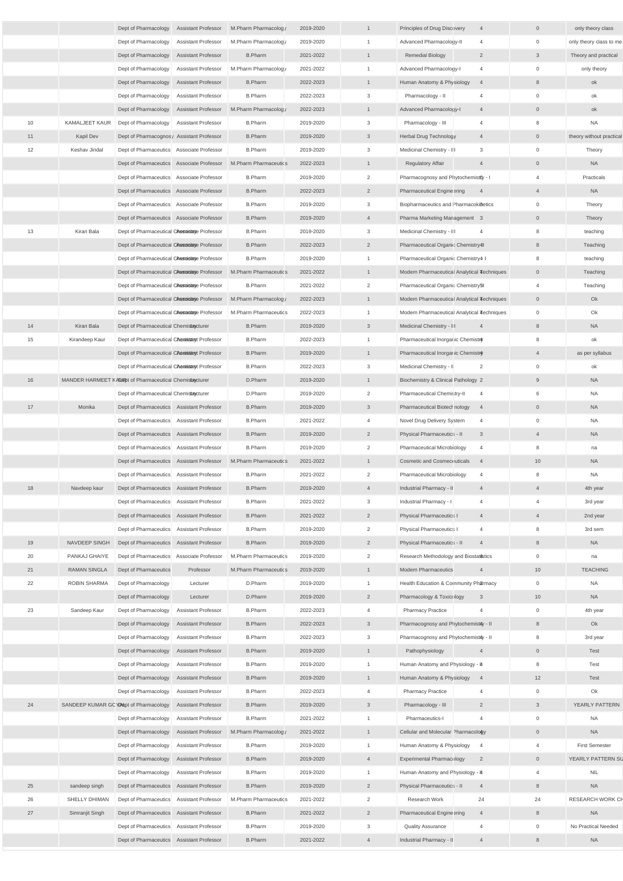|    |                 | Dept of Pharmacology Assistant Professor                  | M.Pharm Pharmacology  | 2019-2020 | $\mathbf{1}$   | Principles of Drug Discovery<br>$\overline{4}$         | $\overline{0}$  | only theory class        |
|----|-----------------|-----------------------------------------------------------|-----------------------|-----------|----------------|--------------------------------------------------------|-----------------|--------------------------|
|    |                 | Dept of Pharmacology Assistant Professor                  | M.Pharm Pharmacology  | 2019-2020 | $\overline{1}$ | Advanced Pharmacology-II<br>$\overline{4}$             | $\overline{0}$  | only theory class to me  |
|    |                 | Dept of Pharmacology Assistant Professor                  | <b>B.Pharm</b>        | 2021-2022 | $\overline{1}$ | $\overline{2}$<br><b>Remedial Biology</b>              | $\mathbf{3}$    | Theory and practical     |
|    |                 | Dept of Pharmacology Assistant Professor                  | M.Pharm Pharmacology  | 2021-2022 | $\overline{1}$ | Advanced Pharmacology-I<br>$\overline{4}$              | $\mathbf 0$     | only theory              |
|    |                 | Dept of Pharmacology Assistant Professor                  | <b>B.Pharm</b>        | 2022-2023 | $\overline{1}$ | Human Anatomy & Physiology<br>$\overline{4}$           | 8               | ok                       |
|    |                 | Dept of Pharmacology Assistant Professor                  | <b>B.Pharm</b>        | 2022-2023 | $\mathbf{3}$   | Pharmacology - II<br>$\overline{4}$                    | $\mathbf{0}$    | ok                       |
|    |                 | Dept of Pharmacology<br><b>Assistant Professor</b>        | M.Pharm Pharmacology  | 2022-2023 | $\overline{1}$ | Advanced Pharmacology-I<br>$\overline{4}$              | $\overline{0}$  | ok                       |
| 10 | KAMALJEET KAUR  | Dept of Pharmacology Assistant Professor                  | <b>B.Pharm</b>        | 2019-2020 | $\mathbf{3}$   | Pharmacology - III<br>$\overline{4}$                   | 8               | <b>NA</b>                |
| 11 | Kapil Dev       | Dept of Pharmacognosy Assistant Professor                 | <b>B.Pharm</b>        | 2019-2020 | $\mathbf{3}$   | <b>Herbal Drug Technology</b><br>$\overline{4}$        | $\overline{0}$  | theory without practical |
| 12 | Keshav Jindal   | Dept of Pharmaceutics Associate Professor                 | <b>B.Pharm</b>        | 2019-2020 | $\mathbf{3}$   | $\mathbf{3}$<br>Medicinal Chemistry - III              | $\overline{0}$  | Theory                   |
|    |                 | Dept of Pharmaceutics Associate Professor                 | M.Pharm Pharmaceutics | 2022-2023 | $\overline{1}$ | <b>Regulatory Affair</b><br>$\overline{4}$             | $\overline{0}$  | <b>NA</b>                |
|    |                 | Dept of Pharmaceutics Associate Professor                 | <b>B.Pharm</b>        | 2019-2020 | $\overline{2}$ | Pharmacognosy and Phytochemistfly - I                  | $\overline{4}$  | Practicals               |
|    |                 | Dept of Pharmaceutics Associate Professor                 | <b>B.Pharm</b>        | 2022-2023 | $\overline{2}$ | <b>Pharmaceutical Engineering</b><br>$\overline{4}$    | $\overline{4}$  | <b>NA</b>                |
|    |                 | Dept of Pharmaceutics Associate Professor                 | <b>B.Pharm</b>        | 2019-2020 | $\mathbf{3}$   | Biopharmaceutics and Pharmacoki8etics                  | $\mathbf 0$     | Theory                   |
|    |                 | Dept of Pharmaceutics Associate Professor                 | <b>B.Pharm</b>        | 2019-2020 | $\overline{4}$ | Pharma Marketing Management 3                          | $\overline{0}$  | Theory                   |
| 13 | Kiran Bala      | Dept of Pharmaceutical Chespisitate Professor             | <b>B.Pharm</b>        | 2019-2020 | $\mathbf{3}$   | Medicinal Chemistry - III<br>$\overline{4}$            | 8               | teaching                 |
|    |                 | Dept of Pharmaceutical Chespisitate Professor             | <b>B.Pharm</b>        | 2022-2023 | $\overline{2}$ | Pharmaceutical Organic Chemistry4I                     | 8               | Teaching                 |
|    |                 | Dept of Pharmaceutical Chespoisitate Professor            | <b>B.Pharm</b>        | 2019-2020 | $\overline{1}$ | Pharmaceutical Organic Chemistry4 I                    | 8               | teaching                 |
|    |                 | Dept of Pharmaceutical Chespisitate Professor             | M.Pharm Pharmaceutics | 2021-2022 | $\overline{1}$ | Modern Pharmaceutical Analytical Techniques            | $\overline{0}$  | Teaching                 |
|    |                 |                                                           | <b>B.Pharm</b>        | 2021-2022 | $\overline{2}$ | Pharmaceutical Organic Chemistry5l                     |                 |                          |
|    |                 | Dept of Pharmaceutical Chespisitate Professor             |                       |           |                |                                                        | 4               | Teaching                 |
|    |                 | Dept of Pharmaceutical Chespoisitate Professor            | M.Pharm Pharmacology  | 2022-2023 | $\overline{1}$ | Modern Pharmaceutical Analytical Techniques            | $\overline{0}$  | Ok                       |
|    |                 | Dept of Pharmaceutical CAssoisitate Professor             | M.Pharm Pharmaceutics | 2022-2023 | $\overline{1}$ | Modern Pharmaceutical Analytical Techniques            | $\overline{0}$  | Ok                       |
| 14 | Kiran Bala      | Dept of Pharmaceutical Chemistracturer                    | <b>B.Pharm</b>        | 2019-2020 | $\mathbf{3}$   | Medicinal Chemistry - III<br>$\overline{4}$            | 8               | <b>NA</b>                |
| 15 | Kirandeep Kaur  | Dept of Pharmaceutical Chesissaryt Professor              | <b>B.Pharm</b>        | 2022-2023 |                | Pharmaceutical Inorganic Chemistry                     |                 | ok                       |
|    |                 | Dept of Pharmaceutical Chesissaryt Professor              | <b>B.Pharm</b>        | 2019-2020 |                | Pharmaceutical Inorganic Chemistry                     |                 | as per syllabus          |
|    |                 | Dept of Pharmaceutical CAesisstanyt Professor             | <b>B.Pharm</b>        | 2022-2023 | $\mathbf{3}$   | $\overline{2}$<br>Medicinal Chemistry - II             | $\mathbf{0}$    | ok                       |
| 16 |                 | MANDER HARMEET KADER of Pharmaceutical Chemistrecturer    | D.Pharm               | 2019-2020 | $\overline{1}$ | Biochemistry & Clinical Pathology 2                    | 9               | <b>NA</b>                |
|    |                 | Dept of Pharmaceutical Chemistracturer                    | D.Pharm               | 2019-2020 | $\overline{2}$ | Pharmaceutical Chemistry-II<br>$\overline{4}$          | 6               | <b>NA</b>                |
| 17 | Monika          | Dept of Pharmaceutics Assistant Professor                 | <b>B.Pharm</b>        | 2019-2020 | $\mathbf{3}$   | Pharmaceutical Biotechnology<br>$\overline{4}$         | $\overline{0}$  | <b>NA</b>                |
|    |                 | Dept of Pharmaceutics Assistant Professor                 | <b>B.Pharm</b>        | 2021-2022 | $\overline{4}$ | Novel Drug Delivery System<br>$\overline{4}$           | $\mathbf 0$     | <b>NA</b>                |
|    |                 | Dept of Pharmaceutics Assistant Professor                 | <b>B.Pharm</b>        | 2019-2020 | $\overline{2}$ | Physical Pharmaceutics - II<br>$\overline{\mathbf{3}}$ | $\overline{4}$  | <b>NA</b>                |
|    |                 | Dept of Pharmaceutics Assistant Professor                 | <b>B.Pharm</b>        | 2019-2020 | $\overline{2}$ | Pharmaceutical Microbiology<br>$\overline{4}$          | 8               | na                       |
|    |                 | Dept of Pharmaceutics Assistant Professor                 | M.Pharm Pharmaceutics | 2021-2022 | $\overline{1}$ | <b>Cosmetic and Cosmeceuticals</b><br>$\overline{4}$   | 10              | <b>NA</b>                |
|    |                 | Dept of Pharmaceutics Assistant Professor                 | <b>B.Pharm</b>        | 2021-2022 | $\overline{2}$ | Pharmaceutical Microbiology<br>$\overline{4}$          | 8               | <b>NA</b>                |
| 18 | Navdeep kaur    | Dept of Pharmaceutics Assistant Professor                 | <b>B.Pharm</b>        | 2019-2020 | $\overline{4}$ | $\overline{4}$<br>Industrial Pharmacy - II             | $\overline{4}$  | 4th year                 |
|    |                 | Dept of Pharmaceutics Assistant Professor                 | <b>B.Pharm</b>        | 2021-2022 | $\mathbf{3}$   | Industrial Pharmacy - I<br>$\overline{4}$              | $\overline{4}$  | 3rd year                 |
|    |                 | Dept of Pharmaceutics Assistant Professor                 | <b>B.Pharm</b>        | 2021-2022 | $\overline{2}$ | <b>Physical Pharmaceutics I</b><br>$\overline{4}$      | $\overline{4}$  | 2nd year                 |
|    |                 | Dept of Pharmaceutics Assistant Professor                 | <b>B.Pharm</b>        | 2019-2020 | $\overline{2}$ | <b>Physical Pharmaceutics I</b><br>$\overline{4}$      | 8               | 3rd sem                  |
| 19 | NAVDEEP SINGH   | Dept of Pharmaceutics Assistant Professor                 | <b>B.Pharm</b>        | 2019-2020 | $\overline{2}$ | Physical Pharmaceutics - II<br>$\overline{4}$          | 8               | <b>NA</b>                |
| 20 | PANKAJ GHAIYE   | Dept of Pharmaceutics Associate Professor                 | M.Pharm Pharmaceutics | 2019-2020 | 2              | Research Methodology and Biostat istics                | $\mathbf 0$     | na                       |
| 21 | RAMAN SINGLA    | Dept of Pharmaceutics<br>Professor                        | M.Pharm Pharmaceutics | 2019-2020 | $\overline{1}$ | <b>Modern Pharmaceutics</b><br>$\overline{4}$          | 10              | <b>TEACHING</b>          |
| 22 | ROBIN SHARMA    | Dept of Pharmacology<br>Lecturer                          | D.Pharm               | 2019-2020 | $\overline{1}$ | Health Education & Community Pharmacy                  | $\overline{0}$  | <b>NA</b>                |
|    |                 | Dept of Pharmacology<br>Lecturer                          | D.Pharm               | 2019-2020 | $\overline{2}$ | Pharmacology & Toxicology<br>$\overline{\mathbf{3}}$   | 10 <sup>1</sup> | <b>NA</b>                |
| 23 | Sandeep Kaur    | Dept of Pharmacology<br>Assistant Professor               | <b>B.Pharm</b>        | 2022-2023 | $\overline{4}$ | <b>Pharmacy Practice</b><br>$\overline{4}$             | $\mathbf 0$     | 4th year                 |
|    |                 | Dept of Pharmacology Assistant Professor                  | <b>B.Pharm</b>        | 2022-2023 | $\mathbf{3}$   | Pharmacognosy and Phytochemistay - II                  | 8               | Ok                       |
|    |                 | Dept of Pharmacology Assistant Professor                  | <b>B.Pharm</b>        | 2022-2023 | $\mathbf{3}$   | Pharmacognosy and Phytochemistay - II                  | 8               | 3rd year                 |
|    |                 | Dept of Pharmacology Assistant Professor                  | <b>B.Pharm</b>        | 2019-2020 | $\overline{1}$ | Pathophysiology<br>$\overline{4}$                      | $\overline{0}$  | Test                     |
|    |                 | Dept of Pharmacology Assistant Professor                  | <b>B.Pharm</b>        | 2019-2020 | $\overline{1}$ | Human Anatomy and Physiology - #                       | 8               | Test                     |
|    |                 | Dept of Pharmacology Assistant Professor                  | <b>B.Pharm</b>        | 2019-2020 | $\mathbf{1}$   | Human Anatomy & Physiology<br>$\overline{4}$           | 12              | Test                     |
|    |                 | Dept of Pharmacology Assistant Professor                  | <b>B.Pharm</b>        | 2022-2023 | $\overline{4}$ | <b>Pharmacy Practice</b><br>$\overline{4}$             | $\overline{0}$  | Ok                       |
| 24 |                 | SANDEEP KUMAR GOYMept of Pharmacology Assistant Professor | <b>B.Pharm</b>        | 2019-2020 | 3              | $\overline{2}$<br>Pharmacology - III                   | $\mathbf{3}$    | YEARLY PATTERN           |
|    |                 | Dept of Pharmacology Assistant Professor                  | <b>B.Pharm</b>        | 2021-2022 | $\overline{1}$ | Pharmaceutics-I<br>$\overline{4}$                      | $\overline{0}$  | <b>NA</b>                |
|    |                 | Dept of Pharmacology Assistant Professor                  | M.Pharm Pharmacology  | 2021-2022 | $\overline{1}$ | Cellular and Molecular Pharmacology                    | $\overline{0}$  | <b>NA</b>                |
|    |                 | Dept of Pharmacology Assistant Professor                  | <b>B.Pharm</b>        | 2019-2020 | $\overline{1}$ | Human Anatomy & Physiology 4                           | $\overline{4}$  | <b>First Semester</b>    |
|    |                 | Dept of Pharmacology Assistant Professor                  | <b>B.Pharm</b>        | 2019-2020 | $\overline{4}$ | Experimental Pharmacology<br>$\overline{\phantom{a}}$  | $\overline{0}$  | YEARLY PATTERN SL        |
|    |                 | Dept of Pharmacology Assistant Professor                  | <b>B.Pharm</b>        | 2019-2020 | $\overline{1}$ | Human Anatomy and Physiology - #                       | $\overline{4}$  | <b>NIL</b>               |
| 25 | sandeep singh   | Dept of Pharmaceutics Assistant Professor                 | <b>B.Pharm</b>        | 2019-2020 | $\overline{2}$ | Physical Pharmaceutics - II<br>$\overline{4}$          | 8               | <b>NA</b>                |
| 26 | SHELLY DHIMAN   | Dept of Pharmaceutics Assistant Professor                 | M.Pharm Pharmaceutics | 2021-2022 | $\overline{2}$ | 24<br>Research Work                                    | 24              | RESEARCH WORK CH         |
| 27 | Simranjit Singh | Dept of Pharmaceutics Assistant Professor                 | <b>B.Pharm</b>        | 2021-2022 | $\overline{2}$ | <b>Pharmaceutical Engineering</b><br>$\overline{4}$    | 8               | <b>NA</b>                |
|    |                 | Dept of Pharmaceutics Assistant Professor                 | <b>B.Pharm</b>        | 2019-2020 | $\mathbf{3}$   | <b>Quality Assurance</b><br>$\overline{4}$             | $\mathbf{0}$    | No Practical Needed      |
|    |                 | Dept of Pharmaceutics Assistant Professor                 | <b>B.Pharm</b>        | 2021-2022 | $\overline{4}$ | Industrial Pharmacy - II<br>$\overline{4}$             | 8               | <b>NA</b>                |
|    |                 |                                                           |                       |           |                |                                                        |                 |                          |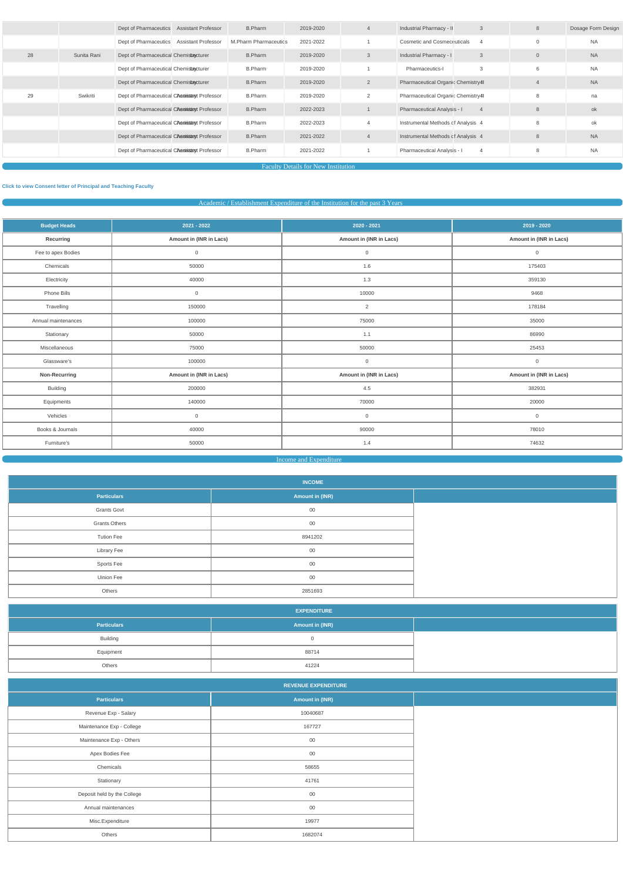|    |             | Dept of Pharmaceutics Assistant Professor           | B.Pharm               | 2019-2020 | 4              | Industrial Pharmacy - II<br>$\mathbf{3}$       | 8              | Dosage Form Design |
|----|-------------|-----------------------------------------------------|-----------------------|-----------|----------------|------------------------------------------------|----------------|--------------------|
|    |             | Dept of Pharmaceutics<br><b>Assistant Professor</b> | M.Pharm Pharmaceutics | 2021-2022 |                | <b>Cosmetic and Cosmeceuticals</b>             | $\Omega$       | <b>NA</b>          |
| 28 | Sunita Rani | Dept of Pharmaceutical Chemistracturer              | <b>B.Pharm</b>        | 2019-2020 | 3              | <b>Industrial Pharmacy - I</b><br>$\mathbf{3}$ | $\overline{0}$ | <b>NA</b>          |
|    |             | Dept of Pharmaceutical Chemistracturer              | <b>B.Pharm</b>        | 2019-2020 |                | 3<br>Pharmaceutics-I                           | 6              | <b>NA</b>          |
|    |             | Dept of Pharmaceutical Chemistracturer              | <b>B.Pharm</b>        | 2019-2020 | $\overline{2}$ | Pharmaceutical Organic Chemistry4I             | $\overline{4}$ | <b>NA</b>          |
| 29 | Swikriti    | Dept of Pharmaceutical CAesissamyt Professor        | <b>B.Pharm</b>        | 2019-2020 | $\overline{2}$ | Pharmaceutical Organic Chemistry4I             | 8              | na                 |
|    |             | Dept of Pharmaceutical CAesissamt Professor         | <b>B.Pharm</b>        | 2022-2023 |                | Pharmaceutical Analysis - I                    | 8              | ok                 |
|    |             | Dept of Pharmaceutical CAesnisstant Professor       | B.Pharm               | 2022-2023 | $\overline{4}$ | Instrumental Methods of Analysis 4             | 8              | ok                 |
|    |             | Dept of Pharmaceutical CAesissamt Professor         | <b>B.Pharm</b>        | 2021-2022 | 4              | Instrumental Methods of Analysis 4             | 8              | <b>NA</b>          |
|    |             | Dept of Pharmaceutical CAesnisstanyt Professor      | B.Pharm               | 2021-2022 |                | Pharmaceutical Analysis - I<br>$\overline{4}$  | 8              | <b>NA</b>          |
|    |             |                                                     |                       |           |                |                                                |                |                    |

Faculty Details for New Institution

# **[Click to view Consent letter of Principal and Teaching Fac](https://dgpm.nic.in/institute/getmongoPdfFile.do?renreceiptid=&tablename=newinstfacultydoc)ulty**

# Academic / Establishment Expenditure of the Institution for the past 3 Years

| <b>Budget Heads</b> | 2021 - 2022             | 2020 - 2021             | $2019 - 2020$           |
|---------------------|-------------------------|-------------------------|-------------------------|
| Recurring           | Amount in (INR in Lacs) | Amount in (INR in Lacs) | Amount in (INR in Lacs) |
| Fee to apex Bodies  | $\mathsf{O}\xspace$     | $\overline{0}$          | $\mathbf 0$             |
| Chemicals           | 50000                   | 1.6                     | 175403                  |
| Electricity         | 40000                   | 1.3                     | 359130                  |
| Phone Bills         | $\mathsf{O}\xspace$     | 10000                   | 9468                    |
| Travelling          | 150000                  | 2                       | 178184                  |
| Annual maintenances | 100000                  | 75000                   | 35000                   |
| Stationary          | 50000                   | 1.1                     | 86990                   |
| Miscellaneous       | 75000                   | 50000                   | 25453                   |
| Glassware's         | 100000                  | $\overline{0}$          | $\overline{0}$          |
| Non-Recurring       | Amount in (INR in Lacs) | Amount in (INR in Lacs) | Amount in (INR in Lacs) |
| Building            | 200000                  | 4.5                     | 382931                  |
| Equipments          | 140000                  | 70000                   | 20000                   |
| Vehicles            | $\mathbf 0$             | $\overline{0}$          | $\overline{0}$          |
| Books & Journals    | 40000                   | 90000                   | 78010                   |
| Furniture's         | 50000                   | 1.4                     | 74632                   |



|                      | <b>INCOME</b>   |  |
|----------------------|-----------------|--|
| <b>Particulars</b>   | Amount in (INR) |  |
| <b>Grants Govt</b>   | 00              |  |
| <b>Grants Others</b> | 00              |  |
| <b>Tution Fee</b>    | 8941202         |  |
| <b>Library Fee</b>   | 00              |  |
| Sports Fee           | 00              |  |
| <b>Uinion Fee</b>    | 00              |  |
| Others               | 2851693         |  |

|                             | <b>EXPENDITURE</b>         |  |
|-----------------------------|----------------------------|--|
| <b>Particulars</b>          | Amount in (INR)            |  |
| Building                    | $\overline{0}$             |  |
| Equipment                   | 88714                      |  |
| Others                      | 41224                      |  |
|                             | <b>REVENUE EXPENDITURE</b> |  |
|                             |                            |  |
| <b>Particulars</b>          | <b>Amount in (INR)</b>     |  |
| Revenue Exp - Salary        | 10040687                   |  |
| Maintenance Exp - College   | 167727                     |  |
| Maintenance Exp - Others    | $00\,$                     |  |
| Apex Bodies Fee             | $00\,$                     |  |
| Chemicals                   | 58655                      |  |
| Stationary                  | 41761                      |  |
| Deposit held by the College | $00\,$                     |  |
| Annual maintenances         | $00\,$                     |  |
| Misc.Expenditure            | 19977                      |  |
| Others                      | 1682074                    |  |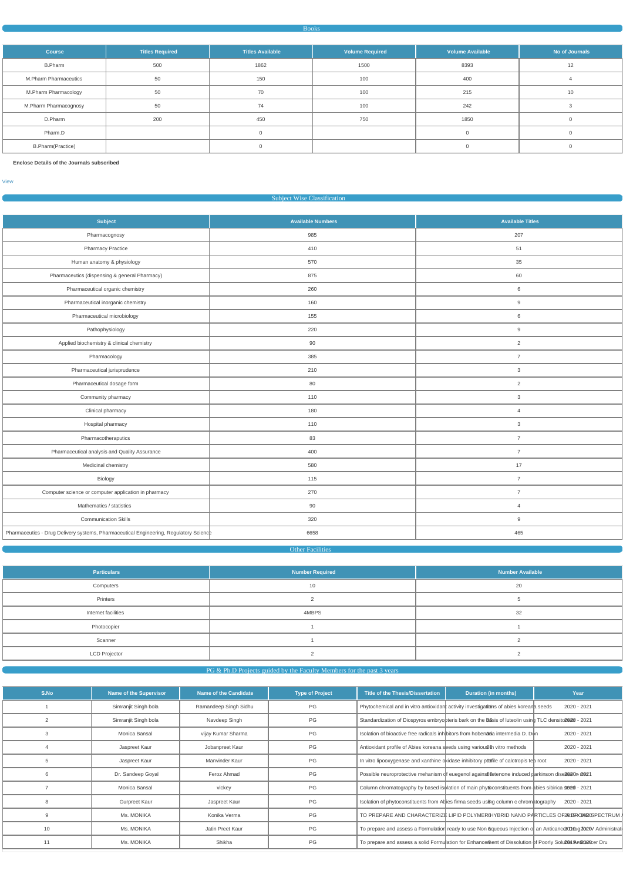#### Books

| <b>Course</b>                | <b>Titles Required</b> | <b>Titles Available</b> | <b>Volume Required</b> | <b>Volume Available</b> | No of Journals |
|------------------------------|------------------------|-------------------------|------------------------|-------------------------|----------------|
| <b>B.Pharm</b>               | 500                    | 1862                    | 1500                   | 8393                    | 12             |
| <b>M.Pharm Pharmaceutics</b> | 50                     | 150                     | 100                    | 400                     |                |
| M.Pharm Pharmacology         | 50                     | 70                      | 100                    | 215                     | 10             |
| M.Pharm Pharmacognosy        | 50                     | 74                      | 100                    | 242                     |                |
| D.Pharm                      | 200                    | 450                     | 750                    | 1850                    |                |
| Pharm.D                      |                        |                         |                        |                         |                |
| <b>B.Pharm(Practice)</b>     |                        |                         |                        |                         |                |

**Enclose Details of the Journals subscribed**

[View](https://dgpm.nic.in/institute/getmongoPdfFile.do?renreceiptid=999bb0ad-fd85-4405-9a7c-0d6690b798bf&tablename=bookjournal)

|  |  |  | <b>Subject Wise Classification</b> |
|--|--|--|------------------------------------|
|--|--|--|------------------------------------|

| <b>Subject</b>                                                                        | <b>Available Numbers</b> | <b>Available Titles</b> |
|---------------------------------------------------------------------------------------|--------------------------|-------------------------|
| Pharmacognosy                                                                         | 985                      | 207                     |
| <b>Pharmacy Practice</b>                                                              | 410                      | 51                      |
| Human anatomy & physiology                                                            | 570                      | 35                      |
| Pharmaceutics (dispensing & general Pharmacy)                                         | 875                      | 60                      |
| Pharmaceutical organic chemistry                                                      | 260                      | 6                       |
| Pharmaceutical inorganic chemistry                                                    | 160                      | 9                       |
| Pharmaceutical microbiology                                                           | 155                      | $\,6\,$                 |
| Pathophysiology                                                                       | 220                      | $9\,$                   |
| Applied biochemistry & clinical chemistry                                             | 90                       | $\overline{2}$          |
| Pharmacology                                                                          | 385                      | $\overline{7}$          |
| Pharmaceutical jurisprudence                                                          | 210                      | $\mathbf{3}$            |
| Pharmaceutical dosage form                                                            | 80                       | $\overline{2}$          |
| Community pharmacy                                                                    | 110                      | $\mathbf{3}$            |
| Clinical pharmacy                                                                     | 180                      | $\overline{4}$          |
| Hospital pharmacy                                                                     | 110                      | $\mathbf{3}$            |
| Pharmacotheraputics                                                                   | 83                       | $\overline{7}$          |
| Pharmaceutical analysis and Quality Assurance                                         | 400                      | $\overline{7}$          |
| Medicinal chemistry                                                                   | 580                      | 17                      |
| Biology                                                                               | 115                      | $\overline{7}$          |
| Computer science or computer application in pharmacy                                  | 270                      | $\overline{7}$          |
| Mathematics / statistics                                                              | 90                       | $\overline{4}$          |
| <b>Communication Skills</b>                                                           | 320                      | 9                       |
| Pharmaceutics - Drug Delivery systems, Pharmaceutical Engineering, Regulatory Science | 6658                     | 465                     |

# **Other Facilities**

| <b>Particulars</b>   | Number Required | <b>Number Available</b> |
|----------------------|-----------------|-------------------------|
| Computers            | 10              | 20                      |
| Printers             |                 |                         |
| Internet facilities  | 4MBPS           | 32                      |
| Photocopier          |                 |                         |
| Scanner              |                 |                         |
| <b>LCD Projector</b> |                 |                         |

| S.No | Name of the Supervisor | <b>Name of the Candidate</b> | <b>Type of Project</b> | <b>Title of the Thesis/Dissertation</b>                                   | <b>Duration (in months)</b>                                                                                     | Year        |
|------|------------------------|------------------------------|------------------------|---------------------------------------------------------------------------|-----------------------------------------------------------------------------------------------------------------|-------------|
|      | Simranjit Singh bola   | Ramandeep Singh Sidhu        | PG                     |                                                                           | Phytochemical and in vitro antioxidant activity investigations of abies koreana seeds                           | 2020 - 2021 |
|      | Simranjit Singh bola   | Navdeep Singh                | PG                     |                                                                           | Standardization of Diospyros embryopteris bark on the basis of luteolin using TLC densito 2020 - 2021           |             |
|      | Monica Bansal          | vijay Kumar Sharma           | PG                     |                                                                           | Isolation of bioactive free radicals inhibitors from hoben@ 6a intermedia D. Don                                | 2020 - 2021 |
|      | Jaspreet Kaur          | Jobanpreet Kaur              | PG                     | Antioxidant profile of Abies koreana seeds using various on vitro methods |                                                                                                                 | 2020 - 2021 |
|      | Jaspreet Kaur          | Manvinder Kaur               | PG                     |                                                                           | In vitro lipooxygenase and xanthine oxidase inhibitory portie of calotropis tea root                            | 2020 - 2021 |
|      | Dr. Sandeep Goyal      | Feroz Ahmad                  | PG                     |                                                                           | Possible neuroprotective mehanism of euegenol against the none induced parkinson diseased on and 2021           |             |
|      | Monica Bansal          | vickey                       | PG                     |                                                                           | Column chromatography by based isolation of main phyloconstituents from abies sibirica 2020 - 2021              |             |
|      | Gurpreet Kaur          | Jaspreet Kaur                | PG                     |                                                                           | Isolation of phytoconstituents from Abies firma seeds using column c chromatography                             | 2020 - 2021 |
|      | Ms. MONIKA             | Konika Verma                 | PG                     |                                                                           | TO PREPARE AND CHARACTERIZE LIPID POLYMERGHYBRID NANO PARTICLES OF20 BRO2020SPECTRUM                            |             |
| 10   | Ms. MONIKA             | Jatin Preet Kaur             | PG                     |                                                                           | To prepare and assess a Formulation ready to use Non 6queous Injection of an Anticance 00 0ug 2000/ Administrat |             |
|      | Ms. MONIKA             | Shikha                       | PG                     |                                                                           | To prepare and assess a solid Formulation for Enhance then to Dissolution of Poorly Solu20et Antactation Dru    |             |
|      |                        |                              |                        |                                                                           |                                                                                                                 |             |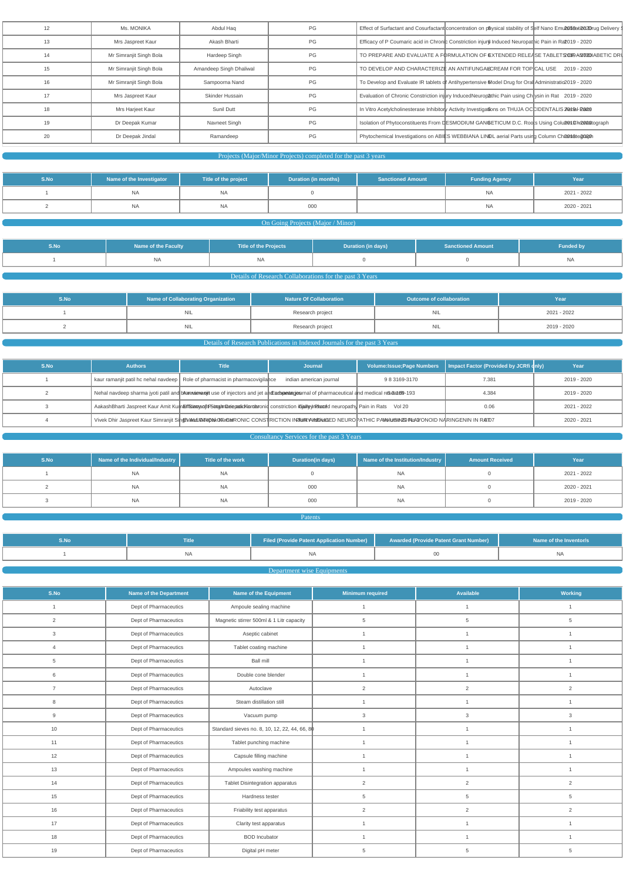| 12 | Ms. MONIKA              | Abdul Hag               | PG | Effect of Surfactant and Cosurfactant concentration on p®ysical stability of Self Nano Emu2\$1168ati262Drug Delivery \$ |
|----|-------------------------|-------------------------|----|-------------------------------------------------------------------------------------------------------------------------|
| 13 | Mrs Jaspreet Kaur       | Akash Bharti            | PG | Efficacy of P Coumaric acid in Chronic Constriction injure Induced Neuropathic Pain in Ra 2019 - 2020                   |
| 14 | Mr Simranjit Singh Bola | Hardeep Singh           | PG | TO PREPARE AND EVALUATE A FORMULATION OF EXTENDED RELEASE TABLETS OF ANOTHERIC DRU                                      |
| 15 | Mr Simranjit Singh Bola | Amandeep Singh Dhaliwal | PG | TO DEVELOP AND CHARACTERIZE AN ANTIFUNGALCREAM FOR TOPICAL USE 2019 - 2020                                              |
| 16 | Mr Simranjit Singh Bola | Sampoorna Nand          | PG | To Develop and Evaluate IR tablets of Antihypertensive Model Drug for Oral Administratio 2019 - 2020                    |
|    | Mrs Jaspreet Kaur       | Skinder Hussain         | PG | Evaluation of Chronic Constriction injury InducedNeuropathic Pain using Chrysin in Rat 2019 - 2020                      |
| 18 | Mrs Harjeet Kaur        | Sunil Dutt              | PG | In Vitro Acetylcholinesterase Inhibitory Activity Investigations on THUJA OCCIDENTALIS 2021 al- Para                    |
| 19 | Dr Deepak Kumar         | Navneet Singh           | PG | Isolation of Phytoconstituents From DESMODIUM GANGETICUM D.C. Roots Using Colum Changastograph                          |
| 20 | Dr Deepak Jindal        | Ramandeep               | PG | Phytochemical Investigations on ABIES WEBBIANA LINDL aerial Parts using Column Channatoacan                             |
|    |                         |                         |    |                                                                                                                         |

# Projects (Major/Minor Projects) completed for the past 3 years

| S.No | Name of the Investigator | Title of the project | Duration (in months) | <b>Sanctioned Amount</b> | <b>Funding Agency</b> | Year        |
|------|--------------------------|----------------------|----------------------|--------------------------|-----------------------|-------------|
|      |                          | <b>NA</b>            |                      |                          | <b>NA</b>             | 2021 - 2022 |
|      |                          | <b>NA</b>            | 000                  |                          | <b>NA</b>             | 2020 - 2021 |

# **On Going Projects (Major / Minor) Company and Company and Company and Company and Company and Company and Company and Company and Company and Company and Company and Company and Company and Company and Company and Compa**

| S.No | <b>Name of the Faculty</b> | <b>Title of the Projects</b> | Duration (in days) | <b>Sanctioned Amount</b> | <b>Funded by</b> |
|------|----------------------------|------------------------------|--------------------|--------------------------|------------------|
|      | <b>NA</b>                  | <b>NA</b>                    |                    |                          | <b>NA</b>        |

# Details of Research Collaborations for the past 3 Years

| S.No | Name of Collaborating Organization | <b>Nature Of Collaboration</b> | Outcome of collaboration | Year        |
|------|------------------------------------|--------------------------------|--------------------------|-------------|
|      | <b>NIL</b>                         | Research project               | בוצו                     | 2021 - 2022 |
|      | <b>NIL</b>                         | Research project               | ∟וצו                     | 2019 - 2020 |

# Details of Research Publications in Indexed Journals for the past 3 Years

| S.No | <b>Authors</b> | <b>Title</b>                                                                                                                                       | <b>Journal</b>          |               | Volume: Issue; Page Numbers   Impact Factor (Provided by JCRfi qnly) | Year        |
|------|----------------|----------------------------------------------------------------------------------------------------------------------------------------------------|-------------------------|---------------|----------------------------------------------------------------------|-------------|
|      |                | kaur ramanjit patil hc nehal navdeep   Role of pharmacist in pharmacovigilance                                                                     | indian american journal | 9 8 3169-3170 | 7.381                                                                | 2019 - 2020 |
|      |                | Nehal navdeep sharma jyoti patil and bharexien angit use of injectors and jet and Europee angies rnal of pharmaceutical and medical researcher-193 |                         |               | 4.384                                                                | 2019 - 2020 |
|      |                | AakashBharti Jaspreet Kaur Amit Kumafffaiamanin FSomumaneigadicKumanonid constriction in Sality In Premier of the meuropathy Pain in Rats Vol 20   |                         |               | 0.06                                                                 | 2021 - 2022 |
|      |                | Vivek Dhir Jaspreet Kaur Simranjit SindryandUB TerbAR CHI GONSTRICTION IN PUR YANDUAL SED NEUROPATHIC PAWOULGEN TO NARINGENIN IN RAID7             |                         |               |                                                                      | 2020 - 2021 |

# **Consultancy Services for the past 3 Years Consultancy Services** for the past 3 Years

| S.No | Name of the Individual/Industry | Title of the work | <b>Duration(in days)</b> | Name of the Institution/Industry | <b>Amount Received</b> | Year        |
|------|---------------------------------|-------------------|--------------------------|----------------------------------|------------------------|-------------|
|      | <b>NA</b>                       | <b>NA</b>         |                          | <b>NA</b>                        |                        | 2021 - 2022 |
|      | NA.                             | <b>NA</b>         | 000                      | <b>NA</b>                        |                        | 2020 - 2021 |
|      | <b>NA</b>                       | <b>NA</b>         | 000                      | <b>NA</b>                        |                        | 2019 - 2020 |

Patents and the control of the control of the **Patents** and the control of the control of the control of the control of the control of the control of the control of the control of the control of the control of the control

| . . | Title | <b>Filed (Provide Patent Application Number)</b> | Awarded (Provide Patent Grant Number) | Name of the Inventor/s |
|-----|-------|--------------------------------------------------|---------------------------------------|------------------------|
|     | ΝA    |                                                  |                                       |                        |

# **Department wise Equipments Equipments**

| S.No           | Name of the Department | Name of the Equipment                         | <b>Minimum required</b> | Available      | <b>Working</b>  |
|----------------|------------------------|-----------------------------------------------|-------------------------|----------------|-----------------|
| $\mathbf{1}$   | Dept of Pharmaceutics  | Ampoule sealing machine                       | $\mathbf{1}$            | $\mathbf{1}$   | $\overline{1}$  |
| $\overline{2}$ | Dept of Pharmaceutics  | Magnetic stirrer 500ml & 1 Litr capacity      | 5                       | 5              | 5               |
| 3              | Dept of Pharmaceutics  | Aseptic cabinet                               |                         | $\overline{1}$ |                 |
| $\overline{4}$ | Dept of Pharmaceutics  | Tablet coating machine                        | $\overline{1}$          | $\overline{1}$ | $\overline{1}$  |
| 5              | Dept of Pharmaceutics  | Ball mill                                     | 1                       | $\mathbf{1}$   | $\mathbf{1}$    |
| 6              | Dept of Pharmaceutics  | Double cone blender                           | $\overline{1}$          | $\mathbf{1}$   | $\overline{1}$  |
| $\overline{7}$ | Dept of Pharmaceutics  | Autoclave                                     | $\overline{2}$          | $\overline{2}$ | 2               |
| 8              | Dept of Pharmaceutics  | Steam distillation still                      | $\overline{1}$          | $\mathbf{1}$   | $\overline{1}$  |
| 9              | Dept of Pharmaceutics  | Vacuum pump                                   | $\mathbf{3}$            | 3              | $\mathbf{3}$    |
| 10             | Dept of Pharmaceutics  | Standard sieves no. 8, 10, 12, 22, 44, 66, 80 | 1                       | $\overline{1}$ | $\overline{1}$  |
| 11             | Dept of Pharmaceutics  | Tablet punching machine                       | $\overline{1}$          |                | $\overline{1}$  |
| 12             | Dept of Pharmaceutics  | Capsule filling machine                       | 1                       |                | $\overline{1}$  |
| 13             | Dept of Pharmaceutics  | Ampoules washing machine                      | $\overline{1}$          | $\overline{1}$ | $\overline{1}$  |
| 14             | Dept of Pharmaceutics  | Tablet Disintegration apparatus               | 2                       | $\overline{2}$ | 2               |
| 15             | Dept of Pharmaceutics  | Hardness tester                               | 5                       | 5              | $5\phantom{.0}$ |
| 16             | Dept of Pharmaceutics  | Friability test apparatus                     | 2                       | $\overline{2}$ | 2               |
| 17             | Dept of Pharmaceutics  | Clarity test apparatus                        | $\mathbf{1}$            | $\mathbf{1}$   | $\mathbf{1}$    |
| 18             | Dept of Pharmaceutics  | <b>BOD</b> Incubator                          | $\overline{1}$          | $\overline{1}$ |                 |
| 19             | Dept of Pharmaceutics  | Digital pH meter                              | 5                       | 5              | 5               |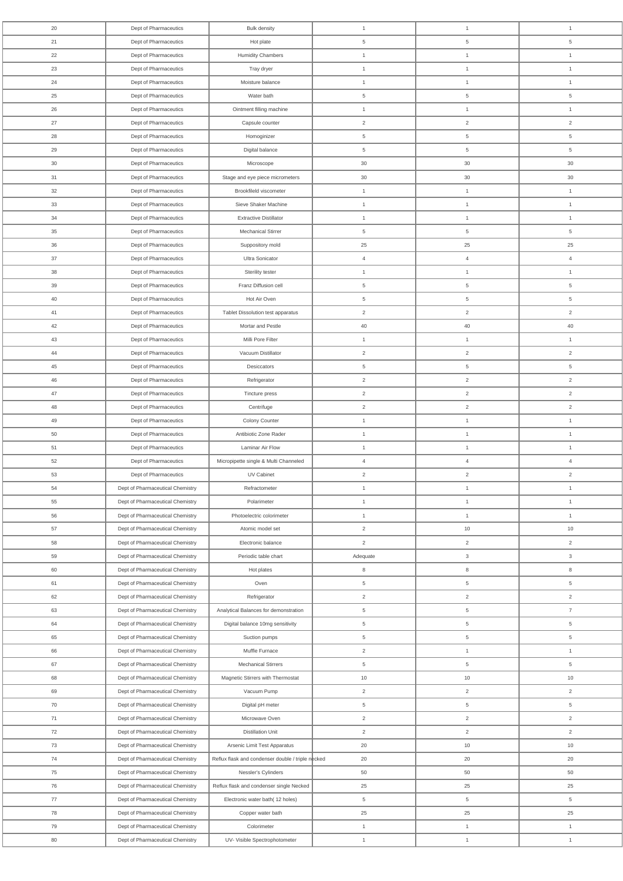| 20              | Dept of Pharmaceutics            | <b>Bulk density</b>                               | $\overline{1}$  | $\overline{1}$  | $\mathbf{1}$    |
|-----------------|----------------------------------|---------------------------------------------------|-----------------|-----------------|-----------------|
| 21              | Dept of Pharmaceutics            | Hot plate                                         | 5               | $5\phantom{.0}$ | $5\phantom{.0}$ |
| 22              | Dept of Pharmaceutics            | <b>Humidity Chambers</b>                          | $\overline{1}$  | $\mathbf{1}$    | $\overline{1}$  |
| 23              | Dept of Pharmaceutics            | Tray dryer                                        | $\overline{1}$  | $\overline{1}$  | $\overline{1}$  |
| 24              | Dept of Pharmaceutics            | Moisture balance                                  | $\overline{1}$  | $\overline{1}$  | $\overline{1}$  |
| 25              | Dept of Pharmaceutics            | Water bath                                        | $\overline{5}$  | $5\phantom{.0}$ | $\,$ 5 $\,$     |
| 26              | Dept of Pharmaceutics            | Ointment filling machine                          | $\overline{1}$  | $\overline{1}$  | $\overline{1}$  |
| 27              | Dept of Pharmaceutics            | Capsule counter                                   | $\overline{2}$  | $\overline{2}$  | 2               |
| 28              | Dept of Pharmaceutics            | Homoginizer                                       | 5               | $5\overline{)}$ | $5\phantom{.0}$ |
| 29              | Dept of Pharmaceutics            | Digital balance                                   | $5\overline{)}$ | $5\phantom{.0}$ | $5\phantom{.0}$ |
| 30 <sup>°</sup> |                                  |                                                   | 30              | $30\,$          | 30              |
|                 | Dept of Pharmaceutics            | Microscope                                        |                 |                 |                 |
| 31              | Dept of Pharmaceutics            | Stage and eye piece micrometers                   | 30              | 30              | 30              |
| 32              | Dept of Pharmaceutics            | Brookfileld viscometer<br>Sieve Shaker Machine    | $\overline{1}$  | $\overline{1}$  | $\overline{1}$  |
| 33              | Dept of Pharmaceutics            |                                                   | $\overline{1}$  | $\overline{1}$  | $\overline{1}$  |
| 34              | Dept of Pharmaceutics            | <b>Extractive Distillator</b>                     | $\overline{1}$  | $\overline{1}$  | $\overline{1}$  |
| 35              | Dept of Pharmaceutics            | Mechanical Stirrer                                | $5\phantom{.0}$ | $5\overline{)}$ | $5\phantom{.0}$ |
| 36              | Dept of Pharmaceutics            | Suppository mold                                  | 25              | 25              | 25              |
| 37              | Dept of Pharmaceutics            | Ultra Sonicator                                   | $\overline{4}$  | $\overline{4}$  | $\overline{4}$  |
| 38              | Dept of Pharmaceutics            | Sterility tester                                  | $\overline{1}$  | $\overline{1}$  | $\overline{1}$  |
| 39              | Dept of Pharmaceutics            | Franz Diffusion cell                              | $5\overline{)}$ | $5\phantom{.0}$ | $5\phantom{.0}$ |
| 40              | Dept of Pharmaceutics            | Hot Air Oven                                      | $5\overline{)}$ | $5\overline{)}$ | $5\phantom{.0}$ |
| 41              | Dept of Pharmaceutics            | Tablet Dissolution test apparatus                 | $\overline{2}$  | $\overline{2}$  | $\overline{2}$  |
| 42              | Dept of Pharmaceutics            | Mortar and Pestle                                 | 40              | 40              | 40              |
| 43              | Dept of Pharmaceutics            | Milli Pore Filter                                 | $\overline{1}$  | $\overline{1}$  | $\mathbf{1}$    |
| 44              | Dept of Pharmaceutics            | Vacuum Distillator                                | $\overline{2}$  | $\overline{2}$  | $\overline{2}$  |
| 45              | Dept of Pharmaceutics            | Desiccators                                       | $5\overline{)}$ | $5\overline{)}$ | $5\phantom{.0}$ |
| 46              | Dept of Pharmaceutics            | Refrigerator                                      | $\overline{2}$  | $\overline{2}$  | $\overline{2}$  |
| 47              | Dept of Pharmaceutics            | Tincture press                                    | $\overline{2}$  | $\overline{2}$  | $\overline{2}$  |
| 48              | Dept of Pharmaceutics            | Centrifuge                                        | $\overline{2}$  | $\overline{2}$  | $\overline{2}$  |
| 49              | Dept of Pharmaceutics            | Colony Counter                                    | $\overline{1}$  | $\mathbf{1}$    | $\overline{1}$  |
| 50              | Dept of Pharmaceutics            | Antibiotic Zone Rader                             | $\overline{1}$  | $\overline{1}$  | $\overline{1}$  |
| 51              | Dept of Pharmaceutics            | Laminar Air Flow                                  | $\overline{1}$  | $\overline{1}$  | $\overline{1}$  |
| 52              | Dept of Pharmaceutics            | Micropipette single & Multi Channeled             | $\overline{4}$  | $\overline{4}$  | $\overline{4}$  |
| 53              | Dept of Pharmaceutics            | UV Cabinet                                        | $\overline{2}$  | $\overline{2}$  | $\overline{2}$  |
| 54              | Dept of Pharmaceutical Chemistry | Refractometer                                     | $\overline{1}$  | $\overline{1}$  | $\overline{1}$  |
| 55              | Dept of Pharmaceutical Chemistry | Polarimeter                                       | $\overline{1}$  | $\overline{1}$  | $\overline{1}$  |
| 56              | Dept of Pharmaceutical Chemistry | Photoelectric colorimeter                         | $\mathbf{1}$    | $\overline{1}$  | $\overline{1}$  |
| 57              | Dept of Pharmaceutical Chemistry | Atomic model set                                  | $\overline{2}$  | $10$            | $10$            |
| 58              | Dept of Pharmaceutical Chemistry | Electronic balance                                | $\overline{2}$  | $\overline{2}$  | $\overline{2}$  |
| 59              | Dept of Pharmaceutical Chemistry | Periodic table chart                              | Adequate        | $\mathbf{3}$    | $\mathbf{3}$    |
| 60              | Dept of Pharmaceutical Chemistry | Hot plates                                        | 8               | 8               | 8               |
| 61              | Dept of Pharmaceutical Chemistry | Oven                                              | 5               | $5\overline{)}$ | $5\phantom{.0}$ |
| 62              | Dept of Pharmaceutical Chemistry | Refrigerator                                      | $\overline{2}$  | $\overline{2}$  | $\overline{2}$  |
| 63              | Dept of Pharmaceutical Chemistry | Analytical Balances for demonstration             | 5               | $5\overline{)}$ | $\overline{7}$  |
| 64              | Dept of Pharmaceutical Chemistry | Digital balance 10mg sensitivity                  | $5\overline{)}$ | $5\overline{)}$ | $5\overline{)}$ |
| 65              | Dept of Pharmaceutical Chemistry | Suction pumps                                     | $\overline{5}$  | $5\phantom{.0}$ | $5\phantom{.0}$ |
| 66              |                                  | Muffle Furnace                                    |                 | $\mathbf{1}$    | $\overline{1}$  |
|                 | Dept of Pharmaceutical Chemistry |                                                   | 2               |                 |                 |
| 67              | Dept of Pharmaceutical Chemistry | Mechanical Stirrers                               | 5               | $5\overline{)}$ | $\,$ 5 $\,$     |
| 68              | Dept of Pharmaceutical Chemistry | Magnetic Stirrers with Thermostat                 | 10              | 10              | 10              |
| 69              | Dept of Pharmaceutical Chemistry | Vacuum Pump                                       | $\overline{2}$  | $\overline{2}$  | $\overline{2}$  |
| 70              | Dept of Pharmaceutical Chemistry | Digital pH meter                                  | $5\phantom{.0}$ | $5\overline{)}$ | $5\phantom{.0}$ |
| 71              | Dept of Pharmaceutical Chemistry | Microwave Oven                                    | $\overline{2}$  | $\overline{2}$  | 2               |
| 72              | Dept of Pharmaceutical Chemistry | <b>Distillation Unit</b>                          | $\overline{2}$  | $\overline{2}$  | $\overline{2}$  |
| 73              | Dept of Pharmaceutical Chemistry | Arsenic Limit Test Apparatus                      | 20              | 10              | $10$            |
| 74              | Dept of Pharmaceutical Chemistry | Reflux flask and condenser double / triple necked | 20              | 20              | 20              |
| 75              | Dept of Pharmaceutical Chemistry | Nessler's Cylinders                               | 50              | 50              | 50              |
| 76              | Dept of Pharmaceutical Chemistry | Reflux flask and condenser single Necked          | 25              | 25              | 25              |
| 77              | Dept of Pharmaceutical Chemistry | Electronic water bath(12 holes)                   | $5\phantom{.0}$ | $5\overline{)}$ | $5\phantom{.0}$ |
| 78              | Dept of Pharmaceutical Chemistry | Copper water bath                                 | $25\,$          | 25              | 25              |
| 79              | Dept of Pharmaceutical Chemistry | Colorimeter                                       | $\overline{1}$  | $\overline{1}$  | $\overline{1}$  |
| 80              | Dept of Pharmaceutical Chemistry | UV- Visible Spectrophotometer                     | $\overline{1}$  | $\mathbf{1}$    | $\mathbf{1}$    |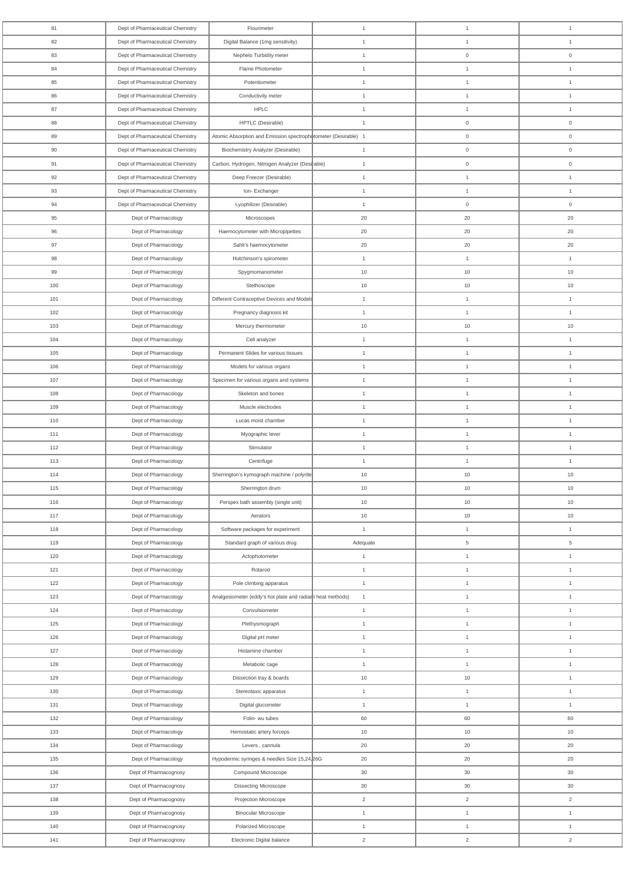| 81  | Dept of Pharmaceutical Chemistry | Flourimeter                                                    | $\overline{1}$ | $\overline{1}$  | $\overline{1}$ |
|-----|----------------------------------|----------------------------------------------------------------|----------------|-----------------|----------------|
| 82  | Dept of Pharmaceutical Chemistry | Digital Balance (1mg sensitivity)                              | $\overline{1}$ | $\overline{1}$  | $\overline{1}$ |
| 83  | Dept of Pharmaceutical Chemistry | Nephelo Turbidity meter                                        | $\overline{1}$ | $\mathbf 0$     | $\overline{0}$ |
| 84  | Dept of Pharmaceutical Chemistry | Flame Photometer                                               | $\overline{1}$ | $\overline{1}$  | $\mathbf{1}$   |
| 85  | Dept of Pharmaceutical Chemistry | Potentiometer                                                  | $\mathbf{1}$   | $\overline{1}$  | $\overline{1}$ |
| 86  | Dept of Pharmaceutical Chemistry | Conductivity meter                                             | $\overline{1}$ | $\overline{1}$  | $\mathbf{1}$   |
| 87  | Dept of Pharmaceutical Chemistry | <b>HPLC</b>                                                    | $\overline{1}$ | $\overline{1}$  | $\overline{1}$ |
| 88  | Dept of Pharmaceutical Chemistry | HPTLC (Desirable)                                              | $\overline{1}$ | $\overline{0}$  | $\mathbf 0$    |
| 89  | Dept of Pharmaceutical Chemistry | Atomic Absorption and Emission spectrophotometer (Desirable) 1 |                | $\overline{0}$  | $\overline{0}$ |
| 90  | Dept of Pharmaceutical Chemistry | <b>Biochemistry Analyzer (Desirable)</b>                       | $\overline{1}$ | $\overline{0}$  | $\overline{0}$ |
| 91  | Dept of Pharmaceutical Chemistry | Carbon, Hydrogen, Nitrogen Analyzer (Desirable)                | $\overline{1}$ | $\overline{0}$  | $\mathbf 0$    |
| 92  | Dept of Pharmaceutical Chemistry | Deep Freezer (Desirable)                                       | $\overline{1}$ | $\overline{1}$  | $\overline{1}$ |
| 93  | Dept of Pharmaceutical Chemistry | Ion-Exchanger                                                  | $\overline{1}$ | $\overline{1}$  | $\overline{1}$ |
| 94  | Dept of Pharmaceutical Chemistry | Lyophilizer (Desirable)                                        | $\overline{1}$ | $\overline{0}$  | $\overline{0}$ |
| 95  | Dept of Pharmacology             | Microscopes                                                    | 20             | 20              | 20             |
| 96  | Dept of Pharmacology             | Haemocytometer with Micropipettes                              | 20             | 20              | 20             |
| 97  | Dept of Pharmacology             | Sahli's haemocytometer                                         | 20             | 20              | 20             |
| 98  | Dept of Pharmacology             | Hutchinson's spirometer                                        | $\overline{1}$ | $\overline{1}$  | $\overline{1}$ |
| 99  | Dept of Pharmacology             | Spygmomanometer                                                | 10             | 10              | 10             |
| 100 | Dept of Pharmacology             | Stethoscope                                                    | 10             | 10              | 10             |
| 101 | Dept of Pharmacology             | Different Contraceptive Devices and Models                     | $\overline{1}$ | $\overline{1}$  | $\overline{1}$ |
| 102 | Dept of Pharmacology             | Pregnancy diagnosis kit                                        | $\overline{1}$ | $\overline{1}$  | $\overline{1}$ |
| 103 | Dept of Pharmacology             | Mercury thermometer                                            | 10             | $10$            | 10             |
| 104 | Dept of Pharmacology             | Cell analyzer                                                  | $\overline{1}$ | $\overline{1}$  | $\overline{1}$ |
| 105 | Dept of Pharmacology             | Permanent Slides for various tissues                           | $\overline{1}$ | $\overline{1}$  | $\mathbf{1}$   |
| 106 | Dept of Pharmacology             | Models for various organs                                      | $\mathbf{1}$   | $\overline{1}$  | $\mathbf{1}$   |
| 107 | Dept of Pharmacology             | Specimen for various organs and systems                        | $\overline{1}$ | $\overline{1}$  | $\overline{1}$ |
| 108 | Dept of Pharmacology             | Skeleton and bones                                             | $\overline{1}$ | $\overline{1}$  | $\overline{1}$ |
| 109 | Dept of Pharmacology             | Muscle electrodes                                              | $\overline{1}$ | $\overline{1}$  | $\overline{1}$ |
| 110 | Dept of Pharmacology             | Lucas moist chamber                                            | $\overline{1}$ | $\mathbf{1}$    | $\overline{1}$ |
| 111 | Dept of Pharmacology             | Myographic lever                                               | $\overline{1}$ | $\overline{1}$  | $\overline{1}$ |
| 112 | Dept of Pharmacology             | Stimulator                                                     | $\overline{1}$ | $\overline{1}$  | $\overline{1}$ |
| 113 | Dept of Pharmacology             | Centrifuge                                                     | $\overline{1}$ | $\overline{1}$  | $\overline{1}$ |
| 114 | Dept of Pharmacology             | Sherrington's kymograph machine / polyrite                     | 10             | 10              | $10$           |
| 115 | Dept of Pharmacology             | Sherrington drum                                               | 10             | $10$            | 10             |
| 116 | Dept of Pharmacology             | Perspex bath assembly (single unit)                            | 10             | 10              | 10             |
| 117 | Dept of Pharmacology             | Aerators                                                       | 10             | $10$            | 10             |
| 118 | Dept of Pharmacology             | Software packages for experiment                               | $\overline{1}$ | $\overline{1}$  | $\overline{1}$ |
| 119 | Dept of Pharmacology             | Standard graph of various drug                                 | Adequate       | $5\phantom{.0}$ | $\overline{5}$ |
| 120 | Dept of Pharmacology             | Actophotometer                                                 | $\overline{1}$ | $\overline{1}$  | $\overline{1}$ |
| 121 | Dept of Pharmacology             | Rotarod                                                        | $\overline{1}$ | $\overline{1}$  | $\overline{1}$ |
| 122 | Dept of Pharmacology             | Pole climbing apparatus                                        | $\overline{1}$ | $\overline{1}$  | $\overline{1}$ |
| 123 | Dept of Pharmacology             | Analgesiometer (eddy's hot plate and radiant heat methods)     | $\overline{1}$ | $\overline{1}$  | $\mathbf{1}$   |
| 124 | Dept of Pharmacology             | Convulsiometer                                                 | $\overline{1}$ | $\overline{1}$  | $\overline{1}$ |
| 125 | Dept of Pharmacology             | Plethysmograph                                                 | $\overline{1}$ | $\overline{1}$  | $\overline{1}$ |
| 126 | Dept of Pharmacology             | Digital pH meter                                               | $\overline{1}$ | $\overline{1}$  | $\mathbf{1}$   |
| 127 | Dept of Pharmacology             | Histamine chamber                                              | $\overline{1}$ | $\overline{1}$  | $\mathbf{1}$   |
| 128 | Dept of Pharmacology             | Metabolic cage                                                 | $\mathbf{1}$   | $\overline{1}$  | $\mathbf{1}$   |
| 129 | Dept of Pharmacology             | Dissection tray & boards                                       | 10             | 10              | $\mathbf{1}$   |
| 130 | Dept of Pharmacology             | Stereotaxic apparatus                                          | $\overline{1}$ | $\mathbf{1}$    | $\overline{1}$ |
| 131 | Dept of Pharmacology             | Digital glucometer                                             | $\overline{1}$ | $\mathbf{1}$    | $\mathbf{1}$   |
| 132 | Dept of Pharmacology             | Folin- wu tubes                                                | 60             | 60              | 60             |
| 133 | Dept of Pharmacology             | Hemostatic artery forceps                                      | 10             | $10$            | $10$           |
| 134 | Dept of Pharmacology             | Levers, cannula                                                | 20             | 20              | 20             |
| 135 | Dept of Pharmacology             | Hypodermic syringes & needles Size 15,24, 26G                  | 20             | 20              | 20             |
| 136 | Dept of Pharmacognosy            | Compound Microscope                                            | 30             | 30              | $30\,$         |
| 137 | Dept of Pharmacognosy            | <b>Dissecting Microscope</b>                                   | 30             | 30              | 30             |
| 138 | Dept of Pharmacognosy            | Projection Microscope                                          | $\overline{2}$ | $\overline{2}$  | $\overline{2}$ |
| 139 | Dept of Pharmacognosy            | <b>Binocular Microscope</b>                                    | $\overline{1}$ | $\overline{1}$  | $\overline{1}$ |
| 140 | Dept of Pharmacognosy            | Polarized Microscope                                           | $\overline{1}$ | $\overline{1}$  | $\overline{1}$ |
| 141 | Dept of Pharmacognosy            | Electronic Digital balance                                     | $\overline{2}$ | $\overline{a}$  | $\overline{2}$ |
|     |                                  |                                                                |                |                 |                |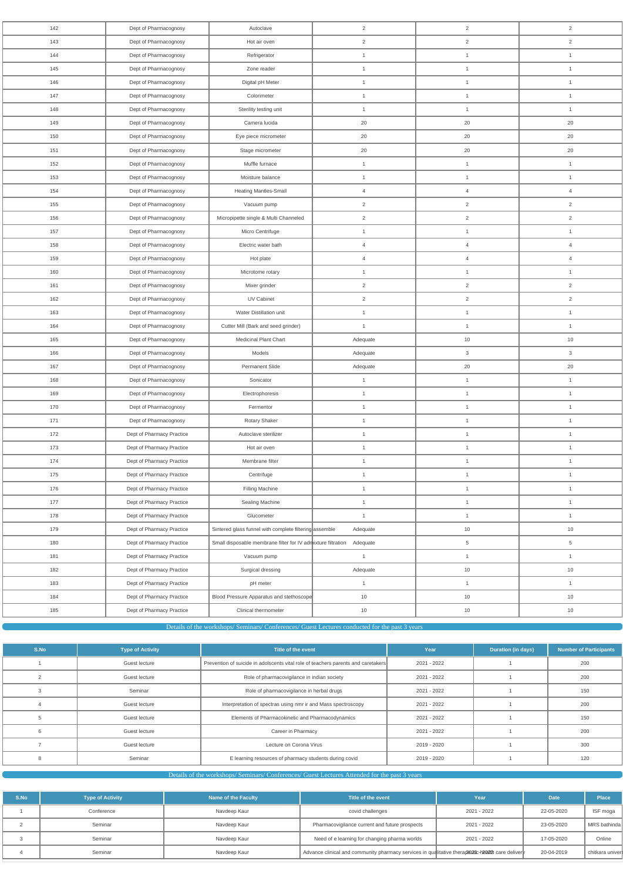| 142 | Dept of Pharmacognosy     | Autoclave                                                    | $\overline{2}$ | $\overline{2}$  | $\overline{2}$ |
|-----|---------------------------|--------------------------------------------------------------|----------------|-----------------|----------------|
| 143 | Dept of Pharmacognosy     | Hot air oven                                                 | $\overline{2}$ | $\overline{2}$  | $\overline{2}$ |
| 144 | Dept of Pharmacognosy     | Refrigerator                                                 | $\mathbf{1}$   | $\mathbf{1}$    | $\mathbf{1}$   |
| 145 | Dept of Pharmacognosy     | Zone reader                                                  | $\mathbf{1}$   | $\mathbf{1}$    | $\mathbf{1}$   |
| 146 | Dept of Pharmacognosy     | Digital pH Meter                                             | $\mathbf{1}$   | $\mathbf{1}$    | $\mathbf{1}$   |
| 147 | Dept of Pharmacognosy     | Colorimeter                                                  | $\mathbf{1}$   | $\mathbf{1}$    | $\mathbf{1}$   |
| 148 | Dept of Pharmacognosy     | Sterility testing unit                                       | $\mathbf{1}$   | $\mathbf{1}$    | $\mathbf{1}$   |
| 149 | Dept of Pharmacognosy     | Camera lucida                                                | 20             | $20\,$          | 20             |
| 150 | Dept of Pharmacognosy     | Eye piece micrometer                                         | 20             | $20\,$          | 20             |
| 151 | Dept of Pharmacognosy     | Stage micrometer                                             | 20             | 20              | 20             |
| 152 | Dept of Pharmacognosy     | Muffle furnace                                               | $\mathbf{1}$   | $\mathbf{1}$    | $\mathbf{1}$   |
| 153 | Dept of Pharmacognosy     | Moisture balance                                             | $\mathbf{1}$   | $\mathbf{1}$    | $\mathbf{1}$   |
| 154 | Dept of Pharmacognosy     | <b>Heating Mantles-Small</b>                                 | $\overline{4}$ | $\overline{4}$  | $\overline{4}$ |
| 155 | Dept of Pharmacognosy     | Vacuum pump                                                  | $\overline{2}$ | $\overline{2}$  | $\sqrt{2}$     |
| 156 | Dept of Pharmacognosy     | Micropipette single & Multi Channeled                        | $\overline{2}$ | $\overline{2}$  | $\overline{2}$ |
| 157 | Dept of Pharmacognosy     | Micro Centrifuge                                             | $\mathbf{1}$   | 1               | $\mathbf{1}$   |
| 158 | Dept of Pharmacognosy     | Electric water bath                                          | $\overline{4}$ | $\overline{4}$  | $\overline{4}$ |
| 159 | Dept of Pharmacognosy     | Hot plate                                                    | $\overline{4}$ | $\overline{4}$  | $\overline{4}$ |
| 160 | Dept of Pharmacognosy     | Microtome rotary                                             | $\mathbf{1}$   | $\mathbf{1}$    | $\mathbf{1}$   |
| 161 | Dept of Pharmacognosy     | Mixer grinder                                                | $\overline{2}$ | $\overline{2}$  | 2              |
| 162 | Dept of Pharmacognosy     | UV Cabinet                                                   | $\overline{2}$ | $\overline{2}$  | $\overline{2}$ |
| 163 | Dept of Pharmacognosy     | Water Distillation unit                                      | $\mathbf{1}$   | $\mathbf{1}$    | $\mathbf{1}$   |
| 164 | Dept of Pharmacognosy     | Cutter Mill (Bark and seed grinder)                          | $\overline{1}$ | $\mathbf{1}$    | $\mathbf{1}$   |
| 165 | Dept of Pharmacognosy     | Medicinal Plant Chart                                        | Adequate       | 10              | $10$           |
| 166 | Dept of Pharmacognosy     | Models                                                       | Adequate       | $\mathbf{3}$    | 3              |
| 167 | Dept of Pharmacognosy     | Permanent Slide                                              | Adequate       | 20              | 20             |
| 168 | Dept of Pharmacognosy     | Sonicator                                                    | $\mathbf{1}$   | $\mathbf{1}$    | $\mathbf{1}$   |
| 169 | Dept of Pharmacognosy     | Electrophoresis                                              | $\mathbf{1}$   | $\mathbf{1}$    | $\mathbf{1}$   |
| 170 | Dept of Pharmacognosy     | Fermentor                                                    | $\mathbf{1}$   | $\mathbf{1}$    | $\mathbf{1}$   |
| 171 | Dept of Pharmacognosy     | Rotary Shaker                                                | $\mathbf{1}$   | $\mathbf{1}$    | $\mathbf{1}$   |
| 172 | Dept of Pharmacy Practice | Autoclave sterilizer                                         | $\mathbf{1}$   | $\mathbf{1}$    | $\mathbf{1}$   |
| 173 | Dept of Pharmacy Practice | Hot air oven                                                 | $\mathbf{1}$   | $\mathbf{1}$    | $\mathbf{1}$   |
| 174 | Dept of Pharmacy Practice | Membrane filter                                              | $\mathbf{1}$   | $\mathbf{1}$    | $\mathbf{1}$   |
| 175 | Dept of Pharmacy Practice | Centrifuge                                                   | $\mathbf{1}$   | $\mathbf{1}$    | $\mathbf{1}$   |
| 176 | Dept of Pharmacy Practice | Filling Machine                                              | $\mathbf{1}$   | $\mathbf{1}$    | $\mathbf{1}$   |
| 177 | Dept of Pharmacy Practice | Sealing Machine                                              | $\mathbf{1}$   | $\mathbf{1}$    | $\mathbf{1}$   |
| 178 | Dept of Pharmacy Practice | Glucometer                                                   | $\mathbf{1}$   | $\mathbf{1}$    | $\mathbf{1}$   |
| 179 | Dept of Pharmacy Practice | Sintered glass funnel with complete filtering assemble       | Adequate       | $10$            | 10             |
| 180 | Dept of Pharmacy Practice | Small disposable membrane filter for IV admixture filtration | Adequate       | $5\phantom{.0}$ | $\,$ 5 $\,$    |
| 181 | Dept of Pharmacy Practice | Vacuum pump                                                  | $\mathbf{1}$   | $\mathbf{1}$    | $\mathbf{1}$   |
| 182 | Dept of Pharmacy Practice | Surgical dressing                                            | Adequate       | $10$            | 10             |
| 183 | Dept of Pharmacy Practice | pH meter                                                     | $\mathbf{1}$   | $\mathbf{1}$    | $\mathbf{1}$   |
| 184 | Dept of Pharmacy Practice | Blood Pressure Apparatus and stethoscope                     | 10             | 10              | 10             |
| 185 | Dept of Pharmacy Practice | Clinical thermometer                                         | $10$           | $10$            | 10             |
|     |                           |                                                              |                |                 |                |

Details of the workshops/ Seminars/ Conferences/ Guest Lectures conducted for the past 3 years

| S.No | <b>Type of Activity</b> | Title of the event                                                                | Year        | <b>Duration (in days)</b> | <b>Number of Participants</b> |
|------|-------------------------|-----------------------------------------------------------------------------------|-------------|---------------------------|-------------------------------|
|      | Guest lecture           | Prevention of suicide in adolscents vital role of teachers parents and caretakers | 2021 - 2022 |                           | 200                           |
|      | Guest lecture           | Role of pharmacovigilance in indian society                                       | 2021 - 2022 |                           | 200                           |
|      | Seminar                 | Role of pharmacovigilance in herbal drugs                                         | 2021 - 2022 |                           | 150                           |
|      | Guest lecture           | Interpretation of spectras using nmr ir and Mass spectroscopy                     | 2021 - 2022 |                           | 200                           |
|      | Guest lecture           | Elements of Pharmacokinetic and Pharmacodynamics                                  | 2021 - 2022 |                           | 150                           |
|      | Guest lecture           | Career in Pharmacy                                                                | 2021 - 2022 |                           | 200                           |
|      | Guest lecture           | Lecture on Corona Virus                                                           | 2019 - 2020 |                           | 300                           |
|      | Seminar                 | E learning resources of pharmacy students during covid                            | 2019 - 2020 |                           | 120                           |

Details of the workshops/ Seminars/ Conferences/ Guest Lectures Attended for the past 3 years

| S.No | <b>Type of Activity</b> | Name of the Faculty | Title of the event                                                                               | Year        | <b>Date</b> | <b>Place</b>    |
|------|-------------------------|---------------------|--------------------------------------------------------------------------------------------------|-------------|-------------|-----------------|
|      | Conference              | Navdeep Kaur        | covid challenges                                                                                 | 2021 - 2022 | 22-05-2020  | ISF moga        |
|      | Seminar                 | Navdeep Kaur        | Pharmacovigilance current and future prospects                                                   | 2021 - 2022 | 23-05-2020  | MRS bathinda    |
|      | Seminar                 | Navdeep Kaur        | Need of e learning for changing pharma worlds                                                    | 2021 - 2022 | 17-05-2020  | Online          |
|      | Seminar                 | Navdeep Kaur        | Advance clinical and community pharmacy services in qualitative therape02tic-h2202h care deliver |             | 20-04-2019  | chitkara univer |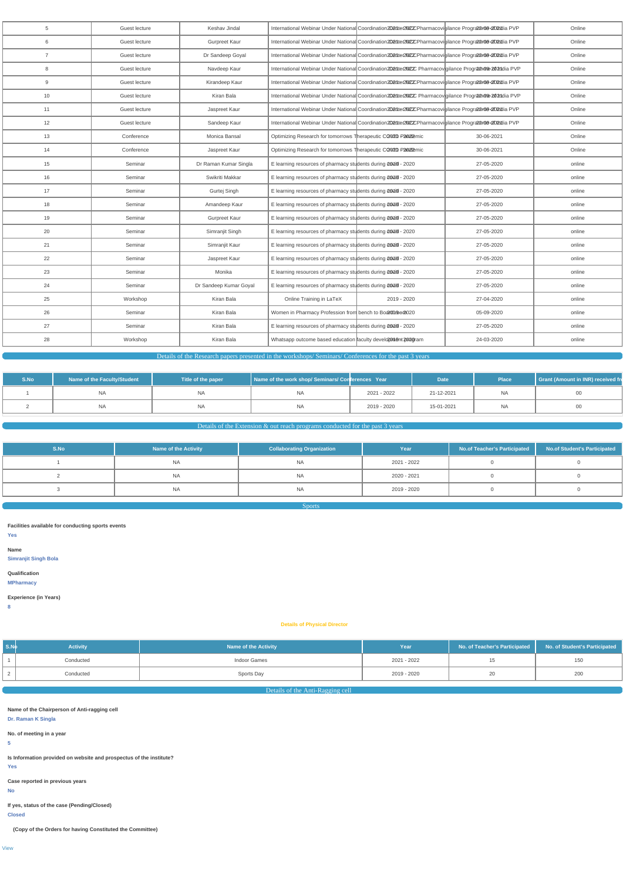| 5              | Guest lecture | Keshav Jindal          |                                                               | International Webinar Under National Coordination2021te/2012CPharmacovigilance Prografan09-2102ndia PVP      |            | Online |
|----------------|---------------|------------------------|---------------------------------------------------------------|--------------------------------------------------------------------------------------------------------------|------------|--------|
| 6              | Guest lecture | <b>Gurpreet Kaur</b>   |                                                               | International Webinar Under National Coordination2021ter2N22CPharmacovigilance Prografan09-02021dia PVP      |            | Online |
| $\overline{7}$ | Guest lecture | Dr Sandeep Goyal       |                                                               | International Webinar Under National Coordination 2021 ter 2002 Tharmacovigilance Prografano 9-2002 dia PVP  |            | Online |
| 8              | Guest lecture | Navdeep Kaur           |                                                               | International Webinar Under National Coordination2021ter2N22C Pharmacov gilance Progr20+000+2010dia PVP      |            | Online |
| 9              | Guest lecture | Kirandeep Kaur         |                                                               | International Webinar Under National Coordination 2021 ter 2002 Tharmacovigilance Prografano 9-2002 dia PVP  |            | Online |
| 10             | Guest lecture | Kiran Bala             |                                                               | International Webinar Under National Coordination2021ter2N2C Pharmacov gilance Programe 2021dia PVP          |            | Online |
| 11             | Guest lecture | Jaspreet Kaur          |                                                               | International Webinar Under National Coordination 2021 ter 2002 CPharmacovigilance Programation 2021 tia PVP |            | Online |
| 12             | Guest lecture | Sandeep Kaur           |                                                               | International Webinar Under National Coordination 2021 ter 2012 D Pharmacovigilance Progratance 2002 dia PVP |            | Online |
| 13             | Conference    | Monica Bansal          | Optimizing Research for tomorrows Therapeutic CO02D P2022mic  |                                                                                                              | 30-06-2021 | Online |
| 14             | Conference    | Jaspreet Kaur          | Optimizing Research for tomorrows Therapeutic CO02D P2022mic  |                                                                                                              | 30-06-2021 | Online |
| 15             | Seminar       | Dr Raman Kumar Singla  | E learning resources of pharmacy students during 20016 - 2020 |                                                                                                              | 27-05-2020 | online |
| 16             | Seminar       | Swikriti Makkar        | E learning resources of pharmacy students during 2018 - 2020  |                                                                                                              | 27-05-2020 | online |
| 17             | Seminar       | Gurtej Singh           | E learning resources of pharmacy students during 20010 - 2020 |                                                                                                              | 27-05-2020 | online |
| 18             | Seminar       | Amandeep Kaur          | E learning resources of pharmacy students during 2018 - 2020  |                                                                                                              | 27-05-2020 | online |
| 19             | Seminar       | <b>Gurpreet Kaur</b>   | E learning resources of pharmacy students during 2018 - 2020  |                                                                                                              | 27-05-2020 | online |
| 20             | Seminar       | Simranjit Singh        | E learning resources of pharmacy students during 2018 - 2020  |                                                                                                              | 27-05-2020 | online |
| 21             | Seminar       | Simranjit Kaur         | E learning resources of pharmacy students during 2018 - 2020  |                                                                                                              | 27-05-2020 | online |
| 22             | Seminar       | Jaspreet Kaur          | E learning resources of pharmacy students during 20016 - 2020 |                                                                                                              | 27-05-2020 | online |
| 23             | Seminar       | Monika                 | E learning resources of pharmacy students during 20010 - 2020 |                                                                                                              | 27-05-2020 | online |
| 24             | Seminar       | Dr Sandeep Kumar Goyal | E learning resources of pharmacy students during 20010 - 2020 |                                                                                                              | 27-05-2020 | online |
| 25             | Workshop      | Kiran Bala             | Online Training in LaTeX                                      | 2019 - 2020                                                                                                  | 27-04-2020 | online |
| 26             | Seminar       | Kiran Bala             | Women in Pharmacy Profession from bench to Board19902020      |                                                                                                              | 05-09-2020 | online |
| 27             | Seminar       | Kiran Bala             | E learning resources of pharmacy students during 2018 - 2020  |                                                                                                              | 27-05-2020 | online |
| 28             | Workshop      | Kiran Bala             | Whatsapp outcome based education faculty development pologram |                                                                                                              | 24-03-2020 | online |
|                |               |                        |                                                               |                                                                                                              |            |        |

Details of the Research papers presented in the workshops/ Seminars/ Conferences for the past 3 years

| S.No | Name of the Faculty/Student | Title of the paper | Name of the work shop/ Seminars/ Conferences Year |             | <b>Date</b> | Place     | Grant (Amount in INR) received fre |
|------|-----------------------------|--------------------|---------------------------------------------------|-------------|-------------|-----------|------------------------------------|
|      | '                           | NA                 | ΝA                                                | 2021 - 2022 | 21-12-2021  | <b>NA</b> | 00                                 |
|      | <b>NA</b>                   | NA                 | ΝA                                                | 2019 - 2020 | 15-01-2021  | <b>NA</b> | $00\,$                             |

# Details of the Extension  $&$  out reach programs conducted for the past 3 years

| S.No | <b>Name of the Activity</b> | <b>Collaborating Organization</b> | Year        | No.of Teacher's Participated | No.of Student's Participated |
|------|-----------------------------|-----------------------------------|-------------|------------------------------|------------------------------|
|      | <b>NA</b>                   | <b>NA</b>                         | 2021 - 2022 |                              |                              |
|      | <b>NA</b>                   | <b>NA</b>                         | 2020 - 2021 |                              |                              |
|      | <b>NA</b>                   | <b>NA</b>                         | 2019 - 2020 |                              |                              |
|      |                             |                                   |             |                              |                              |

Sports

**Facilities available for conducting sports events**

**Yes**

**Name Simranjit Singh Bola**

**Qualification**

**MPharmacy**

**Experience (in Years)**

**8**

# **Details of Physical Director**

| $\vert$ S.N $\phi$                        | <b>Activity</b>                                                                                                                                                                                                                                                          | Name of the Activity             | Year        | No. of Teacher's Participated | No. of Student's Participated |
|-------------------------------------------|--------------------------------------------------------------------------------------------------------------------------------------------------------------------------------------------------------------------------------------------------------------------------|----------------------------------|-------------|-------------------------------|-------------------------------|
|                                           | Conducted                                                                                                                                                                                                                                                                | Indoor Games                     | 2021 - 2022 | 15                            | 150                           |
| $\overline{2}$                            | Conducted                                                                                                                                                                                                                                                                | Sports Day                       | 2019 - 2020 | 20                            | 200                           |
|                                           |                                                                                                                                                                                                                                                                          | Details of the Anti-Ragging cell |             |                               |                               |
| 5 <sub>5</sub><br><b>Yes</b><br><b>No</b> | Name of the Chairperson of Anti-ragging cell<br>Dr. Raman K Singla<br>No. of meeting in a year<br>Is Information provided on website and prospectus of the institute?<br>Case reported in previous years<br>If yes, status of the case (Pending/Closed)<br><b>Closed</b> |                                  |             |                               |                               |

**(Copy of the Orders for having Constituted the Committee)**

[View](https://dgpm.nic.in/institute/getmongoPdfFile.do?renreceiptid=f7772d55-e55a-4758-ab4f-c5631874bee9&tablename=antiragging)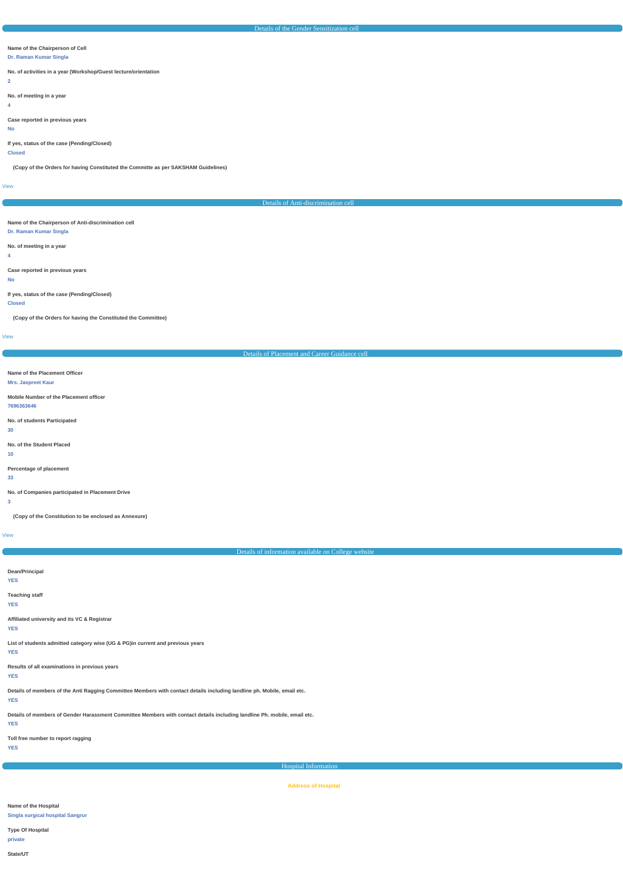## **Name of the Chairperson of Cell**

### **Dr. Raman Kumar Singla**

**No. of activities in a year (Workshop/Guest lecture/orientation**

**2**

**No. of meeting in a year**

**4**

**Case reported in previous years**

# **No**

**If yes, status of the case (Pending/Closed)**

# **Closed**

**(Copy of the Orders for having Constituted the Committe as per SAKSHAM Guidelines)**

[View](https://dgpm.nic.in/institute/getmongoPdfFile.do?renreceiptid=e91eb397-6bac-4753-96b2-712ee8be2793&tablename=gendersensitization)

Details of Anti-discrimination cell

# **Name of the Chairperson of Anti-discrimination cell**

**Dr. Raman Kumar Singla**

## **No. of meeting in a year**

**4**

### **Case reported in previous years**

**No**

## **If yes, status of the case (Pending/Closed)**

**Closed**

**(Copy of the Orders for having the Constituted the Committee)**

[View](https://dgpm.nic.in/institute/getmongoPdfFile.do?renreceiptid=529f62b5-557d-44da-9fe8-870d0b5b3f2b&tablename=antidiscrimination)

| Details of Placement and Career Guidance cell                                                                                                                                                                                  |
|--------------------------------------------------------------------------------------------------------------------------------------------------------------------------------------------------------------------------------|
|                                                                                                                                                                                                                                |
| Name of the Placement Officer                                                                                                                                                                                                  |
| <b>Mrs. Jaspreet Kaur</b>                                                                                                                                                                                                      |
| Mobile Number of the Placement officer                                                                                                                                                                                         |
| 7696363646                                                                                                                                                                                                                     |
|                                                                                                                                                                                                                                |
| No. of students Participated<br>30                                                                                                                                                                                             |
|                                                                                                                                                                                                                                |
| No. of the Student Placed                                                                                                                                                                                                      |
| 10 <sub>1</sub>                                                                                                                                                                                                                |
| Percentage of placement                                                                                                                                                                                                        |
| 33                                                                                                                                                                                                                             |
| No. of Companies participated in Placement Drive                                                                                                                                                                               |
| $\mathbf{3}$                                                                                                                                                                                                                   |
|                                                                                                                                                                                                                                |
| (Copy of the Constitution to be enclosed as Annexure)                                                                                                                                                                          |
| <b>View</b>                                                                                                                                                                                                                    |
|                                                                                                                                                                                                                                |
| $D_1$ and $D_2$ $D_3$ and $D_4$ $D_5$ and $D_6$ $D_7$ and $D_8$ and $D_9$ and $D_9$ and $D_9$ and $D_9$ and $D_9$ and $D_9$ and $D_9$ and $D_9$ and $D_9$ and $D_9$ and $D_9$ and $D_9$ and $D_9$ and $D_9$ and $D_9$ and $D_$ |

**Results of all examinations in previous years**

### **YES**

**Details of members of the Anti Ragging Committee Members with contact details including landline ph. Mobile, email etc. YES**

**Details of members of Gender Harassment Committee Members with contact details including landline Ph. mobile, email etc.**

### **YES**

**Toll free number to report ragging**

**YES**

Hospital Information

**Address of Hospital**

**Name of the Hospital**

**Singla surgical hospital Sangrur**

**Type Of Hospital**

**private**

**State/UT**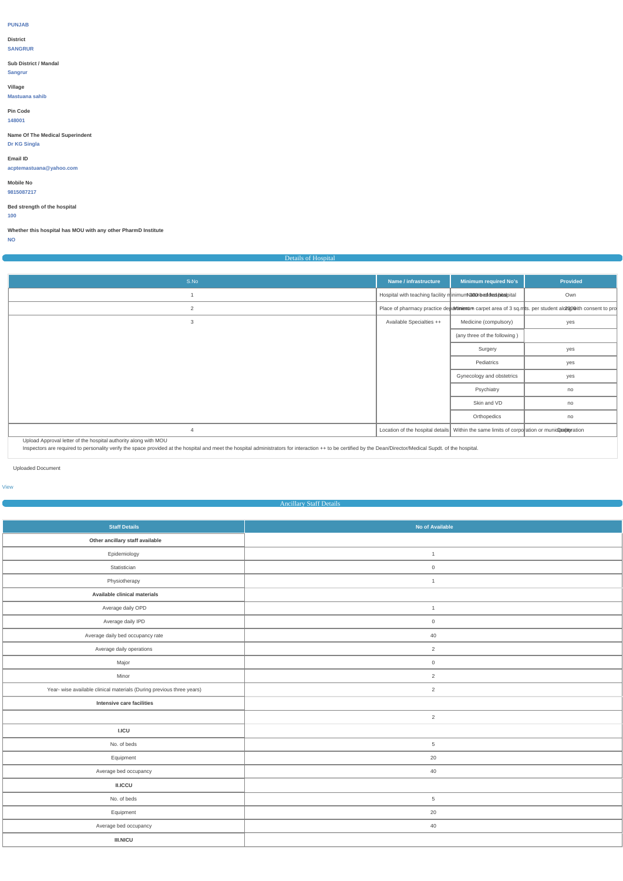### **PUNJAB**

**District**

# **SANGRUR**

# **Sub District / Mandal**

**Sangrur**

**Village**

# **Mastuana sahib**

## **Pin Code 148001**

**Name Of The Medical Superindent**

## **Dr KG Singla**

# **Email ID**

**acptemastuana@yahoo.com**

# **Mobile No**

**9815087217**

## **Bed strength of the hospital**

**100**

# **Whether this hospital has MOU with any other PharmD Institute**

**NO**

# Details of Hospital

| S.No | Name / infrastructure                                          | Minimum required No's                                                                        | Provided                                                                                                   |
|------|----------------------------------------------------------------|----------------------------------------------------------------------------------------------|------------------------------------------------------------------------------------------------------------|
|      | Hospital with teaching facility minimumNa00rbeddredshidaspital |                                                                                              | Own                                                                                                        |
| 2    |                                                                |                                                                                              | Place of pharmacy practice depavimientum carpet area of 3 sq.msts. per student alo 200 with consent to pro |
| 3    | <b>Available Specialties ++</b>                                | Medicine (compulsory)                                                                        | yes                                                                                                        |
|      |                                                                | (any three of the following)                                                                 |                                                                                                            |
|      |                                                                | Surgery                                                                                      | yes                                                                                                        |
|      |                                                                | Pediatrics                                                                                   | yes                                                                                                        |
|      |                                                                | Gynecology and obstetrics                                                                    | yes                                                                                                        |
|      |                                                                | Psychiatry                                                                                   | no                                                                                                         |
|      |                                                                | Skin and VD                                                                                  | no                                                                                                         |
|      |                                                                | Orthopedics                                                                                  | no                                                                                                         |
|      |                                                                | Location of the hospital details Within the same limits of corporation or munidiparity ation |                                                                                                            |

â Upload Approval letter of the hospital authority along with MOU

<sup>a</sup> Inspectors are required to personality verify the space provided at the hospital and meet the hospital administrators for interaction ++ to be certified by the Dean/Director/Medical Supdt. of the hospital.

Uploaded Document

### [View](https://dgpm.nic.in/institute/getmongoPdfFile.do?renreceiptid=187e1c27-0e50-4f79-9e88-58bfe8293e9e&tablename=hospitaldetails)

## **Ancillary Staff Details**

| <b>Staff Details</b>                                                  | No of Available     |
|-----------------------------------------------------------------------|---------------------|
| Other ancillary staff available                                       |                     |
| Epidemiology                                                          | $\mathbf{1}$        |
| Statistician                                                          | $\mathsf{O}$        |
| Physiotherapy                                                         | $\mathbf{1}$        |
| Available clinical materials                                          |                     |
| Average daily OPD                                                     | $\overline{1}$      |
| Average daily IPD                                                     | $\mathsf{O}\xspace$ |
| Average daily bed occupancy rate                                      | $40\,$              |
| Average daily operations                                              | 2                   |
| Major                                                                 | $\mathsf{O}\xspace$ |
| Minor                                                                 | $\overline{2}$      |
| Year- wise available clinical materials (During previous three years) | $\overline{2}$      |
| Intensive care facilities                                             |                     |
|                                                                       | $\overline{2}$      |
| LICU                                                                  |                     |
| No. of beds                                                           | $\overline{5}$      |
| Equipment                                                             | $20\,$              |
| Average bed occupancy                                                 | 40                  |
| II.ICCU                                                               |                     |
| No. of beds                                                           | $\overline{5}$      |
| Equipment                                                             | 20                  |
| Average bed occupancy                                                 | 40                  |
| $\textsf{III}.\textsf{NICU}$                                          |                     |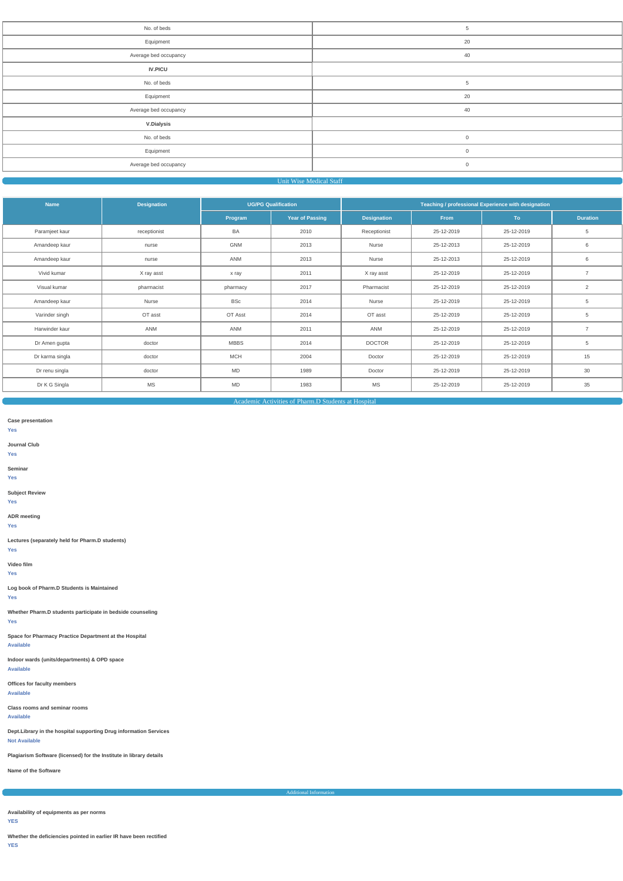| No. of beds           | $\overline{5}$ |
|-----------------------|----------------|
| Equipment             | 20             |
| Average bed occupancy | 40             |
| <b>IV.PICU</b>        |                |
| No. of beds           | 5              |
| Equipment             | 20             |
| Average bed occupancy | 40             |
| <b>V.Dialysis</b>     |                |
| No. of beds           | $\mathsf 0$    |
| Equipment             | $\mathbf 0$    |
| Average bed occupancy | $\mathsf 0$    |
|                       |                |

## Unit Wise Medical Staff

| <b>Name</b>     | <b>Designation</b> | <b>UG/PG Qualification</b> |                        | Teaching / professional Experience with designation |             |            |                 |  |
|-----------------|--------------------|----------------------------|------------------------|-----------------------------------------------------|-------------|------------|-----------------|--|
|                 |                    | Program                    | <b>Year of Passing</b> | <b>Designation</b>                                  | <b>From</b> | To:        | <b>Duration</b> |  |
| Paramjeet kaur  | receptionist       | BA                         | 2010                   | Receptionist                                        | 25-12-2019  | 25-12-2019 | 5               |  |
| Amandeep kaur   | nurse              | GNM                        | 2013                   | Nurse                                               | 25-12-2013  | 25-12-2019 | 6               |  |
| Amandeep kaur   | nurse              | ANM                        | 2013                   | Nurse                                               | 25-12-2013  | 25-12-2019 | 6               |  |
| Vivid kumar     | X ray asst         | x ray                      | 2011                   | X ray asst                                          | 25-12-2019  | 25-12-2019 | $\overline{7}$  |  |
| Visual kumar    | pharmacist         | pharmacy                   | 2017                   | Pharmacist                                          | 25-12-2019  | 25-12-2019 | 2               |  |
| Amandeep kaur   | Nurse              | BSc                        | 2014                   | Nurse                                               | 25-12-2019  | 25-12-2019 | $\overline{5}$  |  |
| Varinder singh  | OT asst            | OT Asst                    | 2014                   | OT asst                                             | 25-12-2019  | 25-12-2019 | 5               |  |
| Harwinder kaur  | ANM                | ANM                        | 2011                   | ANM                                                 | 25-12-2019  | 25-12-2019 | $\overline{7}$  |  |
| Dr Amen gupta   | doctor             | <b>MBBS</b>                | 2014                   | <b>DOCTOR</b>                                       | 25-12-2019  | 25-12-2019 | $\overline{5}$  |  |
| Dr karma singla | doctor             | <b>MCH</b>                 | 2004                   | Doctor                                              | 25-12-2019  | 25-12-2019 | 15              |  |
| Dr renu singla  | doctor             | <b>MD</b>                  | 1989                   | Doctor                                              | 25-12-2019  | 25-12-2019 | 30              |  |
| Dr K G Singla   | <b>MS</b>          | MD                         | 1983                   | MS                                                  | 25-12-2019  | 25-12-2019 | 35              |  |

Academic Activities of Pharm.D Students at Hospital

**Case presentation**

**Yes**

**Journal Club**

**Yes**

**Seminar**

**Yes**

**Subject Review**

**Yes**

**ADR meeting**

**Yes**

**Lectures (separately held for Pharm.D students)**

**Yes**

**Video film**

**Yes**

**Log book of Pharm.D Students is Maintained**

**Yes**

**Whether Pharm.D students participate in bedside counseling Yes**

**Space for Pharmacy Practice Department at the Hospital Available**

**Indoor wards (units/departments) & OPD space**

**Available**

## **Offices for faculty members Available**

**Class rooms and seminar rooms**

### **Available**

**Dept.Library in the hospital supporting Drug information Services Not Available**

**Plagiarism Software (licensed) for the Institute in library details**

**Name of the Software**

**Additional Informat** 

**Availability of equipments as per norms**

**YES**

**Whether the deficiencies pointed in earlier IR have been rectified**

**YES**